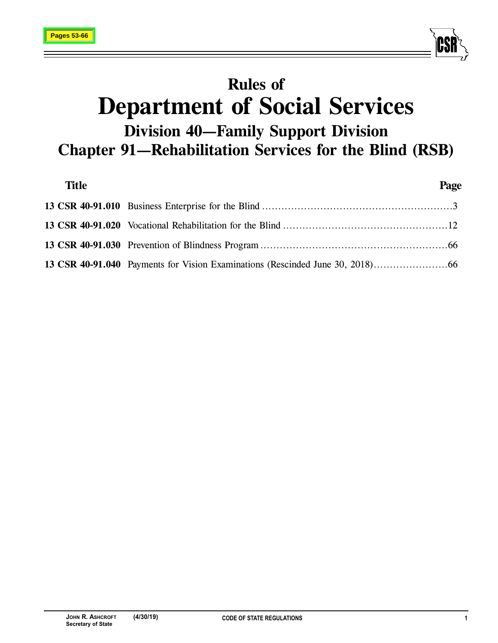

# **Rules of Department of Social Services Division 40—Family Support Division Chapter 91—Rehabilitation Services for the Blind (RSB)**

| <b>Title</b> | Page |
|--------------|------|
|              |      |
|              |      |
|              |      |
|              |      |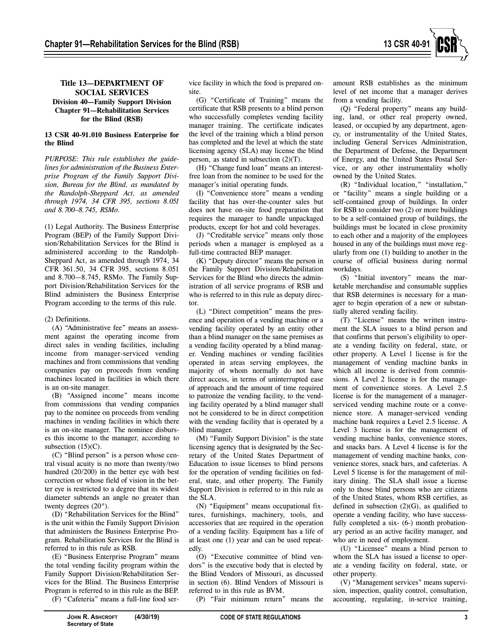

#### **Title 13—DEPARTMENT OF SOCIAL SERVICES Division 40—Family Support Division Chapter 91—Rehabilitation Services for the Blind (RSB)**

#### **13 CSR 40-91.010 Business Enterprise for the Blind**

*PURPOSE: This rule establishes the guidelines for administration of the Business Enterprise Program of the Family Support Division, Bureau for the Blind, as mandated by the Randolph-Sheppard Act, as amended through 1974, 34 CFR 395, sections 8.051 and 8.700–8.745, RSMo.* 

(1) Legal Authority. The Business Enterprise Program (BEP) of the Family Support Division/Rehabilitation Services for the Blind is administered according to the Randolph-Sheppard Act, as amended through 1974, 34 CFR 361.50, 34 CFR 395, sections 8.051 and 8.700—8.745, RSMo. The Family Support Division/Rehabilitation Services for the Blind administers the Business Enterprise Program according to the terms of this rule.

#### (2) Definitions.

(A) "Administrative fee" means an assessment against the operating income from direct sales in vending facilities, including income from manager-serviced vending machines and from commissions that vending companies pay on proceeds from vending machines located in facilities in which there is an on-site manager.

(B) "Assigned income" means income from commissions that vending companies pay to the nominee on proceeds from vending machines in vending facilities in which there is an on-site manager. The nominee disburses this income to the manager, according to subsection  $(15)(C)$ .

(C) "Blind person" is a person whose central visual acuity is no more than twenty/two hundred (20/200) in the better eye with best correction or whose field of vision in the better eye is restricted to a degree that its widest diameter subtends an angle no greater than twenty degrees (20°).

(D) "Rehabilitation Services for the Blind" is the unit within the Family Support Division that administers the Business Enterprise Program. Rehabilitation Services for the Blind is referred to in this rule as RSB.

(E) "Business Enterprise Program" means the total vending facility program within the Family Support Division/Rehabilitation Services for the Blind. The Business Enterprise Program is referred to in this rule as the BEP.

(F) "Cafeteria" means a full-line food ser-

vice facility in which the food is prepared onsite.

(G) "Certificate of Training" means the certificate that RSB presents to a blind person who successfully completes vending facility manager training. The certificate indicates the level of the training which a blind person has completed and the level at which the state licensing agency (SLA) may license the blind person, as stated in subsection (2)(T).

(H) "Change fund loan" means an interestfree loan from the nominee to be used for the manager's initial operating funds.

(I) "Convenience store" means a vending facility that has over-the-counter sales but does not have on-site food preparation that requires the manager to handle unpackaged products, except for hot and cold beverages.

(J) "Creditable service" means only those periods when a manager is employed as a full-time contracted BEP manager.

(K) "Deputy director" means the person in the Family Support Division/Rehabilitation Services for the Blind who directs the administration of all service programs of RSB and who is referred to in this rule as deputy director.

(L) "Direct competition" means the presence and operation of a vending machine or a vending facility operated by an entity other than a blind manager on the same premises as a vending facility operated by a blind manager. Vending machines or vending facilities operated in areas serving employees, the majority of whom normally do not have direct access, in terms of uninterrupted ease of approach and the amount of time required to patronize the vending facility, to the vending facility operated by a blind manager shall not be considered to be in direct competition with the vending facility that is operated by a blind manager.

(M) "Family Support Division" is the state licensing agency that is designated by the Secretary of the United States Department of Education to issue licenses to blind persons for the operation of vending facilities on federal, state, and other property. The Family Support Division is referred to in this rule as the SLA.

(N) "Equipment" means occupational fixtures, furnishings, machinery, tools, and accessories that are required in the operation of a vending facility. Equipment has a life of at least one (1) year and can be used repeatedly.

(O) "Executive committee of blind vendors" is the executive body that is elected by the Blind Vendors of Missouri, as discussed in section (6). Blind Vendors of Missouri is referred to in this rule as BVM.

(P) "Fair minimum return" means the

amount RSB establishes as the minimum level of net income that a manager derives from a vending facility.

(Q) "Federal property" means any building, land, or other real property owned, leased, or occupied by any department, agency, or instrumentality of the United States, including General Services Administration, the Department of Defense, the Department of Energy, and the United States Postal Service, or any other instrumentality wholly owned by the United States.

(R) "Individual location," "installation," or "facility" means a single building or a self-contained group of buildings. In order for RSB to consider two (2) or more buildings to be a self-contained group of buildings, the buildings must be located in close proximity to each other and a majority of the employees housed in any of the buildings must move regularly from one (1) building to another in the course of official business during normal workdays.

(S) "Initial inventory" means the marketable merchandise and consumable supplies that RSB determines is necessary for a manager to begin operation of a new or substantially altered vending facility.

(T) "License" means the written instrument the SLA issues to a blind person and that confirms that person's eligibility to operate a vending facility on federal, state, or other property. A Level 1 license is for the management of vending machine banks in which all income is derived from commissions. A Level 2 license is for the management of convenience stores. A Level 2.5 license is for the management of a managerserviced vending machine route or a convenience store. A manager-serviced vending machine bank requires a Level 2.5 license. A Level 3 license is for the management of vending machine banks, convenience stores, and snacks bars. A Level 4 license is for the management of vending machine banks, convenience stores, snack bars, and cafeterias. A Level 5 license is for the management of military dining. The SLA shall issue a license only to those blind persons who are citizens of the United States, whom RSB certifies, as defined in subsection  $(2)(G)$ , as qualified to operate a vending facility, who have successfully completed a six- (6-) month probationary period as an active facility manager, and who are in need of employment.

(U) "Licensee" means a blind person to whom the SLA has issued a license to operate a vending facility on federal, state, or other property.

(V) "Management services" means supervision, inspection, quality control, consultation, accounting, regulating, in-service training,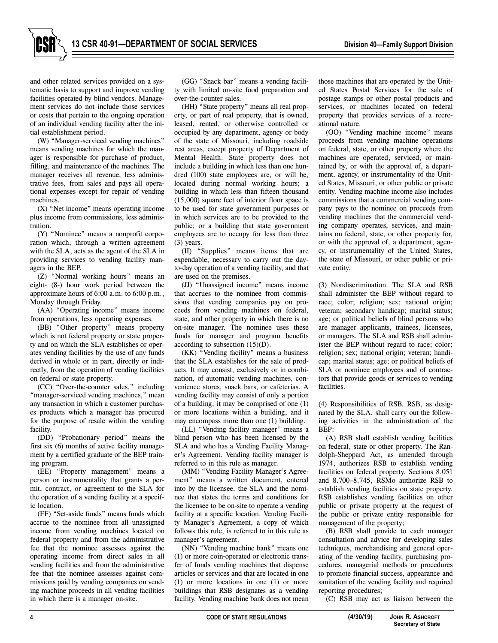and other related services provided on a systematic basis to support and improve vending facilities operated by blind vendors. Management services do not include those services or costs that pertain to the ongoing operation of an individual vending facility after the initial establishment period.

(W) "Manager-serviced vending machines" means vending machines for which the manager is responsible for purchase of product, filling, and maintenance of the machines. The manager receives all revenue, less administrative fees, from sales and pays all operational expenses except for repair of vending machines.

(X) "Net income" means operating income plus income from commissions, less administration.

(Y) "Nominee" means a nonprofit corporation which, through a written agreement with the SLA, acts as the agent of the SLA in providing services to vending facility managers in the BEP.

(Z) "Normal working hours" means an eight- (8-) hour work period between the approximate hours of 6:00 a.m. to 6:00 p.m., Monday through Friday.

(AA) "Operating income" means income from operations, less operating expenses.

(BB) "Other property" means property which is not federal property or state property and on which the SLA establishes or operates vending facilities by the use of any funds derived in whole or in part, directly or indirectly, from the operation of vending facilities on federal or state property.

(CC) "Over-the-counter sales," including "manager-serviced vending machines," mean any transaction in which a customer purchases products which a manager has procured for the purpose of resale within the vending facility.

(DD) "Probationary period" means the first six (6) months of active facility management by a certified graduate of the BEP training program.

(EE) "Property management" means a person or instrumentality that grants a permit, contract, or agreement to the SLA for the operation of a vending facility at a specific location.

(FF) "Set-aside funds" means funds which accrue to the nominee from all unassigned income from vending machines located on federal property and from the administrative fee that the nominee assesses against the operating income from direct sales in all vending facilities and from the administrative fee that the nominee assesses against commissions paid by vending companies on vending machine proceeds in all vending facilities in which there is a manager on-site.

(GG) "Snack bar" means a vending facility with limited on-site food preparation and over-the-counter sales.

(HH) "State property" means all real property, or part of real property, that is owned, leased, rented, or otherwise controlled or occupied by any department, agency or body of the state of Missouri, including roadside rest areas, except property of Department of Mental Health. State property does not include a building in which less than one hundred (100) state employees are, or will be, located during normal working hours; a building in which less than fifteen thousand (15,000) square feet of interior floor space is to be used for state government purposes or in which services are to be provided to the public; or a building that state government employees are to occupy for less than three (3) years.

(II) "Supplies" means items that are expendable, necessary to carry out the dayto-day operation of a vending facility, and that are used on the premises.

(JJ) "Unassigned income" means income that accrues to the nominee from commissions that vending companies pay on proceeds from vending machines on federal, state, and other property in which there is no on-site manager. The nominee uses these funds for manager and program benefits according to subsection (15)(D).

(KK) "Vending facility" means a business that the SLA establishes for the sale of products. It may consist, exclusively or in combination, of automatic vending machines, convenience stores, snack bars, or cafeterias. A vending facility may consist of only a portion of a building, it may be comprised of one (1) or more locations within a building, and it may encompass more than one (1) building.

(LL) "Vending facility manager" means a blind person who has been licensed by the SLA and who has a Vending Facility Manager's Agreement. Vending facility manager is referred to in this rule as manager.

(MM) "Vending Facility Manager's Agreement" means a written document, entered into by the licensee, the SLA and the nominee that states the terms and conditions for the licensee to be on-site to operate a vending facility at a specific location. Vending Facility Manager's Agreement, a copy of which follows this rule, is referred to in this rule as manager's agreement.

(NN) "Vending machine bank" means one (1) or more coin-operated or electronic transfer of funds vending machines that dispense articles or services and that are located in one (1) or more locations in one (1) or more buildings that RSB designates as a vending facility. Vending machine bank does not mean

those machines that are operated by the United States Postal Services for the sale of postage stamps or other postal products and services, or machines located on federal property that provides services of a recreational nature.

(OO) "Vending machine income" means proceeds from vending machine operations on federal, state, or other property where the machines are operated, serviced, or maintained by, or with the approval of, a department, agency, or instrumentality of the United States, Missouri, or other public or private entity. Vending machine income also includes commissions that a commercial vending company pays to the nominee on proceeds from vending machines that the commercial vending company operates, services, and maintains on federal, state, or other property for, or with the approval of, a department, agency, or instrumentality of the United States, the state of Missouri, or other public or private entity.

(3) Nondiscrimination. The SLA and RSB shall administer the BEP without regard to race; color; religion; sex; national origin; veteran; secondary handicap; marital status; age; or political beliefs of blind persons who are manager applicants, trainees, licensees, or managers. The SLA and RSB shall administer the BEP without regard to race; color; religion; sex; national origin; veteran; handicap; marital status; age; or political beliefs of SLA or nominee employees and of contractors that provide goods or services to vending facilities.

(4) Responsibilities of RSB. RSB, as designated by the SLA, shall carry out the following activities in the administration of the BEP:

(A) RSB shall establish vending facilities on federal, state or other property. The Randolph-Sheppard Act, as amended through 1974, authorizes RSB to establish vending facilities on federal property. Sections 8.051 and 8.700–8.745, RSMo authorize RSB to establish vending facilities on state property. RSB establishes vending facilities on other public or private property at the request of the public or private entity responsible for management of the property;

(B) RSB shall provide to each manager consultation and advice for developing sales techniques, merchandising and general operating of the vending facility, purchasing procedures, managerial methods or procedures to promote financial success, appearance and sanitation of the vending facility and required reporting procedures;

(C) RSB may act as liaison between the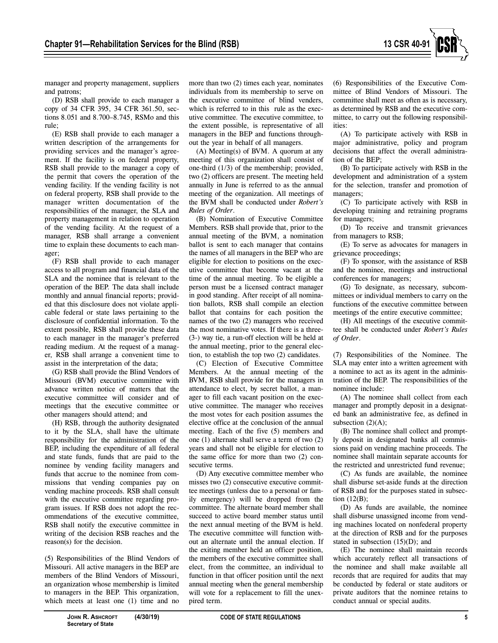

manager and property management, suppliers and patrons;

(D) RSB shall provide to each manager a copy of 34 CFR 395, 34 CFR 361.50, sections 8.051 and 8.700–8.745, RSMo and this rule;

(E) RSB shall provide to each manager a written description of the arrangements for providing services and the manager's agreement. If the facility is on federal property, RSB shall provide to the manager a copy of the permit that covers the operation of the vending facility. If the vending facility is not on federal property, RSB shall provide to the manager written documentation of the responsibilities of the manager, the SLA and property management in relation to operation of the vending facility. At the request of a manager, RSB shall arrange a convenient time to explain these documents to each manager;

(F) RSB shall provide to each manager access to all program and financial data of the SLA and the nominee that is relevant to the operation of the BEP. The data shall include monthly and annual financial reports; provided that this disclosure does not violate applicable federal or state laws pertaining to the disclosure of confidential information. To the extent possible, RSB shall provide these data to each manager in the manager's preferred reading medium. At the request of a manager, RSB shall arrange a convenient time to assist in the interpretation of the data;

(G) RSB shall provide the Blind Vendors of Missouri (BVM) executive committee with advance written notice of matters that the executive committee will consider and of meetings that the executive committee or other managers should attend; and

(H) RSB, through the authority designated to it by the SLA, shall have the ultimate responsibility for the administration of the BEP, including the expenditure of all federal and state funds, funds that are paid to the nominee by vending facility managers and funds that accrue to the nominee from commissions that vending companies pay on vending machine proceeds. RSB shall consult with the executive committee regarding program issues. If RSB does not adopt the recommendations of the executive committee, RSB shall notify the executive committee in writing of the decision RSB reaches and the reason(s) for the decision.

(5) Responsibilities of the Blind Vendors of Missouri. All active managers in the BEP are members of the Blind Vendors of Missouri, an organization whose membership is limited to managers in the BEP. This organization, which meets at least one (1) time and no

more than two (2) times each year, nominates individuals from its membership to serve on the executive committee of blind venders, which is referred to in this rule as the executive committee. The executive committee, to the extent possible, is representative of all managers in the BEP and functions throughout the year in behalf of all managers.

(A) Meeting(s) of BVM. A quorum at any meeting of this organization shall consist of one-third (1/3) of the membership; provided, two (2) officers are present. The meeting held annually in June is referred to as the annual meeting of the organization. All meetings of the BVM shall be conducted under *Robert's Rules of Order*.

(B) Nomination of Executive Committee Members. RSB shall provide that, prior to the annual meeting of the BVM, a nomination ballot is sent to each manager that contains the names of all managers in the BEP who are eligible for election to positions on the executive committee that become vacant at the time of the annual meeting. To be eligible a person must be a licensed contract manager in good standing. After receipt of all nomination ballots, RSB shall compile an election ballot that contains for each position the names of the two (2) managers who received the most nominative votes. If there is a three- (3-) way tie, a run-off election will be held at the annual meeting, prior to the general election, to establish the top two (2) candidates.

(C) Election of Executive Committee Members. At the annual meeting of the BVM, RSB shall provide for the managers in attendance to elect, by secret ballot, a manager to fill each vacant position on the executive committee. The manager who receives the most votes for each position assumes the elective office at the conclusion of the annual meeting. Each of the five (5) members and one (1) alternate shall serve a term of two (2) years and shall not be eligible for election to the same office for more than two (2) consecutive terms.

(D) Any executive committee member who misses two (2) consecutive executive committee meetings (unless due to a personal or family emergency) will be dropped from the committee. The alternate board member shall succeed to active board member status until the next annual meeting of the BVM is held. The executive committee will function without an alternate until the annual election. If the exiting member held an officer position, the members of the executive committee shall elect, from the committee, an individual to function in that officer position until the next annual meeting when the general membership will vote for a replacement to fill the unexpired term.

(6) Responsibilities of the Executive Committee of Blind Vendors of Missouri. The committee shall meet as often as is necessary, as determined by RSB and the executive committee, to carry out the following responsibilities:

(A) To participate actively with RSB in major administrative, policy and program decisions that affect the overall administration of the BEP;

(B) To participate actively with RSB in the development and administration of a system for the selection, transfer and promotion of managers;

(C) To participate actively with RSB in developing training and retraining programs for managers;

(D) To receive and transmit grievances from managers to RSB;

(E) To serve as advocates for managers in grievance proceedings;

(F) To sponsor, with the assistance of RSB and the nominee, meetings and instructional conferences for managers;

(G) To designate, as necessary, subcommittees or individual members to carry on the functions of the executive committee between meetings of the entire executive committee;

(H) All meetings of the executive committee shall be conducted under *Robert's Rules of Order*.

(7) Responsibilities of the Nominee. The SLA may enter into a written agreement with a nominee to act as its agent in the administration of the BEP. The responsibilities of the nominee include:

(A) The nominee shall collect from each manager and promptly deposit in a designated bank an administrative fee, as defined in subsection  $(2)(A)$ :

(B) The nominee shall collect and promptly deposit in designated banks all commissions paid on vending machine proceeds. The nominee shall maintain separate accounts for the restricted and unrestricted fund revenue;

(C) As funds are available, the nominee shall disburse set-aside funds at the direction of RSB and for the purposes stated in subsection (12(B);

(D) As funds are available, the nominee shall disburse unassigned income from vending machines located on nonfederal property at the direction of RSB and for the purposes stated in subsection  $(15)(D)$ ; and

(E) The nominee shall maintain records which accurately reflect all transactions of the nominee and shall make available all records that are required for audits that may be conducted by federal or state auditors or private auditors that the nominee retains to conduct annual or special audits.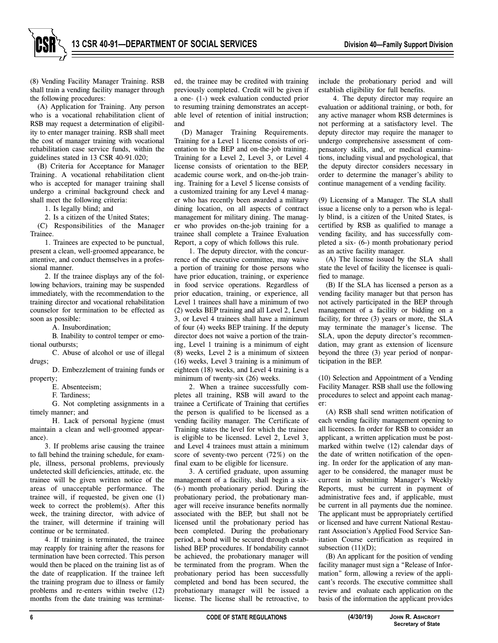(8) Vending Facility Manager Training. RSB shall train a vending facility manager through the following procedures:

(A) Application for Training. Any person who is a vocational rehabilitation client of RSB may request a determination of eligibility to enter manager training. RSB shall meet the cost of manager training with vocational rehabilitation case service funds, within the guidelines stated in 13 CSR 40-91.020;

(B) Criteria for Acceptance for Manager Training. A vocational rehabilitation client who is accepted for manager training shall undergo a criminal background check and shall meet the following criteria:

1. Is legally blind; and

2. Is a citizen of the United States;

(C) Responsibilities of the Manager Trainee.

1. Trainees are expected to be punctual, present a clean, well-groomed appearance, be attentive, and conduct themselves in a professional manner.

2. If the trainee displays any of the following behaviors, training may be suspended immediately, with the recommendation to the training director and vocational rehabilitation counselor for termination to be effected as soon as possible:

A. Insubordination;

B. Inability to control temper or emotional outbursts;

C. Abuse of alcohol or use of illegal drugs;

D. Embezzlement of training funds or property;

E. Absenteeism;

F. Tardiness;

G. Not completing assignments in a timely manner; and

H. Lack of personal hygiene (must maintain a clean and well-groomed appearance).

3. If problems arise causing the trainee to fall behind the training schedule, for example, illness, personal problems, previously undetected skill deficiencies, attitude, etc. the trainee will be given written notice of the areas of unacceptable performance. The trainee will, if requested, be given one (1) week to correct the problem(s). After this week, the training director, with advice of the trainer, will determine if training will continue or be terminated.

4. If training is terminated, the trainee may reapply for training after the reasons for termination have been corrected. This person would then be placed on the training list as of the date of reapplication. If the trainee left the training program due to illness or family problems and re-enters within twelve (12) months from the date training was terminated, the trainee may be credited with training previously completed. Credit will be given if a one- (1-) week evaluation conducted prior to resuming training demonstrates an acceptable level of retention of initial instruction; and

(D) Manager Training Requirements. Training for a Level 1 license consists of orientation to the BEP and on-the-job training. Training for a Level 2, Level 3, or Level 4 license consists of orientation to the BEP, academic course work, and on-the-job training. Training for a Level 5 license consists of a customized training for any Level 4 manager who has recently been awarded a military dining location, on all aspects of contract management for military dining. The manager who provides on-the-job training for a trainee shall complete a Trainee Evaluation Report, a copy of which follows this rule.

1. The deputy director, with the concurrence of the executive committee, may waive a portion of training for those persons who have prior education, training, or experience in food service operations. Regardless of prior education, training, or experience, all Level 1 trainees shall have a minimum of two (2) weeks BEP training and all Level 2, Level 3, or Level 4 trainees shall have a minimum of four (4) weeks BEP training. If the deputy director does not waive a portion of the training, Level 1 training is a minimum of eight (8) weeks, Level 2 is a minimum of sixteen (16) weeks, Level 3 training is a minimum of eighteen (18) weeks, and Level 4 training is a minimum of twenty-six (26) weeks.

2. When a trainee successfully completes all training, RSB will award to the trainee a Certificate of Training that certifies the person is qualified to be licensed as a vending facility manager. The Certificate of Training states the level for which the trainee is eligible to be licensed. Level 2, Level 3, and Level 4 trainees must attain a minimum score of seventy-two percent (72%) on the final exam to be eligible for licensure.

3. A certified graduate, upon assuming management of a facility, shall begin a six- (6-) month probationary period. During the probationary period, the probationary manager will receive insurance benefits normally associated with the BEP, but shall not be licensed until the probationary period has been completed. During the probationary period, a bond will be secured through established BEP procedures. If bondability cannot be achieved, the probationary manager will be terminated from the program. When the probationary period has been successfully completed and bond has been secured, the probationary manager will be issued a license. The license shall be retroactive, to

include the probationary period and will establish eligibility for full benefits.

4. The deputy director may require an evaluation or additional training, or both, for any active manager whom RSB determines is not performing at a satisfactory level. The deputy director may require the manager to undergo comprehensive assessment of compensatory skills, and, or medical examinations, including visual and psychological, that the deputy director considers necessary in order to determine the manager's ability to continue management of a vending facility.

(9) Licensing of a Manager. The SLA shall issue a license only to a person who is legally blind, is a citizen of the United States, is certified by RSB as qualified to manage a vending facility, and has successfully completed a six- (6-) month probationary period as an active facility manager.

(A) The license issued by the SLA shall state the level of facility the licensee is qualified to manage.

(B) If the SLA has licensed a person as a vending facility manager but that person has not actively participated in the BEP through management of a facility or bidding on a facility, for three (3) years or more, the SLA may terminate the manager's license. The SLA, upon the deputy director's recommendation, may grant as extension of licensure beyond the three (3) year period of nonparticipation in the BEP.

(10) Selection and Appointment of a Vending Facility Manager. RSB shall use the following procedures to select and appoint each manager:

(A) RSB shall send written notification of each vending facility management opening to all licensees. In order for RSB to consider an applicant, a written application must be postmarked within twelve (12) calendar days of the date of written notification of the opening. In order for the application of any manager to be considered, the manager must be current in submitting Manager's Weekly Reports, must be current in payment of administrative fees and, if applicable, must be current in all payments due the nominee. The applicant must be appropriately certified or licensed and have current National Restaurant Association's Applied Food Service Sanitation Course certification as required in subsection  $(11)(D)$ ;

(B) An applicant for the position of vending facility manager must sign a "Release of Information" form, allowing a review of the applicant's records. The executive committee shall review and evaluate each application on the basis of the information the applicant provides

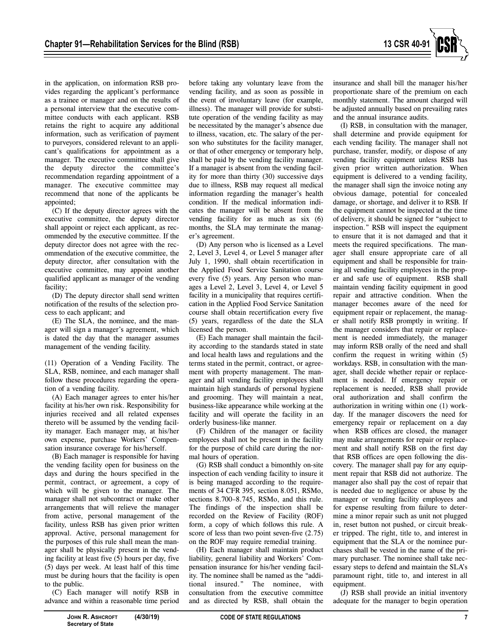

in the application, on information RSB provides regarding the applicant's performance as a trainee or manager and on the results of a personal interview that the executive committee conducts with each applicant. RSB retains the right to acquire any additional information, such as verification of payment to purveyors, considered relevant to an applicant's qualifications for appointment as a manager. The executive committee shall give the deputy director the committee's recommendation regarding appointment of a manager. The executive committee may recommend that none of the applicants be appointed;

(C) If the deputy director agrees with the executive committee, the deputy director shall appoint or reject each applicant, as recommended by the executive committee. If the deputy director does not agree with the recommendation of the executive committee, the deputy director, after consultation with the executive committee, may appoint another qualified applicant as manager of the vending facility;

(D) The deputy director shall send written notification of the results of the selection process to each applicant; and

(E) The SLA, the nominee, and the manager will sign a manager's agreement, which is dated the day that the manager assumes management of the vending facility.

(11) Operation of a Vending Facility. The SLA, RSB, nominee, and each manager shall follow these procedures regarding the operation of a vending facility.

(A) Each manager agrees to enter his/her facility at his/her own risk. Responsibility for injuries received and all related expenses thereto will be assumed by the vending facility manager. Each manager may, at his/her own expense, purchase Workers' Compensation insurance coverage for his/herself.

(B) Each manager is responsible for having the vending facility open for business on the days and during the hours specified in the permit, contract, or agreement, a copy of which will be given to the manager. The manager shall not subcontract or make other arrangements that will relieve the manager from active, personal management of the facility, unless RSB has given prior written approval. Active, personal management for the purposes of this rule shall mean the manager shall be physically present in the vending facility at least five (5) hours per day, five (5) days per week. At least half of this time must be during hours that the facility is open to the public.

(C) Each manager will notify RSB in advance and within a reasonable time period before taking any voluntary leave from the vending facility, and as soon as possible in the event of involuntary leave (for example, illness). The manager will provide for substitute operation of the vending facility as may be necessitated by the manager's absence due to illness, vacation, etc. The salary of the person who substitutes for the facility manager, or that of other emergency or temporary help, shall be paid by the vending facility manager. If a manager is absent from the vending facility for more than thirty (30) successive days due to illness, RSB may request all medical information regarding the manager's health condition. If the medical information indicates the manager will be absent from the vending facility for as much as six (6) months, the SLA may terminate the manager's agreement.

(D) Any person who is licensed as a Level 2, Level 3, Level 4, or Level 5 manager after July 1, 1990, shall obtain recertification in the Applied Food Service Sanitation course every five (5) years. Any person who manages a Level 2, Level 3, Level 4, or Level 5 facility in a municipality that requires certification in the Applied Food Service Sanitation course shall obtain recertification every five (5) years, regardless of the date the SLA licensed the person.

(E) Each manager shall maintain the facility according to the standards stated in state and local health laws and regulations and the terms stated in the permit, contract, or agreement with property management. The manager and all vending facility employees shall maintain high standards of personal hygiene and grooming. They will maintain a neat, business-like appearance while working at the facility and will operate the facility in an orderly business-like manner.

(F) Children of the manager or facility employees shall not be present in the facility for the purpose of child care during the normal hours of operation.

(G) RSB shall conduct a bimonthly on-site inspection of each vending facility to insure it is being managed according to the requirements of 34 CFR 395, section 8.051, RSMo, sections 8.700–8.745, RSMo, and this rule. The findings of the inspection shall be recorded on the Review of Facility (ROF) form, a copy of which follows this rule. A score of less than two point seven-five (2.75) on the ROF may require remedial training.

(H) Each manager shall maintain product liability, general liability and Workers' Compensation insurance for his/her vending facility. The nominee shall be named as the "addi-The nominee, with consultation from the executive committee and as directed by RSB, shall obtain the

insurance and shall bill the manager his/her proportionate share of the premium on each monthly statement. The amount charged will be adjusted annually based on prevailing rates and the annual insurance audits.

(I) RSB, in consultation with the manager, shall determine and provide equipment for each vending facility. The manager shall not purchase, transfer, modify, or dispose of any vending facility equipment unless RSB has given prior written authorization. When equipment is delivered to a vending facility, the manager shall sign the invoice noting any obvious damage, potential for concealed damage, or shortage, and deliver it to RSB. If the equipment cannot be inspected at the time of delivery, it should be signed for "subject to inspection." RSB will inspect the equipment to ensure that it is not damaged and that it meets the required specifications. The manager shall ensure appropriate care of all equipment and shall be responsible for training all vending facility employees in the proper and safe use of equipment. RSB shall maintain vending facility equipment in good repair and attractive condition. When the manager becomes aware of the need for equipment repair or replacement, the manager shall notify RSB promptly in writing. If the manager considers that repair or replacement is needed immediately, the manager may inform RSB orally of the need and shall confirm the request in writing within (5) workdays. RSB, in consultation with the manager, shall decide whether repair or replacement is needed. If emergency repair or replacement is needed, RSB shall provide oral authorization and shall confirm the authorization in writing within one (1) workday. If the manager discovers the need for emergency repair or replacement on a day when RSB offices are closed, the manager may make arrangements for repair or replacement and shall notify RSB on the first day that RSB offices are open following the discovery. The manager shall pay for any equipment repair that RSB did not authorize. The manager also shall pay the cost of repair that is needed due to negligence or abuse by the manager or vending facility employees and for expense resulting from failure to determine a minor repair such as unit not plugged in, reset button not pushed, or circuit breaker tripped. The right, title to, and interest in equipment that the SLA or the nominee purchases shall be vested in the name of the primary purchaser. The nominee shall take necessary steps to defend and maintain the SLA's paramount right, title to, and interest in all equipment.

(J) RSB shall provide an initial inventory adequate for the manager to begin operation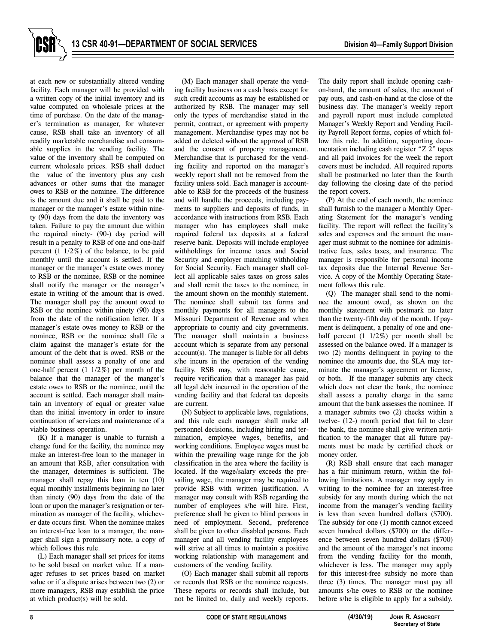at each new or substantially altered vending facility. Each manager will be provided with a written copy of the initial inventory and its value computed on wholesale prices at the time of purchase. On the date of the manager's termination as manager, for whatever cause, RSB shall take an inventory of all readily marketable merchandise and consumable supplies in the vending facility. The value of the inventory shall be computed on current wholesale prices. RSB shall deduct the value of the inventory plus any cash advances or other sums that the manager owes to RSB or the nominee. The difference is the amount due and it shall be paid to the manager or the manager's estate within ninety (90) days from the date the inventory was taken. Failure to pay the amount due within the required ninety- (90-) day period will result in a penalty to RSB of one and one-half percent (1 1/2%) of the balance, to be paid monthly until the account is settled. If the manager or the manager's estate owes money to RSB or the nominee, RSB or the nominee shall notify the manager or the manager's estate in writing of the amount that is owed. The manager shall pay the amount owed to RSB or the nominee within ninety (90) days from the date of the notification letter. If a manager's estate owes money to RSB or the nominee, RSB or the nominee shall file a claim against the manager's estate for the amount of the debt that is owed. RSB or the nominee shall assess a penalty of one and one-half percent (1 1/2%) per month of the balance that the manager of the manger's estate owes to RSB or the nominee, until the account is settled. Each manager shall maintain an inventory of equal or greater value than the initial inventory in order to insure continuation of services and maintenance of a viable business operation.

(K) If a manager is unable to furnish a change fund for the facility, the nominee may make an interest-free loan to the manager in an amount that RSB, after consultation with the manager, determines is sufficient. The manager shall repay this loan in ten (10) equal monthly installments beginning no later than ninety (90) days from the date of the loan or upon the manager's resignation or termination as manager of the facility, whichever date occurs first. When the nominee makes an interest-free loan to a manager, the manager shall sign a promissory note, a copy of which follows this rule.

(L) Each manager shall set prices for items to be sold based on market value. If a manager refuses to set prices based on market value or if a dispute arises between two (2) or more managers, RSB may establish the price at which product(s) will be sold.

(M) Each manager shall operate the vending facility business on a cash basis except for such credit accounts as may be established or authorized by RSB. The manager may sell only the types of merchandise stated in the permit, contract, or agreement with property management. Merchandise types may not be added or deleted without the approval of RSB and the consent of property management. Merchandise that is purchased for the vending facility and reported on the manager's weekly report shall not be removed from the facility unless sold. Each manager is accountable to RSB for the proceeds of the business and will handle the proceeds, including payments to suppliers and deposits of funds, in accordance with instructions from RSB. Each manager who has employees shall make required federal tax deposits at a federal reserve bank. Deposits will include employee withholdings for income taxes and Social Security and employer matching withholding for Social Security. Each manager shall collect all applicable sales taxes on gross sales and shall remit the taxes to the nominee, in the amount shown on the monthly statement. The nominee shall submit tax forms and monthly payments for all managers to the Missouri Department of Revenue and when appropriate to county and city governments. The manager shall maintain a business account which is separate from any personal account(s). The manager is liable for all debts s/he incurs in the operation of the vending facility. RSB may, with reasonable cause, require verification that a manager has paid all legal debt incurred in the operation of the vending facility and that federal tax deposits are current.

(N) Subject to applicable laws, regulations, and this rule each manager shall make all personnel decisions, including hiring and termination, employee wages, benefits, and working conditions. Employee wages must be within the prevailing wage range for the job classification in the area where the facility is located. If the wage/salary exceeds the prevailing wage, the manager may be required to provide RSB with written justification. A manager may consult with RSB regarding the number of employees s/he will hire. First, preference shall be given to blind persons in need of employment. Second, preference shall be given to other disabled persons. Each manager and all vending facility employees will strive at all times to maintain a positive working relationship with management and customers of the vending facility.

(O) Each manager shall submit all reports or records that RSB or the nominee requests. These reports or records shall include, but not be limited to, daily and weekly reports.

The daily report shall include opening cashon-hand, the amount of sales, the amount of pay outs, and cash-on-hand at the close of the business day. The manager's weekly report and payroll report must include completed Manager's Weekly Report and Vending Facility Payroll Report forms, copies of which follow this rule. In addition, supporting documentation including cash register "Z 2" tapes and all paid invoices for the week the report covers must be included. All required reports shall be postmarked no later than the fourth day following the closing date of the period the report covers.

(P) At the end of each month, the nominee shall furnish to the manager a Monthly Operating Statement for the manager's vending facility. The report will reflect the facility's sales and expenses and the amount the manager must submit to the nominee for administrative fees, sales taxes, and insurance. The manager is responsible for personal income tax deposits due the Internal Revenue Service. A copy of the Monthly Operating Statement follows this rule.

(Q) The manager shall send to the nominee the amount owed, as shown on the monthly statement with postmark no later than the twenty-fifth day of the month. If payment is delinquent, a penalty of one and onehalf percent (1 1/2%) per month shall be assessed on the balance owed. If a manager is two (2) months delinquent in paying to the nominee the amounts due, the SLA may terminate the manager's agreement or license, or both. If the manager submits any check which does not clear the bank, the nominee shall assess a penalty charge in the same amount that the bank assesses the nominee. If a manager submits two (2) checks within a twelve- (12-) month period that fail to clear the bank, the nominee shall give written notification to the manager that all future payments must be made by certified check or money order.

(R) RSB shall ensure that each manager has a fair minimum return, within the following limitations. A manager may apply in writing to the nominee for an interest-free subsidy for any month during which the net income from the manager's vending facility is less than seven hundred dollars (\$700). The subsidy for one (1) month cannot exceed seven hundred dollars (\$700) or the difference between seven hundred dollars (\$700) and the amount of the manager's net income from the vending facility for the month, whichever is less. The manager may apply for this interest-free subsidy no more than three (3) times. The manager must pay all amounts s/he owes to RSB or the nominee before s/he is eligible to apply for a subsidy.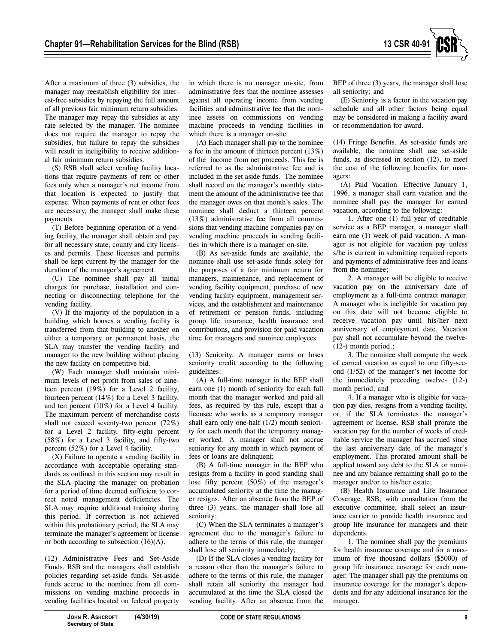

After a maximum of three (3) subsidies, the manager may reestablish eligibility for interest-free subsidies by repaying the full amount of all previous fair minimum return subsidies. The manager may repay the subsidies at any rate selected by the manager. The nominee does not require the manager to repay the subsidies, but failure to repay the subsidies will result in ineligibility to receive additional fair minimum return subsidies.

(S) RSB shall select vending facility locations that require payments of rent or other fees only when a manager's net income from that location is expected to justify that expense. When payments of rent or other fees are necessary, the manager shall make these payments.

(T) Before beginning operation of a vending facility, the manager shall obtain and pay for all necessary state, county and city licenses and permits. These licenses and permits shall be kept current by the manager for the duration of the manager's agreement.

(U) The nominee shall pay all initial charges for purchase, installation and connecting or disconnecting telephone for the vending facility.

(V) If the majority of the population in a building which houses a vending facility is transferred from that building to another on either a temporary or permanent basis, the SLA may transfer the vending facility and manager to the new building without placing the new facility on competitive bid.

(W) Each manager shall maintain minimum levels of net profit from sales of nineteen percent (19%) for a Level 2 facility, fourteen percent (14%) for a Level 3 facility, and ten percent (10%) for a Level 4 facility. The maximum percent of merchandise costs shall not exceed seventy-two percent (72%) for a Level 2 facility, fifty-eight percent (58%) for a Level 3 facility, and fifty-two percent (52%) for a Level 4 facility.

(X) Failure to operate a vending facility in accordance with acceptable operating standards as outlined in this section may result in the SLA placing the manager on probation for a period of time deemed sufficient to correct noted management deficiencies. The SLA may require additional training during this period. If correction is not achieved within this probationary period, the SLA may terminate the manager's agreement or license or both according to subsection (16)(A).

(12) Administrative Fees and Set-Aside Funds. RSB and the managers shall establish policies regarding set-aside funds. Set-aside funds accrue to the nominee from all commissions on vending machine proceeds in vending facilities located on federal property

in which there is no manager on-site, from administrative fees that the nominee assesses against all operating income from vending facilities and administrative fee that the nominee assess on commissions on vending machine proceeds in vending facilities in which there is a manager on-site.

(A) Each manager shall pay to the nominee a fee in the amount of thirteen percent (13%) of the income from net proceeds. This fee is referred to as the administrative fee and is included in the set aside funds. The nominee shall record on the manager's monthly statement the amount of the administrative fee that the manager owes on that month's sales. The nominee shall deduct a thirteen percent (13%) administrative fee from all commissions that vending machine companies pay on vending machine proceeds in vending facilities in which there is a manager on-site.

(B) As set-aside funds are available, the nominee shall use set-aside funds solely for the purposes of a fair minimum return for managers, maintenance, and replacement of vending facility equipment, purchase of new vending facility equipment, management services, and the establishment and maintenance of retirement or pension funds, including group life insurance, health insurance and contributions, and provision for paid vacation time for managers and nominee employees.

(13) Seniority. A manager earns or loses seniority credit according to the following guidelines:

(A) A full-time manager in the BEP shall earn one (1) month of seniority for each full month that the manager worked and paid all fees, as required by this rule, except that a licensee who works as a temporary manager shall earn only one-half (1/2) month seniority for each month that the temporary manager worked. A manager shall not accrue seniority for any month in which payment of fees or loans are delinquent;

(B) A full-time manager in the BEP who resigns from a facility in good standing shall lose fifty percent (50%) of the manager's accumulated seniority at the time the manager resigns. After an absence from the BEP of three (3) years, the manager shall lose all seniority;

(C) When the SLA terminates a manager's agreement due to the manager's failure to adhere to the terms of this rule, the manager shall lose all seniority immediately;

(D) If the SLA closes a vending facility for a reason other than the manager's failure to adhere to the terms of this rule, the manager shall retain all seniority the manager had accumulated at the time the SLA closed the vending facility. After an absence from the BEP of three (3) years, the manager shall lose all seniority; and

(E) Seniority is a factor in the vacation pay schedule and all other factors being equal may be considered in making a facility award or recommendation for award.

(14) Fringe Benefits. As set-aside funds are available, the nominee shall use set-aside funds, as discussed in section (12), to meet the cost of the following benefits for managers:

(A) Paid Vacation. Effective January 1, 1996, a manager shall earn vacation and the nominee shall pay the manager for earned vacation, according to the following:

1. After one (1) full year of creditable service as a BEP manager, a manager shall earn one (1) week of paid vacation. A manager is not eligible for vacation pay unless s/he is current in submitting required reports and payments of administrative fees and loans from the nominee;

2. A manager will be eligible to receive vacation pay on the anniversary date of employment as a full-time contract manager. A manager who is ineligible for vacation pay on this date will not become eligible to receive vacation pay until his/her next anniversary of employment date. Vacation pay shall not accumulate beyond the twelve- (12-) month period.;

3. The nominee shall compute the week of earned vacation as equal to one fifty-second (1/52) of the manager's net income for the immediately preceding twelve- (12-) month period; and

4. If a manager who is eligible for vacation pay dies, resigns from a vending facility, or, if the SLA terminates the manager's agreement or license, RSB shall prorate the vacation pay for the number of weeks of creditable service the manager has accrued since the last anniversary date of the manager's employment. This prorated amount shall be applied toward any debt to the SLA or nominee and any balance remaining shall go to the manager and/or to his/her estate;

(B) Health Insurance and Life Insurance Coverage. RSB, with consultation from the executive committee, shall select an insurance carrier to provide health insurance and group life insurance for managers and their dependents.

1. The nominee shall pay the premiums for health insurance coverage and for a maximum of five thousand dollars (\$5000) of group life insurance coverage for each manager. The manager shall pay the premiums on insurance coverage for the manager's dependents and for any additional insurance for the manager.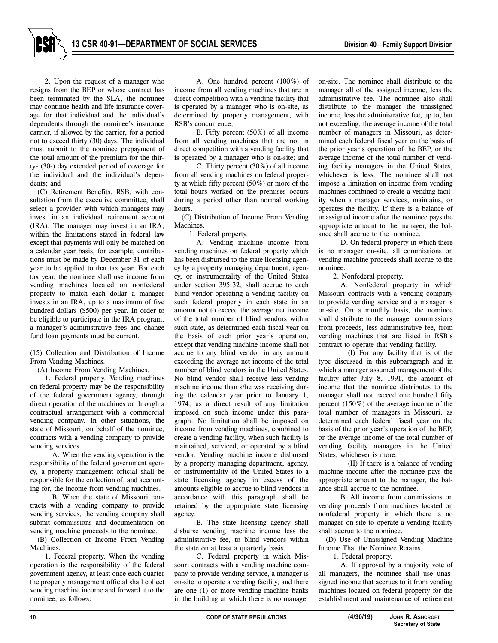2. Upon the request of a manager who resigns from the BEP or whose contract has been terminated by the SLA, the nominee may continue health and life insurance coverage for that individual and the individual's dependents through the nominee's insurance carrier, if allowed by the carrier, for a period not to exceed thirty (30) days. The individual must submit to the nominee prepayment of the total amount of the premium for the thirty- (30-) day extended period of coverage for the individual and the individual's dependents; and

(C) Retirement Benefits. RSB, with consultation from the executive committee, shall select a provider with which managers may invest in an individual retirement account (IRA). The manager may invest in an IRA, within the limitations stated in federal law except that payments will only be matched on a calendar year basis, for example, contributions must be made by December 31 of each year to be applied to that tax year. For each tax year, the nominee shall use income from vending machines located on nonfederal property to match each dollar a manager invests in an IRA, up to a maximum of five hundred dollars (\$500) per year. In order to be eligible to participate in the IRA program, a manager's administrative fees and change fund loan payments must be current.

(15) Collection and Distribution of Income From Vending Machines.

(A) Income From Vending Machines.

1. Federal property. Vending machines on federal property may be the responsibility of the federal government agency, through direct operation of the machines or through a contractual arrangement with a commercial vending company. In other situations, the state of Missouri, on behalf of the nominee, contracts with a vending company to provide vending services.

A. When the vending operation is the responsibility of the federal government agency, a property management official shall be responsible for the collection of, and accounting for, the income from vending machines.

B. When the state of Missouri contracts with a vending company to provide vending services, the vending company shall submit commissions and documentation on vending machine proceeds to the nominee.

(B) Collection of Income From Vending Machines.

1. Federal property. When the vending operation is the responsibility of the federal government agency, at least once each quarter the property management official shall collect vending machine income and forward it to the nominee, as follows:

A. One hundred percent (100%) of income from all vending machines that are in direct competition with a vending facility that is operated by a manager who is on-site, as determined by property management, with RSB's concurrence;

B. Fifty percent (50%) of all income from all vending machines that are not in direct competition with a vending facility that is operated by a manager who is on-site; and

C. Thirty percent (30%) of all income from all vending machines on federal property at which fifty percent (50%) or more of the total hours worked on the premises occurs during a period other than normal working hours.

(C) Distribution of Income From Vending Machines.

1. Federal property.

A. Vending machine income from vending machines on federal property which has been disbursed to the state licensing agency by a property managing department, agency, or instrumentality of the United States under section 395.32, shall accrue to each blind vendor operating a vending facility on such federal property in each state in an amount not to exceed the average net income of the total number of blind vendors within such state, as determined each fiscal year on the basis of each prior year's operation, except that vending machine income shall not accrue to any blind vendor in any amount exceeding the average net income of the total number of blind vendors in the United States. No blind vendor shall receive less vending machine income than s/he was receiving during the calendar year prior to January 1, 1974, as a direct result of any limitation imposed on such income under this paragraph. No limitation shall be imposed on income from vending machines, combined to create a vending facility, when such facility is maintained, serviced, or operated by a blind vendor. Vending machine income disbursed by a property managing department, agency, or instrumentality of the United States to a state licensing agency in excess of the amounts eligible to accrue to blind vendors in accordance with this paragraph shall be retained by the appropriate state licensing agency.

B. The state licensing agency shall disburse vending machine income less the administrative fee, to blind vendors within the state on at least a quarterly basis.

C. Federal property in which Missouri contracts with a vending machine company to provide vending service, a manager is on-site to operate a vending facility, and there are one (1) or more vending machine banks in the building at which there is no manager

on-site. The nominee shall distribute to the manager all of the assigned income, less the administrative fee. The nominee also shall distribute to the manager the unassigned income, less the administrative fee, up to, but not exceeding, the average income of the total number of managers in Missouri, as determined each federal fiscal year on the basis of the prior year's operation of the BEP, or the average income of the total number of vending facility managers in the United States, whichever is less. The nominee shall not impose a limitation on income from vending machines combined to create a vending facility when a manager services, maintains, or operates the facility. If there is a balance of unassigned income after the nominee pays the appropriate amount to the manager, the balance shall accrue to the nominee.

D. On federal property in which there is no manager on-site. all commissions on vending machine proceeds shall accrue to the nominee.

2. Nonfederal property.

A. Nonfederal property in which Missouri contracts with a vending company to provide vending service and a manager is on-site. On a monthly basis, the nominee shall distribute to the manager commissions from proceeds, less administrative fee, from vending machines that are listed in RSB's contract to operate that vending facility.

(I) For any facility that is of the type discussed in this subparagraph and in which a manager assumed management of the facility after July 8, 1991, the amount of income that the nominee distributes to the manager shall not exceed one hundred fifty percent (150%) of the average income of the total number of managers in Missouri, as determined each federal fiscal year on the basis of the prior year's operation of the BEP, or the average income of the total number of vending facility managers in the United States, whichever is more.

(II) If there is a balance of vending machine income after the nominee pays the appropriate amount to the manager, the balance shall accrue to the nominee.

B. All income from commissions on vending proceeds from machines located on nonfederal property in which there is no manager on-site to operate a vending facility shall accrue to the nominee.

(D) Use of Unassigned Vending Machine Income That the Nominee Retains.

1. Federal property.

A. If approved by a majority vote of all managers, the nominee shall use unassigned income that accrues to it from vending machines located on federal property for the establishment and maintenance of retirement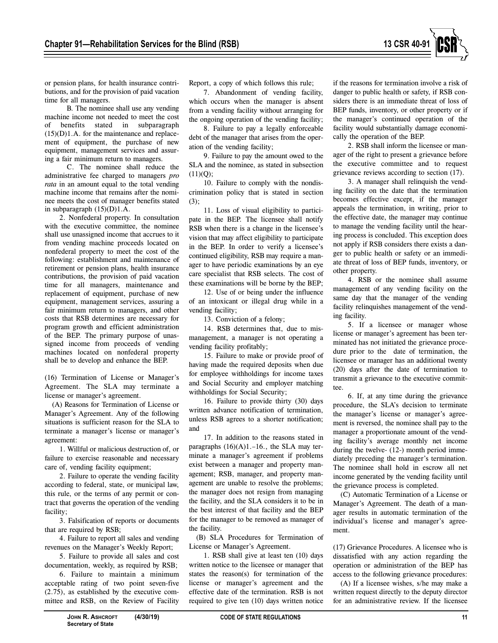

or pension plans, for health insurance contributions, and for the provision of paid vacation time for all managers.

B. The nominee shall use any vending machine income not needed to meet the cost of benefits stated in subparagraph  $(15)(D)1.A.$  for the maintenance and replacement of equipment, the purchase of new equipment, management services and assuring a fair minimum return to managers.

C. The nominee shall reduce the administrative fee charged to managers *pro rata* in an amount equal to the total vending machine income that remains after the nominee meets the cost of manager benefits stated in subparagraph (15)(D)1.A.

2. Nonfederal property. In consultation with the executive committee, the nominee shall use unassigned income that accrues to it from vending machine proceeds located on nonfederal property to meet the cost of the following: establishment and maintenance of retirement or pension plans, health insurance contributions, the provision of paid vacation time for all managers, maintenance and replacement of equipment, purchase of new equipment, management services, assuring a fair minimum return to managers, and other costs that RSB determines are necessary for program growth and efficient administration of the BEP. The primary purpose of unassigned income from proceeds of vending machines located on nonfederal property shall be to develop and enhance the BEP.

(16) Termination of License or Manager's Agreement. The SLA may terminate a license or manager's agreement.

(A) Reasons for Termination of License or Manager's Agreement. Any of the following situations is sufficient reason for the SLA to terminate a manager's license or manager's agreement:

1. Willful or malicious destruction of, or failure to exercise reasonable and necessary care of, vending facility equipment;

2. Failure to operate the vending facility according to federal, state, or municipal law, this rule, or the terms of any permit or contract that governs the operation of the vending facility;

3. Falsification of reports or documents that are required by RSB;

4. Failure to report all sales and vending revenues on the Manager's Weekly Report;

5. Failure to provide all sales and cost documentation, weekly, as required by RSB;

6. Failure to maintain a minimum acceptable rating of two point seven-five (2.75), as established by the executive committee and RSB, on the Review of Facility

Report, a copy of which follows this rule;

7. Abandonment of vending facility, which occurs when the manager is absent from a vending facility without arranging for the ongoing operation of the vending facility;

8. Failure to pay a legally enforceable debt of the manager that arises from the operation of the vending facility;

9. Failure to pay the amount owed to the SLA and the nominee, as stated in subsection  $(11)(Q)$ ;

10. Failure to comply with the nondiscrimination policy that is stated in section (3);

11. Loss of visual eligibility to participate in the BEP. The licensee shall notify RSB when there is a change in the licensee's vision that may affect eligibility to participate in the BEP. In order to verify a licensee's continued eligibility, RSB may require a manager to have periodic examinations by an eye care specialist that RSB selects. The cost of these examinations will be borne by the BEP;

12. Use of or being under the influence of an intoxicant or illegal drug while in a vending facility;

13. Conviction of a felony;

14. RSB determines that, due to mismanagement, a manager is not operating a vending facility profitably;

15. Failure to make or provide proof of having made the required deposits when due for employee withholdings for income taxes and Social Security and employer matching withholdings for Social Security;

16. Failure to provide thirty (30) days written advance notification of termination, unless RSB agrees to a shorter notification; and

17. In addition to the reasons stated in paragraphs  $(16)(A)1.-16$ ., the SLA may terminate a manager's agreement if problems exist between a manager and property management; RSB, manager, and property management are unable to resolve the problems; the manager does not resign from managing the facility, and the SLA considers it to be in the best interest of that facility and the BEP for the manager to be removed as manager of the facility.

(B) SLA Procedures for Termination of License or Manager's Agreement.

1. RSB shall give at least ten (10) days written notice to the licensee or manager that states the reason(s) for termination of the license or manager's agreement and the effective date of the termination. RSB is not required to give ten (10) days written notice

if the reasons for termination involve a risk of danger to public health or safety, if RSB considers there is an immediate threat of loss of BEP funds, inventory, or other property or if the manager's continued operation of the facility would substantially damage economically the operation of the BEP.

2. RSB shall inform the licensee or manager of the right to present a grievance before the executive committee and to request grievance reviews according to section (17).

3. A manager shall relinquish the vending facility on the date that the termination becomes effective except, if the manager appeals the termination, in writing, prior to the effective date, the manager may continue to manage the vending facility until the hearing process is concluded. This exception does not apply if RSB considers there exists a danger to public health or safety or an immediate threat of loss of BEP funds, inventory, or other property.

4. RSB or the nominee shall assume management of any vending facility on the same day that the manager of the vending facility relinquishes management of the vending facility.

5. If a licensee or manager whose license or manager's agreement has been terminated has not initiated the grievance procedure prior to the date of termination, the licensee or manager has an additional twenty (20) days after the date of termination to transmit a grievance to the executive committee.

6. If, at any time during the grievance procedure, the SLA's decision to terminate the manager's license or manager's agreement is reversed, the nominee shall pay to the manager a proportionate amount of the vending facility's average monthly net income during the twelve- (12-) month period immediately preceding the manager's termination. The nominee shall hold in escrow all net income generated by the vending facility until the grievance process is completed.

(C) Automatic Termination of a License or Manager's Agreement. The death of a manager results in automatic termination of the individual's license and manager's agreement.

(17) Grievance Procedures. A licensee who is dissatisfied with any action regarding the operation or administration of the BEP has access to the following grievance procedures:

(A) If a licensee wishes, s/he may make a written request directly to the deputy director for an administrative review. If the licensee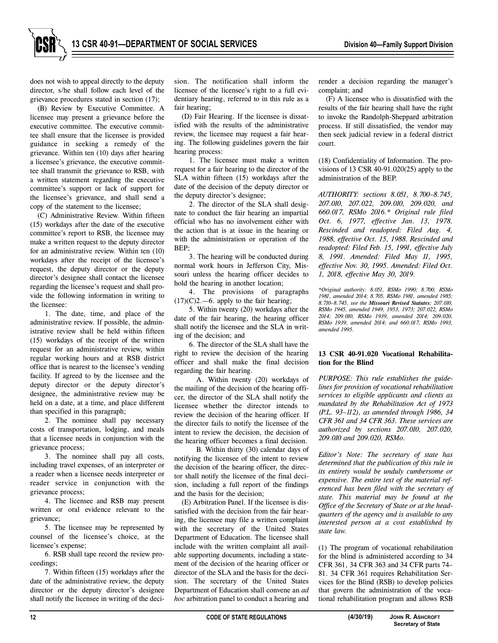does not wish to appeal directly to the deputy director, s/he shall follow each level of the grievance procedures stated in section (17);

(B) Review by Executive Committee. A licensee may present a grievance before the executive committee. The executive committee shall ensure that the licensee is provided guidance in seeking a remedy of the grievance. Within ten (10) days after hearing a licensee's grievance, the executive committee shall transmit the grievance to RSB, with a written statement regarding the executive committee's support or lack of support for the licensee's grievance, and shall send a copy of the statement to the licensee;

(C) Administrative Review. Within fifteen (15) workdays after the date of the executive committee's report to RSB, the licensee may make a written request to the deputy director for an administrative review. Within ten (10) workdays after the receipt of the licensee's request, the deputy director or the deputy director's designee shall contact the licensee regarding the licensee's request and shall provide the following information in writing to the licensee:

1. The date, time, and place of the administrative review. If possible, the administrative review shall be held within fifteen (15) workdays of the receipt of the written request for an administrative review, within regular working hours and at RSB district office that is nearest to the licensee's vending facility. If agreed to by the licensee and the deputy director or the deputy director's designee, the administrative review may be held on a date, at a time, and place different than specified in this paragraph;

2. The nominee shall pay necessary costs of transportation, lodging, and meals that a licensee needs in conjunction with the grievance process;

3. The nominee shall pay all costs, including travel expenses, of an interpreter or a reader when a licensee needs interpreter or reader service in conjunction with the grievance process;

4. The licensee and RSB may present written or oral evidence relevant to the grievance;

5. The licensee may be represented by counsel of the licensee's choice, at the licensee's expense;

6. RSB shall tape record the review proceedings;

7. Within fifteen (15) workdays after the date of the administrative review, the deputy director or the deputy director's designee shall notify the licensee in writing of the decision. The notification shall inform the licensee of the licensee's right to a full evidentiary hearing, referred to in this rule as a fair hearing;

(D) Fair Hearing. If the licensee is dissatisfied with the results of the administrative review, the licensee may request a fair hearing. The following guidelines govern the fair hearing process:

1. The licensee must make a written request for a fair hearing to the director of the SLA within fifteen (15) workdays after the date of the decision of the deputy director or the deputy director's designee;

2. The director of the SLA shall designate to conduct the fair hearing an impartial official who has no involvement either with the action that is at issue in the hearing or with the administration or operation of the  $REP$ 

3. The hearing will be conducted during normal work hours in Jefferson City, Missouri unless the hearing officer decides to hold the hearing in another location;

4. The provisions of paragraphs  $(17)(C)2$ .—6. apply to the fair hearing;

5. Within twenty (20) workdays after the date of the fair hearing, the hearing officer shall notify the licensee and the SLA in writing of the decision; and

6. The director of the SLA shall have the right to review the decision of the hearing officer and shall make the final decision regarding the fair hearing.

A. Within twenty (20) workdays of the mailing of the decision of the hearing officer, the director of the SLA shall notify the licensee whether the director intends to review the decision of the hearing officer. If the director fails to notify the licensee of the intent to review the decision, the decision of the hearing officer becomes a final decision.

B. Within thirty (30) calendar days of notifying the licensee of the intent to review the decision of the hearing officer, the director shall notify the licensee of the final decision, including a full report of the findings and the basis for the decision;

(E) Arbitration Panel. If the licensee is dissatisfied with the decision from the fair hearing, the licensee may file a written complaint with the secretary of the United States Department of Education. The licensee shall include with the written complaint all available supporting documents, including a statement of the decision of the hearing officer or director of the SLA and the basis for the decision. The secretary of the United States Department of Education shall convene an *ad hoc* arbitration panel to conduct a hearing and

render a decision regarding the manager's complaint; and

(F) A licensee who is dissatisfied with the results of the fair hearing shall have the right to invoke the Randolph-Sheppard arbitration process. If still dissatisfied, the vendor may then seek judicial review in a federal district court.

(18) Confidentiality of Information. The provisions of 13 CSR 40-91.020(25) apply to the administration of the BEP.

*AUTHORITY: sections 8.051, 8.700–8.745, 207.010, 207.022, 209.010, 209.020, and 660.017, RSMo 2016.\* Original rule filed Oct. 6, 1977, effective Jan. 13, 1978. Rescinded and readopted: Filed Aug. 4, 1988, effective Oct. 15, 1988. Rescinded and readopted: Filed Feb. 15, 1991, effective July 8, 1991. Amended: Filed May 11, 1995, effective Nov. 30, 1995. Amended: Filed Oct. 1, 2018, effective May 30, 2019.*

*\*Original authority: 8.051, RSMo 1990; 8.700, RSMo 1981, amended 2014; 8.705, RSMo 1981, amended 1985; 8.710–8.745, see the Missouri Revised Statutes; 207.010, RSMo 1945, amended 1949, 1953, 1973; 207.022, RSMo 2014; 209.010, RSMo 1939, amended 2014; 209.020, RSMo 1939, amended 2014; and 660.017, RSMo 1993, amended 1995.*

#### **13 CSR 40-91.020 Vocational Rehabilitation for the Blind**

*PURPOSE: This rule establishes the guidelines for provision of vocational rehabilitation services to eligible applicants and clients as mandated by the Rehabilitation Act of 1973 (P.L. 93–112), as amended through 1986, 34 CFR 361 and 34 CFR 363. These services are authorized by sections 207.010, 207.020, 209.010 and 209.020, RSMo.* 

*Editor's Note: The secretary of state has determined that the publication of this rule in its entirety would be unduly cumbersome or expensive. The entire text of the material referenced has been filed with the secretary of state. This material may be found at the Office of the Secretary of State or at the headquarters of the agency and is available to any interested person at a cost established by state law.*

(1) The program of vocational rehabilitation for the blind is administered according to 34 CFR 361, 34 CFR 363 and 34 CFR parts 74– 81. 34 CFR 361 requires Rehabilitation Services for the Blind (RSB) to develop policies that govern the administration of the vocational rehabilitation program and allows RSB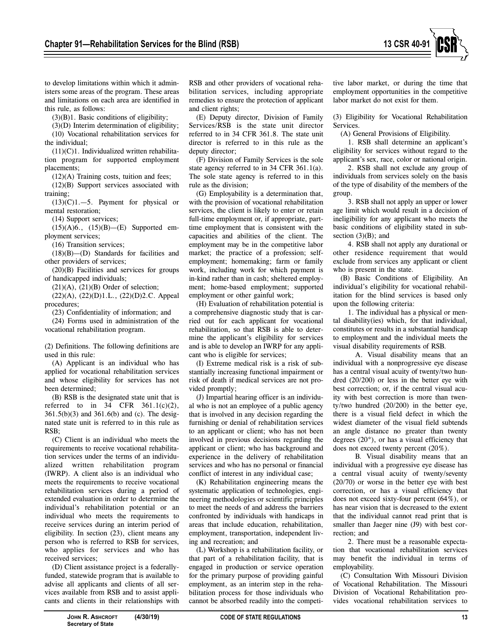

to develop limitations within which it administers some areas of the program. These areas and limitations on each area are identified in this rule, as follows:

(3)(B)1. Basic conditions of eligibility;

(3)(D) Interim determination of eligibility; (10) Vocational rehabilitation services for the individual;

 $(11)(C)1$ . Individualized written rehabilitation program for supported employment placements;

 $(12)(A)$  Training costs, tuition and fees;

(12)(B) Support services associated with training;

 $(13)(C)1$ . -5. Payment for physical or mental restoration;

(14) Support services;

(15)(A)6., (15)(B)—(E) Supported employment services;

(16) Transition services;

(18)(B)—(D) Standards for facilities and other providers of services;

(20)(B) Facilities and services for groups of handicapped individuals;

 $(21)(A)$ ,  $(21)(B)$  Order of selection;

(22)(A), (22)(D)1.L., (22)(D)2.C. Appeal procedures;

(23) Confidentiality of information; and

(24) Forms used in administration of the vocational rehabilitation program.

(2) Definitions. The following definitions are used in this rule:

(A) Applicant is an individual who has applied for vocational rehabilitation services and whose eligibility for services has not been determined;

(B) RSB is the designated state unit that is referred to in  $34$  CFR  $361.1(c)(2)$ , 361.5(b)(3) and 361.6(b) and (c). The designated state unit is referred to in this rule as RSB;

(C) Client is an individual who meets the requirements to receive vocational rehabilitation services under the terms of an individualized written rehabilitation program (IWRP). A client also is an individual who meets the requirements to receive vocational rehabilitation services during a period of extended evaluation in order to determine the individual's rehabilitation potential or an individual who meets the requirements to receive services during an interim period of eligibility. In section (23), client means any person who is referred to RSB for services, who applies for services and who has received services;

(D) Client assistance project is a federallyfunded, statewide program that is available to advise all applicants and clients of all services available from RSB and to assist applicants and clients in their relationships with

RSB and other providers of vocational rehabilitation services, including appropriate remedies to ensure the protection of applicant and client rights;

(E) Deputy director, Division of Family Services/RSB is the state unit director referred to in 34 CFR 361.8. The state unit director is referred to in this rule as the deputy director;

(F) Division of Family Services is the sole state agency referred to in 34 CFR 361.1(a). The sole state agency is referred to in this rule as the division;

(G) Employability is a determination that, with the provision of vocational rehabilitation services, the client is likely to enter or retain full-time employment or, if appropriate, parttime employment that is consistent with the capacities and abilities of the client. The employment may be in the competitive labor market; the practice of a profession; selfemployment; homemaking; farm or family work, including work for which payment is in-kind rather than in cash; sheltered employment; home-based employment; supported employment or other gainful work;

(H) Evaluation of rehabilitation potential is a comprehensive diagnostic study that is carried out for each applicant for vocational rehabilitation, so that RSB is able to determine the applicant's eligibility for services and is able to develop an IWRP for any applicant who is eligible for services;

(I) Extreme medical risk is a risk of substantially increasing functional impairment or risk of death if medical services are not provided promptly;

(J) Impartial hearing officer is an individual who is not an employee of a public agency that is involved in any decision regarding the furnishing or denial of rehabilitation services to an applicant or client; who has not been involved in previous decisions regarding the applicant or client; who has background and experience in the delivery of rehabilitation services and who has no personal or financial conflict of interest in any individual case;

(K) Rehabilitation engineering means the systematic application of technologies, engineering methodologies or scientific principles to meet the needs of and address the barriers confronted by individuals with handicaps in areas that include education, rehabilitation, employment, transportation, independent living and recreation; and

(L) Workshop is a rehabilitation facility, or that part of a rehabilitation facility, that is engaged in production or service operation for the primary purpose of providing gainful employment, as an interim step in the rehabilitation process for those individuals who cannot be absorbed readily into the competi-

tive labor market, or during the time that employment opportunities in the competitive labor market do not exist for them.

(3) Eligibility for Vocational Rehabilitation Services.

(A) General Provisions of Eligibility.

1. RSB shall determine an applicant's eligibility for services without regard to the applicant's sex, race, color or national origin.

2. RSB shall not exclude any group of individuals from services solely on the basis of the type of disability of the members of the group.

3. RSB shall not apply an upper or lower age limit which would result in a decision of ineligibility for any applicant who meets the basic conditions of eligibility stated in subsection  $(3)(B)$ ; and

4. RSB shall not apply any durational or other residence requirement that would exclude from services any applicant or client who is present in the state.

(B) Basic Conditions of Eligibility. An individual's eligibility for vocational rehabilitation for the blind services is based only upon the following criteria:

1. The individual has a physical or mental disability(ies) which, for that individual, constitutes or results in a substantial handicap to employment and the individual meets the visual disability requirements of RSB.

A. Visual disability means that an individual with a nonprogressive eye disease has a central visual acuity of twenty/two hundred (20/200) or less in the better eye with best correction; or, if the central visual acuity with best correction is more than twenty/two hundred (20/200) in the better eye, there is a visual field defect in which the widest diameter of the visual field subtends an angle distance no greater than twenty degrees (20°), or has a visual efficiency that does not exceed twenty percent (20%).

B. Visual disability means that an individual with a progressive eye disease has a central visual acuity of twenty/seventy (20/70) or worse in the better eye with best correction, or has a visual efficiency that does not exceed sixty-four percent (64%), or has near vision that is decreased to the extent that the individual cannot read print that is smaller than Jaeger nine (J9) with best correction; and

2. There must be a reasonable expectation that vocational rehabilitation services may benefit the individual in terms of employability.

(C) Consultation With Missouri Division of Vocational Rehabilitation. The Missouri Division of Vocational Rehabilitation provides vocational rehabilitation services to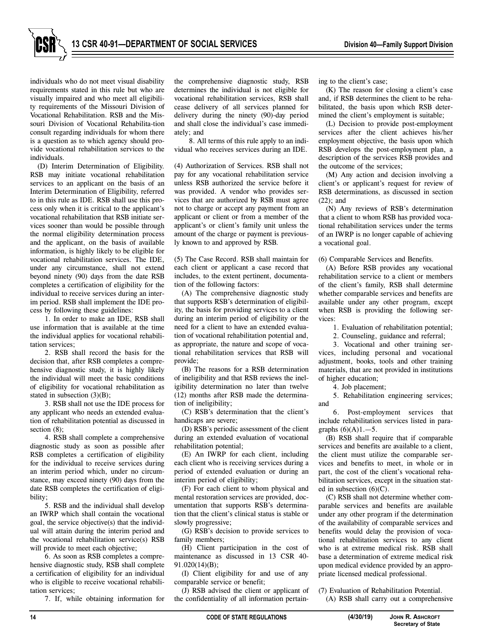

individuals who do not meet visual disability requirements stated in this rule but who are visually impaired and who meet all eligibility requirements of the Missouri Division of Vocational Rehabilitation. RSB and the Missouri Division of Vocational Rehabilita-tion consult regarding individuals for whom there is a question as to which agency should provide vocational rehabilitation services to the individuals.

(D) Interim Determination of Eligibility. RSB may initiate vocational rehabilitation services to an applicant on the basis of an Interim Determination of Eligibility, referred to in this rule as IDE. RSB shall use this process only when it is critical to the applicant's vocational rehabilitation that RSB initiate services sooner than would be possible through the normal eligibility determination process and the applicant, on the basis of available information, is highly likely to be eligible for vocational rehabilitation services. The IDE, under any circumstance, shall not extend beyond ninety (90) days from the date RSB completes a certification of eligibility for the individual to receive services during an interim period. RSB shall implement the IDE process by following these guidelines:

1. In order to make an IDE, RSB shall use information that is available at the time the individual applies for vocational rehabilitation services;

2. RSB shall record the basis for the decision that, after RSB completes a comprehensive diagnostic study, it is highly likely the individual will meet the basic conditions of eligibility for vocational rehabilitation as stated in subsection (3)(B);

3. RSB shall not use the IDE process for any applicant who needs an extended evaluation of rehabilitation potential as discussed in section  $(8)$ :

4. RSB shall complete a comprehensive diagnostic study as soon as possible after RSB completes a certification of eligibility for the individual to receive services during an interim period which, under no circumstance, may exceed ninety (90) days from the date RSB completes the certification of eligibility;

5. RSB and the individual shall develop an IWRP which shall contain the vocational goal, the service objective(s) that the individual will attain during the interim period and the vocational rehabilitation service(s) RSB will provide to meet each objective;

6. As soon as RSB completes a comprehensive diagnostic study, RSB shall complete a certification of eligibility for an individual who is eligible to receive vocational rehabilitation services;

7. If, while obtaining information for

the comprehensive diagnostic study, RSB determines the individual is not eligible for vocational rehabilitation services, RSB shall cease delivery of all services planned for delivery during the ninety (90)-day period and shall close the individual's case immediately; and

8. All terms of this rule apply to an individual who receives services during an IDE.

(4) Authorization of Services. RSB shall not pay for any vocational rehabilitation service unless RSB authorized the service before it was provided. A vendor who provides services that are authorized by RSB must agree not to charge or accept any payment from an applicant or client or from a member of the applicant's or client's family unit unless the amount of the charge or payment is previously known to and approved by RSB.

(5) The Case Record. RSB shall maintain for each client or applicant a case record that includes, to the extent pertinent, documentation of the following factors:

(A) The comprehensive diagnostic study that supports RSB's determination of eligibility, the basis for providing services to a client during an interim period of eligibility or the need for a client to have an extended evaluation of vocational rehabilitation potential and, as appropriate, the nature and scope of vocational rehabilitation services that RSB will provide;

(B) The reasons for a RSB determination of ineligibility and that RSB reviews the ineligibility determination no later than twelve (12) months after RSB made the determination of ineligibility;

(C) RSB's determination that the client's handicaps are severe;

(D) RSB's periodic assessment of the client during an extended evaluation of vocational rehabilitation potential;

(E) An IWRP for each client, including each client who is receiving services during a period of extended evaluation or during an interim period of eligibility;

(F) For each client to whom physical and mental restoration services are provided, documentation that supports RSB's determination that the client's clinical status is stable or slowly progressive;

(G) RSB's decision to provide services to family members;

(H) Client participation in the cost of maintenance as discussed in 13 CSR 40- 91.020(14)(B);

(I) Client eligibility for and use of any comparable service or benefit;

(J) RSB advised the client or applicant of the confidentiality of all information pertaining to the client's case;

(K) The reason for closing a client's case and, if RSB determines the client to be rehabilitated, the basis upon which RSB determined the client's employment is suitable;

(L) Decision to provide post-employment services after the client achieves his/her employment objective, the basis upon which RSB develops the post-employment plan, a description of the services RSB provides and the outcome of the services;

(M) Any action and decision involving a client's or applicant's request for review of RSB determinations, as discussed in section (22); and

(N) Any reviews of RSB's determination that a client to whom RSB has provided vocational rehabilitation services under the terms of an IWRP is no longer capable of achieving a vocational goal.

(6) Comparable Services and Benefits.

(A) Before RSB provides any vocational rehabilitation service to a client or members of the client's family, RSB shall determine whether comparable services and benefits are available under any other program, except when RSB is providing the following services:

1. Evaluation of rehabilitation potential;

2. Counseling, guidance and referral;

3. Vocational and other training services, including personal and vocational adjustment, books, tools and other training materials, that are not provided in institutions of higher education;

4. Job placement;

5. Rehabilitation engineering services; and

6. Post-employment services that include rehabilitation services listed in paragraphs  $(6)(A)1$ . -5.

(B) RSB shall require that if comparable services and benefits are available to a client, the client must utilize the comparable services and benefits to meet, in whole or in part, the cost of the client's vocational rehabilitation services, except in the situation stated in subsection (6)(C).

(C) RSB shall not determine whether comparable services and benefits are available under any other program if the determination of the availability of comparable services and benefits would delay the provision of vocational rehabilitation services to any client who is at extreme medical risk. RSB shall base a determination of extreme medical risk upon medical evidence provided by an appropriate licensed medical professional.

(7) Evaluation of Rehabilitation Potential. (A) RSB shall carry out a comprehensive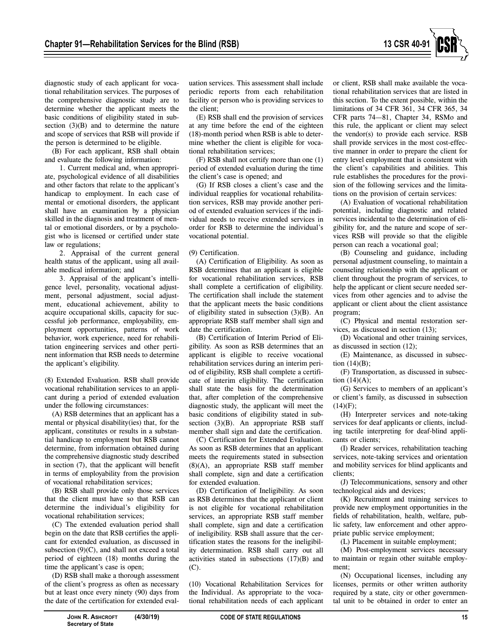

diagnostic study of each applicant for vocational rehabilitation services. The purposes of the comprehensive diagnostic study are to determine whether the applicant meets the basic conditions of eligibility stated in subsection  $(3)(B)$  and to determine the nature and scope of services that RSB will provide if the person is determined to be eligible.

(B) For each applicant, RSB shall obtain and evaluate the following information:

1. Current medical and, when appropriate, psychological evidence of all disabilities and other factors that relate to the applicant's handicap to employment. In each case of mental or emotional disorders, the applicant shall have an examination by a physician skilled in the diagnosis and treatment of mental or emotional disorders, or by a psychologist who is licensed or certified under state law or regulations;

2. Appraisal of the current general health status of the applicant, using all available medical information; and

3. Appraisal of the applicant's intelligence level, personality, vocational adjustment, personal adjustment, social adjustment, educational achievement, ability to acquire occupational skills, capacity for successful job performance, employability, employment opportunities, patterns of work behavior, work experience, need for rehabilitation engineering services and other pertinent information that RSB needs to determine the applicant's eligibility.

(8) Extended Evaluation. RSB shall provide vocational rehabilitation services to an applicant during a period of extended evaluation under the following circumstances:

(A) RSB determines that an applicant has a mental or physical disability(ies) that, for the applicant, constitutes or results in a substantial handicap to employment but RSB cannot determine, from information obtained during the comprehensive diagnostic study described in section (7), that the applicant will benefit in terms of employability from the provision of vocational rehabilitation services;

(B) RSB shall provide only those services that the client must have so that RSB can determine the individual's eligibility for vocational rehabilitation services;

(C) The extended evaluation period shall begin on the date that RSB certifies the applicant for extended evaluation, as discussed in subsection (9)(C), and shall not exceed a total period of eighteen (18) months during the time the applicant's case is open;

(D) RSB shall make a thorough assessment of the client's progress as often as necessary but at least once every ninety (90) days from the date of the certification for extended evaluation services. This assessment shall include periodic reports from each rehabilitation facility or person who is providing services to the client;

(E) RSB shall end the provision of services at any time before the end of the eighteen (18)-month period when RSB is able to determine whether the client is eligible for vocational rehabilitation services;

(F) RSB shall not certify more than one (1) period of extended evaluation during the time the client's case is opened; and

(G) If RSB closes a client's case and the individual reapplies for vocational rehabilitation services, RSB may provide another period of extended evaluation services if the individual needs to receive extended services in order for RSB to determine the individual's vocational potential.

#### (9) Certification.

(A) Certification of Eligibility. As soon as RSB determines that an applicant is eligible for vocational rehabilitation services, RSB shall complete a certification of eligibility. The certification shall include the statement that the applicant meets the basic conditions of eligibility stated in subsection (3)(B). An appropriate RSB staff member shall sign and date the certification.

(B) Certification of Interim Period of Eligibility. As soon as RSB determines that an applicant is eligible to receive vocational rehabilitation services during an interim period of eligibility, RSB shall complete a certificate of interim eligibility. The certification shall state the basis for the determination that, after completion of the comprehensive diagnostic study, the applicant will meet the basic conditions of eligibility stated in subsection (3)(B). An appropriate RSB staff member shall sign and date the certification.

(C) Certification for Extended Evaluation. As soon as RSB determines that an applicant meets the requirements stated in subsection (8)(A), an appropriate RSB staff member shall complete, sign and date a certification for extended evaluation.

(D) Certification of Ineligibility. As soon as RSB determines that the applicant or client is not eligible for vocational rehabilitation services, an appropriate RSB staff member shall complete, sign and date a certification of ineligibility. RSB shall assure that the certification states the reasons for the ineligibility determination. RSB shall carry out all activities stated in subsections (17)(B) and (C).

(10) Vocational Rehabilitation Services for the Individual. As appropriate to the vocational rehabilitation needs of each applicant

or client, RSB shall make available the vocational rehabilitation services that are listed in this section. To the extent possible, within the limitations of 34 CFR 361, 34 CFR 365, 34 CFR parts 74—81, Chapter 34, RSMo and this rule, the applicant or client may select the vendor(s) to provide each service. RSB shall provide services in the most cost-effective manner in order to prepare the client for entry level employment that is consistent with the client's capabilities and abilities. This rule establishes the procedures for the provision of the following services and the limitations on the provision of certain services:

(A) Evaluation of vocational rehabilitation potential, including diagnostic and related services incidental to the determination of eligibility for, and the nature and scope of services RSB will provide so that the eligible person can reach a vocational goal;

(B) Counseling and guidance, including personal adjustment counseling, to maintain a counseling relationship with the applicant or client throughout the program of services, to help the applicant or client secure needed services from other agencies and to advise the applicant or client about the client assistance program;

(C) Physical and mental restoration services, as discussed in section (13);

(D) Vocational and other training services, as discussed in section (12);

(E) Maintenance, as discussed in subsection  $(14)(B)$ ;

(F) Transportation, as discussed in subsection  $(14)(A)$ ;

(G) Services to members of an applicant's or client's family, as discussed in subsection  $(14)(F)$ ;

(H) Interpreter services and note-taking services for deaf applicants or clients, including tactile interpreting for deaf-blind applicants or clients;

(I) Reader services, rehabilitation teaching services, note-taking services and orientation and mobility services for blind applicants and clients;

(J) Telecommunications, sensory and other technological aids and devices;

(K) Recruitment and training services to provide new employment opportunities in the fields of rehabilitation, health, welfare, public safety, law enforcement and other appropriate public service employment;

(L) Placement in suitable employment;

(M) Post-employment services necessary to maintain or regain other suitable employment;

(N) Occupational licenses, including any licenses, permits or other written authority required by a state, city or other governmental unit to be obtained in order to enter an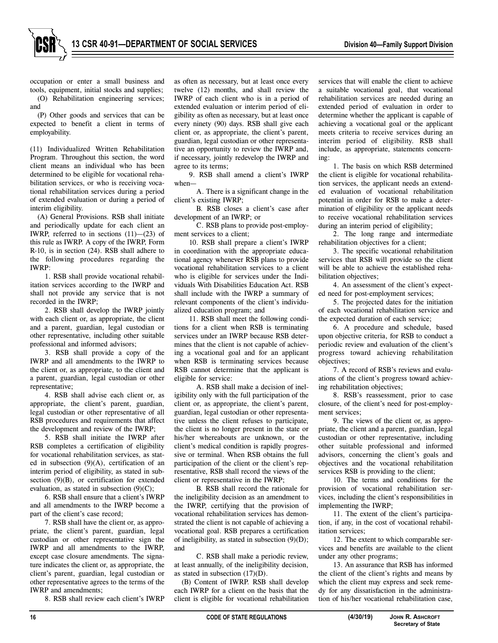

occupation or enter a small business and tools, equipment, initial stocks and supplies; (O) Rehabilitation engineering services; and

(P) Other goods and services that can be expected to benefit a client in terms of employability.

(11) Individualized Written Rehabilitation Program. Throughout this section, the word client means an individual who has been determined to be eligible for vocational rehabilitation services, or who is receiving vocational rehabilitation services during a period of extended evaluation or during a period of interim eligibility.

(A) General Provisions. RSB shall initiate and periodically update for each client an IWRP, referred to in sections  $(11)$ — $(23)$  of this rule as IWRP. A copy of the IWRP, Form R-10, is in section (24). RSB shall adhere to the following procedures regarding the IWRP:

1. RSB shall provide vocational rehabilitation services according to the IWRP and shall not provide any service that is not recorded in the IWRP;

2. RSB shall develop the IWRP jointly with each client or, as appropriate, the client and a parent, guardian, legal custodian or other representative, including other suitable professional and informed advisors;

3. RSB shall provide a copy of the IWRP and all amendments to the IWRP to the client or, as appropriate, to the client and a parent, guardian, legal custodian or other representative;

4. RSB shall advise each client or, as appropriate, the client's parent, guardian, legal custodian or other representative of all RSB procedures and requirements that affect the development and review of the IWRP;

5. RSB shall initiate the IWRP after RSB completes a certification of eligibility for vocational rehabilitation services, as stated in subsection (9)(A), certification of an interim period of eligibility, as stated in subsection (9)(B), or certification for extended evaluation, as stated in subsection (9)(C);

6. RSB shall ensure that a client's IWRP and all amendments to the IWRP become a part of the client's case record;

7. RSB shall have the client or, as appropriate, the client's parent, guardian, legal custodian or other representative sign the IWRP and all amendments to the IWRP, except case closure amendments. The signature indicates the client or, as appropriate, the client's parent, guardian, legal custodian or other representative agrees to the terms of the IWRP and amendments;

8. RSB shall review each client's IWRP

as often as necessary, but at least once every twelve (12) months, and shall review the IWRP of each client who is in a period of extended evaluation or interim period of eligibility as often as necessary, but at least once every ninety (90) days. RSB shall give each client or, as appropriate, the client's parent, guardian, legal custodian or other representative an opportunity to review the IWRP and, if necessary, jointly redevelop the IWRP and agree to its terms;

9. RSB shall amend a client's IWRP when—

A. There is a significant change in the client's existing IWRP;

B. RSB closes a client's case after development of an IWRP; or

C. RSB plans to provide post-employment services to a client;

10. RSB shall prepare a client's IWRP in coordination with the appropriate educational agency whenever RSB plans to provide vocational rehabilitation services to a client who is eligible for services under the Individuals With Disabilities Education Act. RSB shall include with the IWRP a summary of relevant components of the client's individualized education program; and

11. RSB shall meet the following conditions for a client when RSB is terminating services under an IWRP because RSB determines that the client is not capable of achieving a vocational goal and for an applicant when RSB is terminating services because RSB cannot determine that the applicant is eligible for service:

A. RSB shall make a decision of ineligibility only with the full participation of the client or, as appropriate, the client's parent, guardian, legal custodian or other representative unless the client refuses to participate, the client is no longer present in the state or his/her whereabouts are unknown, or the client's medical condition is rapidly progressive or terminal. When RSB obtains the full participation of the client or the client's representative, RSB shall record the views of the client or representative in the IWRP;

B. RSB shall record the rationale for the ineligibility decision as an amendment to the IWRP, certifying that the provision of vocational rehabilitation services has demonstrated the client is not capable of achieving a vocational goal. RSB prepares a certification of ineligibility, as stated in subsection (9)(D); and

C. RSB shall make a periodic review, at least annually, of the ineligibility decision, as stated in subsection (17)(D).

(B) Content of IWRP. RSB shall develop each IWRP for a client on the basis that the client is eligible for vocational rehabilitation

services that will enable the client to achieve a suitable vocational goal, that vocational rehabilitation services are needed during an extended period of evaluation in order to determine whether the applicant is capable of achieving a vocational goal or the applicant meets criteria to receive services during an interim period of eligibility. RSB shall include, as appropriate, statements concerning:

1. The basis on which RSB determined the client is eligible for vocational rehabilitation services, the applicant needs an extended evaluation of vocational rehabilitation potential in order for RSB to make a determination of eligibility or the applicant needs to receive vocational rehabilitation services during an interim period of eligibility;

2. The long range and intermediate rehabilitation objectives for a client;

3. The specific vocational rehabilitation services that RSB will provide so the client will be able to achieve the established rehabilitation objectives;

4. An assessment of the client's expected need for post-employment services;

5. The projected dates for the initiation of each vocational rehabilitation service and the expected duration of each service;

6. A procedure and schedule, based upon objective criteria, for RSB to conduct a periodic review and evaluation of the client's progress toward achieving rehabilitation objectives;

7. A record of RSB's reviews and evaluations of the client's progress toward achieving rehabilitation objectives;

8. RSB's reassessment, prior to case closure, of the client's need for post-employment services;

9. The views of the client or, as appropriate, the client and a parent, guardian, legal custodian or other representative, including other suitable professional and informed advisors, concerning the client's goals and objectives and the vocational rehabilitation services RSB is providing to the client;

10. The terms and conditions for the provision of vocational rehabilitation services, including the client's responsibilities in implementing the IWRP;

11. The extent of the client's participation, if any, in the cost of vocational rehabilitation services;

12. The extent to which comparable services and benefits are available to the client under any other programs;

13. An assurance that RSB has informed the client of the client's rights and means by which the client may express and seek remedy for any dissatisfaction in the administration of his/her vocational rehabilitation case,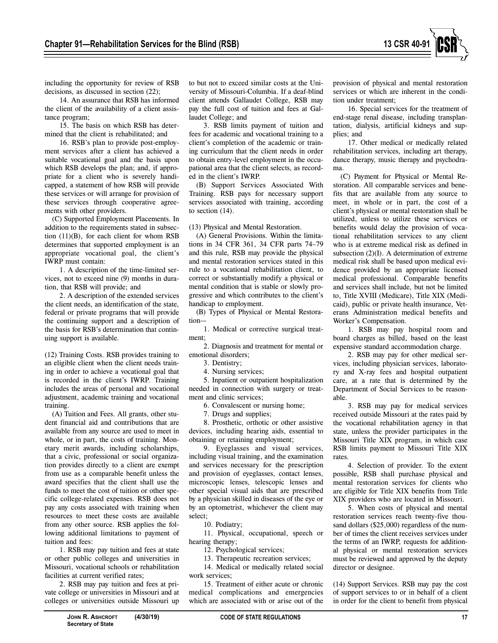

including the opportunity for review of RSB decisions, as discussed in section (22);

14. An assurance that RSB has informed the client of the availability of a client assistance program;

15. The basis on which RSB has determined that the client is rehabilitated; and

16. RSB's plan to provide post-employment services after a client has achieved a suitable vocational goal and the basis upon which RSB develops the plan; and, if appropriate for a client who is severely handicapped, a statement of how RSB will provide these services or will arrange for provision of these services through cooperative agreements with other providers.

(C) Supported Employment Placements. In addition to the requirements stated in subsection (11)(B), for each client for whom RSB determines that supported employment is an appropriate vocational goal, the client's IWRP must contain:

1. A description of the time-limited services, not to exceed nine (9) months in duration, that RSB will provide; and

2. A description of the extended services the client needs, an identification of the state, federal or private programs that will provide the continuing support and a description of the basis for RSB's determination that continuing support is available.

(12) Training Costs. RSB provides training to an eligible client when the client needs training in order to achieve a vocational goal that is recorded in the client's IWRP. Training includes the areas of personal and vocational adjustment, academic training and vocational training.

(A) Tuition and Fees. All grants, other student financial aid and contributions that are available from any source are used to meet in whole, or in part, the costs of training. Monetary merit awards, including scholarships, that a civic, professional or social organization provides directly to a client are exempt from use as a comparable benefit unless the award specifies that the client shall use the funds to meet the cost of tuition or other specific college-related expenses. RSB does not pay any costs associated with training when resources to meet these costs are available from any other source. RSB applies the following additional limitations to payment of tuition and fees:

1. RSB may pay tuition and fees at state or other public colleges and universities in Missouri, vocational schools or rehabilitation facilities at current verified rates;

2. RSB may pay tuition and fees at private college or universities in Missouri and at colleges or universities outside Missouri up

to but not to exceed similar costs at the University of Missouri-Columbia. If a deaf-blind client attends Gallaudet College, RSB may pay the full cost of tuition and fees at Gallaudet College; and

3. RSB limits payment of tuition and fees for academic and vocational training to a client's completion of the academic or training curriculum that the client needs in order to obtain entry-level employment in the occupational area that the client selects, as recorded in the client's IWRP.

(B) Support Services Associated With Training. RSB pays for necessary support services associated with training, according to section (14).

(13) Physical and Mental Restoration.

(A) General Provisions. Within the limitations in 34 CFR 361, 34 CFR parts 74–79 and this rule, RSB may provide the physical and mental restoration services stated in this rule to a vocational rehabilitation client, to correct or substantially modify a physical or mental condition that is stable or slowly progressive and which contributes to the client's handicap to employment.

(B) Types of Physical or Mental Restoration—

1. Medical or corrective surgical treatment;

2. Diagnosis and treatment for mental or emotional disorders;

3. Dentistry;

4. Nursing services;

5. Inpatient or outpatient hospitalization needed in connection with surgery or treatment and clinic services;

6. Convalescent or nursing home;

7. Drugs and supplies;

8. Prosthetic, orthotic or other assistive devices, including hearing aids, essential to obtaining or retaining employment;

9. Eyeglasses and visual services, including visual training, and the examination and services necessary for the prescription and provision of eyeglasses, contact lenses, microscopic lenses, telescopic lenses and other special visual aids that are prescribed by a physician skilled in diseases of the eye or by an optometrist, whichever the client may select;

10. Podiatry;

11. Physical, occupational, speech or hearing therapy;

12. Psychological services;

13. Therapeutic recreation services;

14. Medical or medically related social work services;

15. Treatment of either acute or chronic medical complications and emergencies which are associated with or arise out of the provision of physical and mental restoration services or which are inherent in the condition under treatment;

16. Special services for the treatment of end-stage renal disease, including transplantation, dialysis, artificial kidneys and supplies; and

17. Other medical or medically related rehabilitation services, including art therapy, dance therapy, music therapy and psychodrama.

(C) Payment for Physical or Mental Restoration. All comparable services and benefits that are available from any source to meet, in whole or in part, the cost of a client's physical or mental restoration shall be utilized, unless to utilize these services or benefits would delay the provision of vocational rehabilitation services to any client who is at extreme medical risk as defined in subsection (2)(I). A determination of extreme medical risk shall be based upon medical evidence provided by an appropriate licensed medical professional. Comparable benefits and services shall include, but not be limited to, Title XVIII (Medicare), Title XIX (Medicaid), public or private health insurance, Veterans Administration medical benefits and Worker's Compensation.

1. RSB may pay hospital room and board charges as billed, based on the least expensive standard accommodation charge.

2. RSB may pay for other medical services, including physician services, laboratory and X-ray fees and hospital outpatient care, at a rate that is determined by the Department of Social Services to be reasonable.

3. RSB may pay for medical services received outside Missouri at the rates paid by the vocational rehabilitation agency in that state, unless the provider participates in the Missouri Title XIX program, in which case RSB limits payment to Missouri Title XIX rates.

4. Selection of provider. To the extent possible, RSB shall purchase physical and mental restoration services for clients who are eligible for Title XIX benefits from Title XIX providers who are located in Missouri.

5. When costs of physical and mental restoration services reach twenty-five thousand dollars (\$25,000) regardless of the number of times the client receives services under the terms of an IWRP, requests for additional physical or mental restoration services must be reviewed and approved by the deputy director or designee.

(14) Support Services. RSB may pay the cost of support services to or in behalf of a client in order for the client to benefit from physical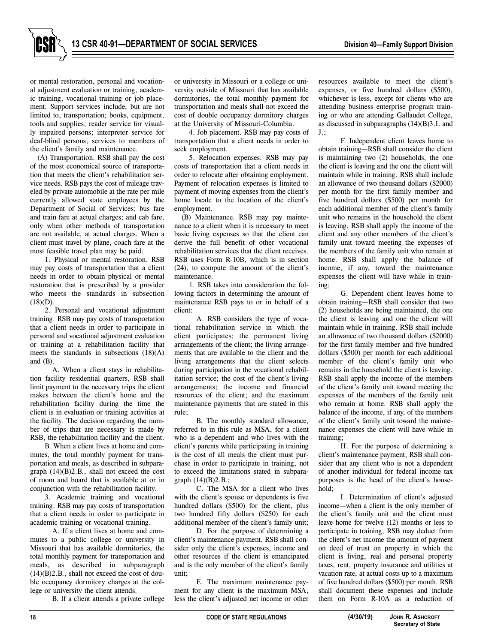

or mental restoration, personal and vocational adjustment evaluation or training, academic training, vocational training or job placement. Support services include, but are not limited to, transportation; books, equipment, tools and supplies; reader service for visually impaired persons; interpreter service for deaf-blind persons; services to members of the client's family and maintenance.

(A) Transportation. RSB shall pay the cost of the most economical source of transportation that meets the client's rehabilitation service needs. RSB pays the cost of mileage traveled by private automobile at the rate per mile currently allowed state employees by the Department of Social of Services; bus fare and train fare at actual charges; and cab fare, only when other methods of transportation are not available, at actual charges. When a client must travel by plane, coach fare at the most feasible travel plan may be paid.

1. Physical or mental restoration. RSB may pay costs of transportation that a client needs in order to obtain physical or mental restoration that is prescribed by a provider who meets the standards in subsection  $(18)(D)$ .

2. Personal and vocational adjustment training. RSB may pay costs of transportation that a client needs in order to participate in personal and vocational adjustment evaluation or training at a rehabilitation facility that meets the standards in subsections (18)(A) and (B).

A. When a client stays in rehabilitation facility residential quarters, RSB shall limit payment to the necessary trips the client makes between the client's home and the rehabilitation facility during the time the client is in evaluation or training activities at the facility. The decision regarding the number of trips that are necessary is made by RSB, the rehabilitation facility and the client.

B. When a client lives at home and commutes, the total monthly payment for transportation and meals, as described in subparagraph (14)(B)2.B., shall not exceed the cost of room and board that is available at or in conjunction with the rehabilitation facility.

3. Academic training and vocational training. RSB may pay costs of transportation that a client needs in order to participate in academic training or vocational training.

A. If a client lives at home and commutes to a public college or university in Missouri that has available dormitories, the total monthly payment for transportation and meals, as described in subparagraph  $(14)(B)2.B., shall not exceed the cost of dou$ ble occupancy dormitory charges at the college or university the client attends.

B. If a client attends a private college

or university in Missouri or a college or university outside of Missouri that has available dormitories, the total monthly payment for transportation and meals shall not exceed the cost of double occupancy dormitory charges at the University of Missouri-Columbia.

4. Job placement. RSB may pay costs of transportation that a client needs in order to seek employment.

5. Relocation expenses. RSB may pay costs of transportation that a client needs in order to relocate after obtaining employment. Payment of relocation expenses is limited to payment of moving expenses from the client's home locale to the location of the client's employment.

(B) Maintenance. RSB may pay maintenance to a client when it is necessary to meet basic living expenses so that the client can derive the full benefit of other vocational rehabilitation services that the client receives. RSB uses Form R-10B, which is in section (24), to compute the amount of the client's maintenance.

1. RSB takes into consideration the following factors in determining the amount of maintenance RSB pays to or in behalf of a client:

A. RSB considers the type of vocational rehabilitation service in which the client participates; the permanent living arrangements of the client; the living arrangements that are available to the client and the living arrangements that the client selects during participation in the vocational rehabilitation service; the cost of the client's living arrangements; the income and financial resources of the client; and the maximum maintenance payments that are stated in this rule;

B. The monthly standard allowance, referred to in this rule as MSA, for a client who is a dependent and who lives with the client's parents while participating in training is the cost of all meals the client must purchase in order to participate in training, not to exceed the limitations stated in subparagraph (14)(B)2.B.;

C. The MSA for a client who lives with the client's spouse or dependents is five hundred dollars (\$500) for the client, plus two hundred fifty dollars (\$250) for each additional member of the client's family unit;

D. For the purpose of determining a client's maintenance payment, RSB shall consider only the client's expenses, income and other resources if the client is emancipated and is the only member of the client's family unit;

E. The maximum maintenance payment for any client is the maximum MSA, less the client's adjusted net income or other

resources available to meet the client's expenses, or five hundred dollars (\$500), whichever is less, except for clients who are attending business enterprise program training or who are attending Gallaudet College, as discussed in subparagraphs (14)(B)3.I. and J.;

F. Independent client leaves home to obtain training—RSB shall consider the client is maintaining two (2) households, the one the client is leaving and the one the client will maintain while in training. RSB shall include an allowance of two thousand dollars (\$2000) per month for the first family member and five hundred dollars (\$500) per month for each additional member of the client's family unit who remains in the household the client is leaving. RSB shall apply the income of the client and any other members of the client's family unit toward meeting the expenses of the members of the family unit who remain at home. RSB shall apply the balance of income, if any, toward the maintenance expenses the client will have while in training;

G. Dependent client leaves home to obtain training—RSB shall consider that two (2) households are being maintained, the one the client is leaving and one the client will maintain while in training. RSB shall include an allowance of two thousand dollars (\$2000) for the first family member and five hundred dollars (\$500) per month for each additional member of the client's family unit who remains in the household the client is leaving. RSB shall apply the income of the members of the client's family unit toward meeting the expenses of the members of the family unit who remain at home. RSB shall apply the balance of the income, if any, of the members of the client's family unit toward the maintenance expenses the client will have while in training;

H. For the purpose of determining a client's maintenance payment, RSB shall consider that any client who is not a dependent of another individual for federal income tax purposes is the head of the client's household;

I. Determination of client's adjusted income—when a client is the only member of the client's family unit and the client must leave home for twelve (12) months or less to participate in training, RSB may deduct from the client's net income the amount of payment on deed of trust on property in which the client is living, real and personal property taxes, rent, property insurance and utilities at vacation rate, at actual costs up to a maximum of five hundred dollars (\$500) per month. RSB shall document these expenses and include them on Form R-10A as a reduction of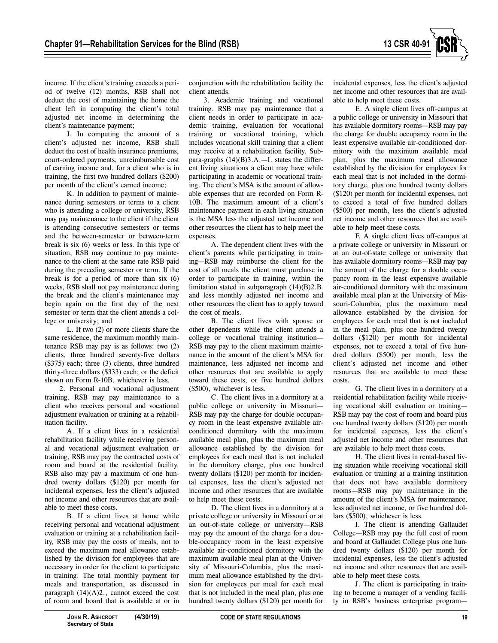

income. If the client's training exceeds a period of twelve (12) months, RSB shall not deduct the cost of maintaining the home the client left in computing the client's total adjusted net income in determining the client's maintenance payment;

J. In computing the amount of a client's adjusted net income, RSB shall deduct the cost of health insurance premiums, court-ordered payments, unreimbursable cost of earning income and, for a client who is in training, the first two hundred dollars (\$200) per month of the client's earned income;

K. In addition to payment of maintenance during semesters or terms to a client who is attending a college or university, RSB may pay maintenance to the client if the client is attending consecutive semesters or terms and the between-semester or between-term break is six (6) weeks or less. In this type of situation, RSB may continue to pay maintenance to the client at the same rate RSB paid during the preceding semester or term. If the break is for a period of more than six (6) weeks, RSB shall not pay maintenance during the break and the client's maintenance may begin again on the first day of the next semester or term that the client attends a college or university; and

L. If two (2) or more clients share the same residence, the maximum monthly maintenance RSB may pay is as follows: two (2) clients, three hundred seventy-five dollars (\$375) each; three (3) clients, three hundred thirty-three dollars (\$333) each; or the deficit shown on Form R-10B, whichever is less.

2. Personal and vocational adjustment training. RSB may pay maintenance to a client who receives personal and vocational adjustment evaluation or training at a rehabilitation facility.

A. If a client lives in a residential rehabilitation facility while receiving personal and vocational adjustment evaluation or training, RSB may pay the contracted costs of room and board at the residential facility. RSB also may pay a maximum of one hundred twenty dollars (\$120) per month for incidental expenses, less the client's adjusted net income and other resources that are available to meet these costs.

B. If a client lives at home while receiving personal and vocational adjustment evaluation or training at a rehabilitation facility, RSB may pay the costs of meals, not to exceed the maximum meal allowance established by the division for employees that are necessary in order for the client to participate in training. The total monthly payment for meals and transportation, as discussed in paragraph  $(14)(A)2$ ., cannot exceed the cost of room and board that is available at or in

conjunction with the rehabilitation facility the client attends.

3. Academic training and vocational training. RSB may pay maintenance that a client needs in order to participate in academic training, evaluation for vocational training or vocational training, which includes vocational skill training that a client may receive at a rehabilitation facility. Subpara-graphs (14)(B)3.A.—I. states the different living situations a client may have while participating in academic or vocational training. The client's MSA is the amount of allowable expenses that are recorded on Form R-10B. The maximum amount of a client's maintenance payment in each living situation is the MSA less the adjusted net income and other resources the client has to help meet the expenses.

A. The dependent client lives with the client's parents while participating in training—RSB may reimburse the client for the cost of all meals the client must purchase in order to participate in training, within the limitation stated in subparagraph (14)(B)2.B. and less monthly adjusted net income and other resources the client has to apply toward the cost of meals.

B. The client lives with spouse or other dependents while the client attends a college or vocational training institution— RSB may pay to the client maximum maintenance in the amount of the client's MSA for maintenance, less adjusted net income and other resources that are available to apply toward these costs, or five hundred dollars (\$500), whichever is less.

C. The client lives in a dormitory at a public college or university in Missouri— RSB may pay the charge for double occupancy room in the least expensive available airconditioned dormitory with the maximum available meal plan, plus the maximum meal allowance established by the division for employees for each meal that is not included in the dormitory charge, plus one hundred twenty dollars (\$120) per month for incidental expenses, less the client's adjusted net income and other resources that are available to help meet these costs.

D. The client lives in a dormitory at a private college or university in Missouri or at an out-of-state college or university—RSB may pay the amount of the charge for a double-occupancy room in the least expensive available air-conditioned dormitory with the maximum available meal plan at the University of Missouri-Columbia, plus the maximum meal allowance established by the division for employees per meal for each meal that is not included in the meal plan, plus one hundred twenty dollars (\$120) per month for

incidental expenses, less the client's adjusted net income and other resources that are available to help meet these costs.

E. A single client lives off-campus at a public college or university in Missouri that has available dormitory rooms—RSB may pay the charge for double occupancy room in the least expensive available air-conditioned dormitory with the maximum available meal plan, plus the maximum meal allowance established by the division for employees for each meal that is not included in the dormitory charge, plus one hundred twenty dollars (\$120) per month for incidental expenses, not to exceed a total of five hundred dollars (\$500) per month, less the client's adjusted net income and other resources that are available to help meet these costs.

F. A single client lives off-campus at a private college or university in Missouri or at an out-of-state college or university that has available dormitory rooms—RSB may pay the amount of the charge for a double occupancy room in the least expensive available air-conditioned dormitory with the maximum available meal plan at the University of Missouri-Columbia, plus the maximum meal allowance established by the division for employees for each meal that is not included in the meal plan, plus one hundred twenty dollars (\$120) per month for incidental expenses, not to exceed a total of five hundred dollars (\$500) per month, less the client's adjusted net income and other resources that are available to meet these costs.

G. The client lives in a dormitory at a residential rehabilitation facility while receiving vocational skill evaluation or training— RSB may pay the cost of room and board plus one hundred twenty dollars (\$120) per month for incidental expenses, less the client's adjusted net income and other resources that are available to help meet these costs.

H. The client lives in rental-based living situation while receiving vocational skill evaluation or training at a training institution that does not have available dormitory rooms—RSB may pay maintenance in the amount of the client's MSA for maintenance, less adjusted net income, or five hundred dollars (\$500), whichever is less.

I. The client is attending Gallaudet College—RSB may pay the full cost of room and board at Gallaudet College plus one hundred twenty dollars (\$120) per month for incidental expenses, less the client's adjusted net income and other resources that are available to help meet these costs.

J. The client is participating in training to become a manager of a vending facility in RSB's business enterprise program—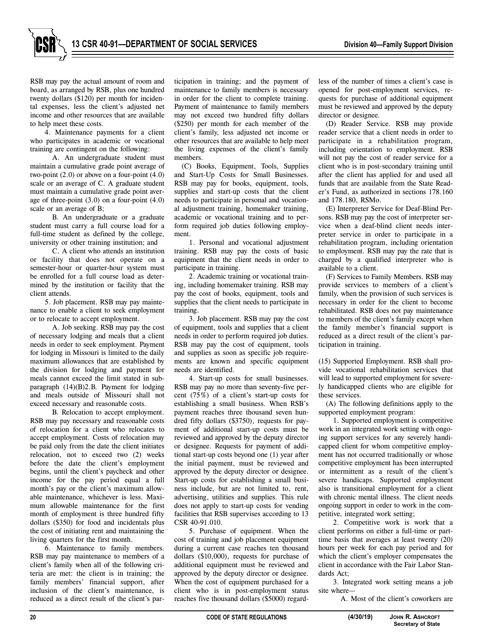

RSB may pay the actual amount of room and board, as arranged by RSB, plus one hundred twenty dollars (\$120) per month for incidental expenses, less the client's adjusted net income and other resources that are available to help meet these costs.

4. Maintenance payments for a client who participates in academic or vocational training are contingent on the following:

A. An undergraduate student must maintain a cumulative grade point average of two-point  $(2.0)$  or above on a four-point  $(4.0)$ scale or an average of C. A graduate student must maintain a cumulative grade point average of three-point (3.0) on a four-point (4.0) scale or an average of B;

B. An undergraduate or a graduate student must carry a full course load for a full-time student as defined by the college, university or other training institution; and

C. A client who attends an institution or facility that does not operate on a semester-hour or quarter-hour system must be enrolled for a full course load as determined by the institution or facility that the client attends.

5. Job placement. RSB may pay maintenance to enable a client to seek employment or to relocate to accept employment.

A. Job seeking. RSB may pay the cost of necessary lodging and meals that a client needs in order to seek employment. Payment for lodging in Missouri is limited to the daily maximum allowances that are established by the division for lodging and payment for meals cannot exceed the limit stated in subparagraph (14)(B)2.B. Payment for lodging and meals outside of Missouri shall not exceed necessary and reasonable costs.

B. Relocation to accept employment. RSB may pay necessary and reasonable costs of relocation for a client who relocates to accept employment. Costs of relocation may be paid only from the date the client initiates relocation, not to exceed two (2) weeks before the date the client's employment begins, until the client's paycheck and other income for the pay period equal a full month's pay or the client's maximum allowable maintenance, whichever is less. Maximum allowable maintenance for the first month of employment is three hundred fifty dollars (\$350) for food and incidentals plus the cost of initiating rent and maintaining the living quarters for the first month.

6. Maintenance to family members. RSB may pay maintenance to members of a client's family when all of the following criteria are met: the client is in training; the family members' financial support, after inclusion of the client's maintenance, is reduced as a direct result of the client's participation in training; and the payment of maintenance to family members is necessary in order for the client to complete training. Payment of maintenance to family members may not exceed two hundred fifty dollars (\$250) per month for each member of the client's family, less adjusted net income or other resources that are available to help meet the living expenses of the client's family members.

(C) Books, Equipment, Tools, Supplies and Start-Up Costs for Small Businesses. RSB may pay for books, equipment, tools, supplies and start-up costs that the client needs to participate in personal and vocational adjustment training, homemaker training, academic or vocational training and to perform required job duties following employment.

1. Personal and vocational adjustment training. RSB may pay the costs of basic equipment that the client needs in order to participate in training.

2. Academic training or vocational training, including homemaker training. RSB may pay the cost of books, equipment, tools and supplies that the client needs to participate in training.

3. Job placement. RSB may pay the cost of equipment, tools and supplies that a client needs in order to perform required job duties. RSB may pay the cost of equipment, tools and supplies as soon as specific job requirements are known and specific equipment needs are identified.

4. Start-up costs for small businesses. RSB may pay no more than seventy-five percent (75%) of a client's start-up costs for establishing a small business. When RSB's payment reaches three thousand seven hundred fifty dollars (\$3750), requests for payment of additional start-up costs must be reviewed and approved by the deputy director or designee. Requests for payment of additional start-up costs beyond one (1) year after the initial payment, must be reviewed and approved by the deputy director or designee. Start-up costs for establishing a small business include, but are not limited to, rent, advertising, utilities and supplies. This rule does not apply to start-up costs for vending facilities that RSB supervises according to 13 CSR 40-91.010.

5. Purchase of equipment. When the cost of training and job placement equipment during a current case reaches ten thousand dollars (\$10,000), requests for purchase of additional equipment must be reviewed and approved by the deputy director or designee. When the cost of equipment purchased for a client who is in post-employment status reaches five thousand dollars (\$5000) regardless of the number of times a client's case is opened for post-employment services, requests for purchase of additional equipment must be reviewed and approved by the deputy director or designee.

(D) Reader Service. RSB may provide reader service that a client needs in order to participate in a rehabilitation program, including orientation to employment. RSB will not pay the cost of reader service for a client who is in post-secondary training until after the client has applied for and used all funds that are available from the State Reader's Fund, as authorized in sections 178.160 and 178.180, RSMo.

(E) Interpreter Service for Deaf-Blind Persons. RSB may pay the cost of interpreter service when a deaf-blind client needs interpreter service in order to participate in a rehabilitation program, including orientation to employment. RSB may pay the rate that is charged by a qualified interpreter who is available to a client.

(F) Services to Family Members. RSB may provide services to members of a client's family, when the provision of such services is necessary in order for the client to become rehabilitated. RSB does not pay maintenance to members of the client's family except when the family member's financial support is reduced as a direct result of the client's participation in training.

(15) Supported Employment. RSB shall provide vocational rehabilitation services that will lead to supported employment for severely handicapped clients who are eligible for these services.

(A) The following definitions apply to the supported employment program:

1. Supported employment is competitive work in an integrated work setting with ongoing support services for any severely handicapped client for whom competitive employment has not occurred traditionally or whose competitive employment has been interrupted or intermittent as a result of the client's severe handicaps. Supported employment also is transitional employment for a client with chronic mental illness. The client needs ongoing support in order to work in the competitive, integrated work setting;

2. Competitive work is work that a client performs on either a full-time or parttime basis that averages at least twenty (20) hours per week for each pay period and for which the client's employer compensates the client in accordance with the Fair Labor Standards Act;

3. Integrated work setting means a job site where—

A. Most of the client's coworkers are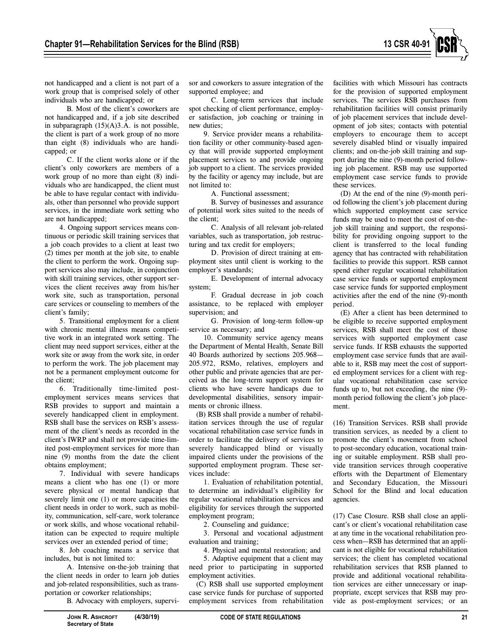

not handicapped and a client is not part of a work group that is comprised solely of other individuals who are handicapped; or

B. Most of the client's coworkers are not handicapped and, if a job site described in subparagraph (15)(A)3.A. is not possible, the client is part of a work group of no more than eight (8) individuals who are handicapped; or

C. If the client works alone or if the client's only coworkers are members of a work group of no more than eight (8) individuals who are handicapped, the client must be able to have regular contact with individuals, other than personnel who provide support services, in the immediate work setting who are not handicapped;

4. Ongoing support services means continuous or periodic skill training services that a job coach provides to a client at least two (2) times per month at the job site, to enable the client to perform the work. Ongoing support services also may include, in conjunction with skill training services, other support services the client receives away from his/her work site, such as transportation, personal care services or counseling to members of the client's family;

5. Transitional employment for a client with chronic mental illness means competitive work in an integrated work setting. The client may need support services, either at the work site or away from the work site, in order to perform the work. The job placement may not be a permanent employment outcome for the client;

6. Traditionally time-limited postemployment services means services that RSB provides to support and maintain a severely handicapped client in employment. RSB shall base the services on RSB's assessment of the client's needs as recorded in the client's IWRP and shall not provide time-limited post-employment services for more than nine (9) months from the date the client obtains employment;

7. Individual with severe handicaps means a client who has one (1) or more severe physical or mental handicap that severely limit one (1) or more capacities the client needs in order to work, such as mobility, communication, self-care, work tolerance or work skills, and whose vocational rehabilitation can be expected to require multiple services over an extended period of time;

8. Job coaching means a service that includes, but is not limited to:

A. Intensive on-the-job training that the client needs in order to learn job duties and job-related responsibilities, such as transportation or coworker relationships;

B. Advocacy with employers, supervi-

sor and coworkers to assure integration of the supported employee; and

C. Long-term services that include spot checking of client performance, employer satisfaction, job coaching or training in new duties;

9. Service provider means a rehabilitation facility or other community-based agency that will provide supported employment placement services to and provide ongoing job support to a client. The services provided by the facility or agency may include, but are not limited to:

A. Functional assessment;

B. Survey of businesses and assurance of potential work sites suited to the needs of the client;

C. Analysis of all relevant job-related variables, such as transportation, job restructuring and tax credit for employers;

D. Provision of direct training at employment sites until client is working to the employer's standards;

E. Development of internal advocacy system;

F. Gradual decrease in job coach assistance, to be replaced with employer supervision; and

G. Provision of long-term follow-up service as necessary; and

10. Community service agency means the Department of Mental Health, Senate Bill 40 Boards authorized by sections 205.968— 205.972, RSMo, relatives, employers and other public and private agencies that are perceived as the long-term support system for clients who have severe handicaps due to developmental disabilities, sensory impairments or chronic illness.

(B) RSB shall provide a number of rehabilitation services through the use of regular vocational rehabilitation case service funds in order to facilitate the delivery of services to severely handicapped blind or visually impaired clients under the provisions of the supported employment program. These services include:

1. Evaluation of rehabilitation potential, to determine an individual's eligibility for regular vocational rehabilitation services and eligibility for services through the supported employment program;

2. Counseling and guidance;

3. Personal and vocational adjustment evaluation and training;

4. Physical and mental restoration; and

5. Adaptive equipment that a client may need prior to participating in supported employment activities.

(C) RSB shall use supported employment case service funds for purchase of supported employment services from rehabilitation

facilities with which Missouri has contracts for the provision of supported employment services. The services RSB purchases from rehabilitation facilities will consist primarily of job placement services that include development of job sites; contacts with potential employers to encourage them to accept severely disabled blind or visually impaired clients; and on-the-job skill training and support during the nine (9)-month period following job placement. RSB may use supported employment case service funds to provide these services.

(D) At the end of the nine (9)-month period following the client's job placement during which supported employment case service funds may be used to meet the cost of on-thejob skill training and support, the responsibility for providing ongoing support to the client is transferred to the local funding agency that has contracted with rehabilitation facilities to provide this support. RSB cannot spend either regular vocational rehabilitation case service funds or supported employment case service funds for supported employment activities after the end of the nine (9)-month period.

(E) After a client has been determined to be eligible to receive supported employment services, RSB shall meet the cost of those services with supported employment case service funds. If RSB exhausts the supported employment case service funds that are available to it, RSB may meet the cost of supported employment services for a client with regular vocational rehabilitation case service funds up to, but not exceeding, the nine (9) month period following the client's job placement.

(16) Transition Services. RSB shall provide transition services, as needed by a client to promote the client's movement from school to post-secondary education, vocational training or suitable employment. RSB shall provide transition services through cooperative efforts with the Department of Elementary and Secondary Education, the Missouri School for the Blind and local education agencies.

(17) Case Closure. RSB shall close an applicant's or client's vocational rehabilitation case at any time in the vocational rehabilitation process when—RSB has determined that an applicant is not eligible for vocational rehabilitation services; the client has completed vocational rehabilitation services that RSB planned to provide and additional vocational rehabilitation services are either unnecessary or inappropriate, except services that RSB may provide as post-employment services; or an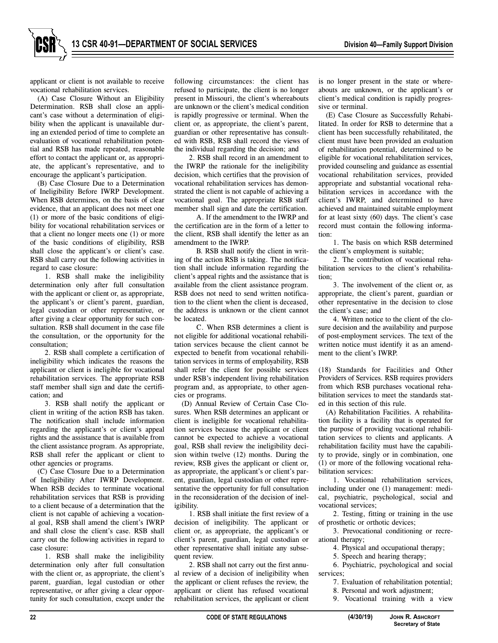applicant or client is not available to receive vocational rehabilitation services.

(A) Case Closure Without an Eligibility Determination. RSB shall close an applicant's case without a determination of eligibility when the applicant is unavailable during an extended period of time to complete an evaluation of vocational rehabilitation potential and RSB has made repeated, reasonable effort to contact the applicant or, as appropriate, the applicant's representative, and to encourage the applicant's participation.

(B) Case Closure Due to a Determination of Ineligibility Before IWRP Development. When RSB determines, on the basis of clear evidence, that an applicant does not meet one (1) or more of the basic conditions of eligibility for vocational rehabilitation services or that a client no longer meets one (1) or more of the basic conditions of eligibility, RSB shall close the applicant's or client's case. RSB shall carry out the following activities in regard to case closure:

1. RSB shall make the ineligibility determination only after full consultation with the applicant or client or, as appropriate, the applicant's or client's parent, guardian, legal custodian or other representative, or after giving a clear opportunity for such consultation. RSB shall document in the case file the consultation, or the opportunity for the consultation;

2. RSB shall complete a certification of ineligibility which indicates the reasons the applicant or client is ineligible for vocational rehabilitation services. The appropriate RSB staff member shall sign and date the certification; and

3. RSB shall notify the applicant or client in writing of the action RSB has taken. The notification shall include information regarding the applicant's or client's appeal rights and the assistance that is available from the client assistance program. As appropriate, RSB shall refer the applicant or client to other agencies or programs.

(C) Case Closure Due to a Determination of Ineligibility After IWRP Development. When RSB decides to terminate vocational rehabilitation services that RSB is providing to a client because of a determination that the client is not capable of achieving a vocational goal, RSB shall amend the client's IWRP and shall close the client's case. RSB shall carry out the following activities in regard to case closure:

1. RSB shall make the ineligibility determination only after full consultation with the client or, as appropriate, the client's parent, guardian, legal custodian or other representative, or after giving a clear opportunity for such consultation, except under the

following circumstances: the client has refused to participate, the client is no longer present in Missouri, the client's whereabouts are unknown or the client's medical condition is rapidly progressive or terminal. When the client or, as appropriate, the client's parent, guardian or other representative has consulted with RSB, RSB shall record the views of the individual regarding the decision; and

2. RSB shall record in an amendment to the IWRP the rationale for the ineligibility decision, which certifies that the provision of vocational rehabilitation services has demonstrated the client is not capable of achieving a vocational goal. The appropriate RSB staff member shall sign and date the certification.

A. If the amendment to the IWRP and the certification are in the form of a letter to the client, RSB shall identify the letter as an amendment to the IWRP.

B. RSB shall notify the client in writing of the action RSB is taking. The notification shall include information regarding the client's appeal rights and the assistance that is available from the client assistance program. RSB does not need to send written notification to the client when the client is deceased, the address is unknown or the client cannot be located.

C. When RSB determines a client is not eligible for additional vocational rehabilitation services because the client cannot be expected to benefit from vocational rehabilitation services in terms of employability, RSB shall refer the client for possible services under RSB's independent living rehabilitation program and, as appropriate, to other agencies or programs.

(D) Annual Review of Certain Case Closures. When RSB determines an applicant or client is ineligible for vocational rehabilitation services because the applicant or client cannot be expected to achieve a vocational goal, RSB shall review the ineligibility decision within twelve (12) months. During the review, RSB gives the applicant or client or, as appropriate, the applicant's or client's parent, guardian, legal custodian or other representative the opportunity for full consultation in the reconsideration of the decision of ineligibility.

1. RSB shall initiate the first review of a decision of ineligibility. The applicant or client or, as appropriate, the applicant's or client's parent, guardian, legal custodian or other representative shall initiate any subsequent review.

2. RSB shall not carry out the first annual review of a decision of ineligibility when the applicant or client refuses the review, the applicant or client has refused vocational rehabilitation services, the applicant or client

is no longer present in the state or whereabouts are unknown, or the applicant's or client's medical condition is rapidly progressive or terminal.

(E) Case Closure as Successfully Rehabilitated. In order for RSB to determine that a client has been successfully rehabilitated, the client must have been provided an evaluation of rehabilitation potential, determined to be eligible for vocational rehabilitation services, provided counseling and guidance as essential vocational rehabilitation services, provided appropriate and substantial vocational rehabilitation services in accordance with the client's IWRP, and determined to have achieved and maintained suitable employment for at least sixty (60) days. The client's case record must contain the following information:

1. The basis on which RSB determined the client's employment is suitable;

2. The contribution of vocational rehabilitation services to the client's rehabilitation;

3. The involvement of the client or, as appropriate, the client's parent, guardian or other representative in the decision to close the client's case; and

4. Written notice to the client of the closure decision and the availability and purpose of post-employment services. The text of the written notice must identify it as an amendment to the client's IWRP.

(18) Standards for Facilities and Other Providers of Services. RSB requires providers from which RSB purchases vocational rehabilitation services to meet the standards stated in this section of this rule.

(A) Rehabilitation Facilities. A rehabilitation facility is a facility that is operated for the purpose of providing vocational rehabilitation services to clients and applicants. A rehabilitation facility must have the capability to provide, singly or in combination, one (1) or more of the following vocational rehabilitation services:

1. Vocational rehabilitation services, including under one (1) management: medical, psychiatric, psychological, social and vocational services;

2. Testing, fitting or training in the use of prosthetic or orthotic devices;

3. Prevocational conditioning or recreational therapy;

- 4. Physical and occupational therapy;
- 5. Speech and hearing therapy;

6. Psychiatric, psychological and social services;

7. Evaluation of rehabilitation potential;

- 8. Personal and work adjustment;
- 9. Vocational training with a view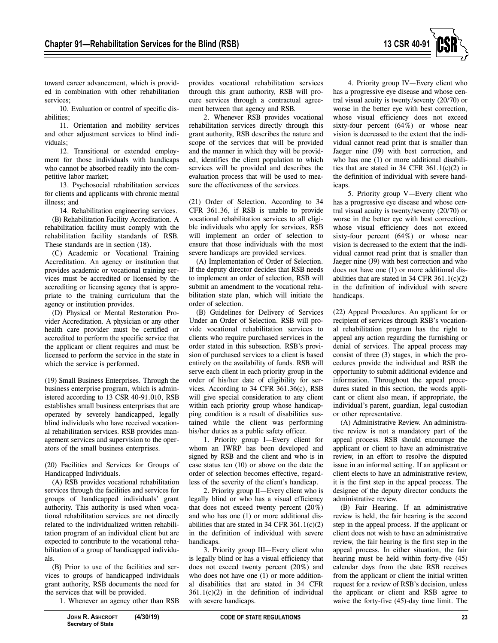

toward career advancement, which is provided in combination with other rehabilitation services;

10. Evaluation or control of specific disabilities;

11. Orientation and mobility services and other adjustment services to blind individuals;

12. Transitional or extended employment for those individuals with handicaps who cannot be absorbed readily into the competitive labor market;

13. Psychosocial rehabilitation services for clients and applicants with chronic mental illness; and

14. Rehabilitation engineering services. (B) Rehabilitation Facility Accreditation. A rehabilitation facility must comply with the rehabilitation facility standards of RSB. These standards are in section (18).

(C) Academic or Vocational Training Accreditation. An agency or institution that provides academic or vocational training services must be accredited or licensed by the accrediting or licensing agency that is appropriate to the training curriculum that the agency or institution provides.

(D) Physical or Mental Restoration Provider Accreditation. A physician or any other health care provider must be certified or accredited to perform the specific service that the applicant or client requires and must be licensed to perform the service in the state in which the service is performed.

(19) Small Business Enterprises. Through the business enterprise program, which is administered according to 13 CSR 40-91.010, RSB establishes small business enterprises that are operated by severely handicapped, legally blind individuals who have received vocational rehabilitation services. RSB provides management services and supervision to the operators of the small business enterprises.

(20) Facilities and Services for Groups of Handicapped Individuals.

(A) RSB provides vocational rehabilitation services through the facilities and services for groups of handicapped individuals' grant authority. This authority is used when vocational rehabilitation services are not directly related to the individualized written rehabilitation program of an individual client but are expected to contribute to the vocational rehabilitation of a group of handicapped individuals.

(B) Prior to use of the facilities and services to groups of handicapped individuals grant authority, RSB documents the need for the services that will be provided.

**Secretary of State**

1. Whenever an agency other than RSB

provides vocational rehabilitation services through this grant authority, RSB will procure services through a contractual agreement between that agency and RSB.

2. Whenever RSB provides vocational rehabilitation services directly through this grant authority, RSB describes the nature and scope of the services that will be provided and the manner in which they will be provided, identifies the client population to which services will be provided and describes the evaluation process that will be used to measure the effectiveness of the services.

(21) Order of Selection. According to 34 CFR 361.36, if RSB is unable to provide vocational rehabilitation services to all eligible individuals who apply for services, RSB will implement an order of selection to ensure that those individuals with the most severe handicaps are provided services.

(A) Implementation of Order of Selection. If the deputy director decides that RSB needs to implement an order of selection, RSB will submit an amendment to the vocational rehabilitation state plan, which will initiate the order of selection.

(B) Guidelines for Delivery of Services Under an Order of Selection. RSB will provide vocational rehabilitation services to clients who require purchased services in the order stated in this subsection. RSB's provision of purchased services to a client is based entirely on the availability of funds. RSB will serve each client in each priority group in the order of his/her date of eligibility for services. According to 34 CFR 361.36(c), RSB will give special consideration to any client within each priority group whose handicapping condition is a result of disabilities sustained while the client was performing his/her duties as a public safety officer.

1. Priority group I—Every client for whom an IWRP has been developed and signed by RSB and the client and who is in case status ten (10) or above on the date the order of selection becomes effective, regardless of the severity of the client's handicap.

2. Priority group II—Every client who is legally blind or who has a visual efficiency that does not exceed twenty percent (20%) and who has one (1) or more additional disabilities that are stated in 34 CFR  $361.1(c)(2)$ in the definition of individual with severe handicaps.

3. Priority group III—Every client who is legally blind or has a visual efficiency that does not exceed twenty percent (20%) and who does not have one (1) or more additional disabilities that are stated in 34 CFR  $361.1(c)(2)$  in the definition of individual with severe handicaps.

4. Priority group IV—Every client who has a progressive eye disease and whose central visual acuity is twenty/seventy (20/70) or worse in the better eye with best correction, whose visual efficiency does not exceed sixty-four percent (64%) or whose near vision is decreased to the extent that the individual cannot read print that is smaller than Jaeger nine (J9) with best correction, and who has one (1) or more additional disabilities that are stated in 34 CFR 361.1(c)(2) in the definition of individual with severe handicaps.

5. Priority group V—Every client who has a progressive eye disease and whose central visual acuity is twenty/seventy (20/70) or worse in the better eye with best correction, whose visual efficiency does not exceed sixty-four percent (64%) or whose near vision is decreased to the extent that the individual cannot read print that is smaller than Jaeger nine (J9) with best correction and who does not have one (1) or more additional disabilities that are stated in  $34$  CFR  $361.1(c)(2)$ in the definition of individual with severe handicaps.

(22) Appeal Procedures. An applicant for or recipient of services through RSB's vocational rehabilitation program has the right to appeal any action regarding the furnishing or denial of services. The appeal process may consist of three (3) stages, in which the procedures provide the individual and RSB the opportunity to submit additional evidence and information. Throughout the appeal procedures stated in this section, the words applicant or client also mean, if appropriate, the individual's parent, guardian, legal custodian or other representative.

(A) Administrative Review. An administrative review is not a mandatory part of the appeal process. RSB should encourage the applicant or client to have an administrative review, in an effort to resolve the disputed issue in an informal setting. If an applicant or client elects to have an administrative review, it is the first step in the appeal process. The designee of the deputy director conducts the administrative review.

(B) Fair Hearing. If an administrative review is held, the fair hearing is the second step in the appeal process. If the applicant or client does not wish to have an administrative review, the fair hearing is the first step in the appeal process. In either situation, the fair hearing must be held within forty-five (45) calendar days from the date RSB receives from the applicant or client the initial written request for a review of RSB's decision, unless the applicant or client and RSB agree to waive the forty-five (45)-day time limit. The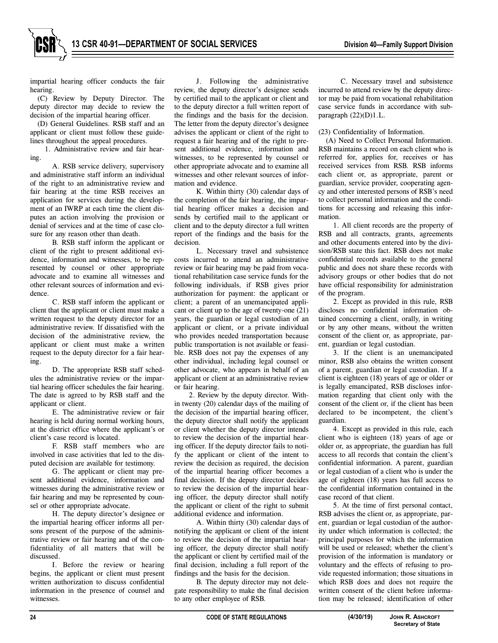

impartial hearing officer conducts the fair hearing.

(C) Review by Deputy Director. The deputy director may decide to review the decision of the impartial hearing officer.

(D) General Guidelines. RSB staff and an applicant or client must follow these guidelines throughout the appeal procedures.

1. Administrative review and fair hearing.

A. RSB service delivery, supervisory and administrative staff inform an individual of the right to an administrative review and fair hearing at the time RSB receives an application for services during the development of an IWRP at each time the client disputes an action involving the provision or denial of services and at the time of case closure for any reason other than death.

B. RSB staff inform the applicant or client of the right to present additional evidence, information and witnesses, to be represented by counsel or other appropriate advocate and to examine all witnesses and other relevant sources of information and evidence.

C. RSB staff inform the applicant or client that the applicant or client must make a written request to the deputy director for an administrative review. If dissatisfied with the decision of the administrative review, the applicant or client must make a written request to the deputy director for a fair hearing.

D. The appropriate RSB staff schedules the administrative review or the impartial hearing officer schedules the fair hearing. The date is agreed to by RSB staff and the applicant or client.

E. The administrative review or fair hearing is held during normal working hours, at the district office where the applicant's or client's case record is located.

F. RSB staff members who are involved in case activities that led to the disputed decision are available for testimony.

G. The applicant or client may present additional evidence, information and witnesses during the administrative review or fair hearing and may be represented by counsel or other appropriate advocate.

H. The deputy director's designee or the impartial hearing officer informs all persons present of the purpose of the administrative review or fair hearing and of the confidentiality of all matters that will be discussed.

I. Before the review or hearing begins, the applicant or client must present written authorization to discuss confidential information in the presence of counsel and witnesses.

J. Following the administrative review, the deputy director's designee sends by certified mail to the applicant or client and to the deputy director a full written report of the findings and the basis for the decision. The letter from the deputy director's designee advises the applicant or client of the right to request a fair hearing and of the right to present additional evidence, information and witnesses, to be represented by counsel or other appropriate advocate and to examine all witnesses and other relevant sources of information and evidence.

K. Within thirty (30) calendar days of the completion of the fair hearing, the impartial hearing officer makes a decision and sends by certified mail to the applicant or client and to the deputy director a full written report of the findings and the basis for the decision.

L. Necessary travel and subsistence costs incurred to attend an administrative review or fair hearing may be paid from vocational rehabilitation case service funds for the following individuals, if RSB gives prior authorization for payment: the applicant or client; a parent of an unemancipated applicant or client up to the age of twenty-one (21) years, the guardian or legal custodian of an applicant or client, or a private individual who provides needed transportation because public transportation is not available or feasible. RSB does not pay the expenses of any other individual, including legal counsel or other advocate, who appears in behalf of an applicant or client at an administrative review or fair hearing.

2. Review by the deputy director. Within twenty (20) calendar days of the mailing of the decision of the impartial hearing officer, the deputy director shall notify the applicant or client whether the deputy director intends to review the decision of the impartial hearing officer. If the deputy director fails to notify the applicant or client of the intent to review the decision as required, the decision of the impartial hearing officer becomes a final decision. If the deputy director decides to review the decision of the impartial hearing officer, the deputy director shall notify the applicant or client of the right to submit additional evidence and information.

A. Within thirty (30) calendar days of notifying the applicant or client of the intent to review the decision of the impartial hearing officer, the deputy director shall notify the applicant or client by certified mail of the final decision, including a full report of the findings and the basis for the decision.

B. The deputy director may not delegate responsibility to make the final decision to any other employee of RSB.

C. Necessary travel and subsistence incurred to attend review by the deputy director may be paid from vocational rehabilitation case service funds in accordance with subparagraph (22)(D)1.L.

#### (23) Confidentiality of Information.

(A) Need to Collect Personal Information. RSB maintains a record on each client who is referred for, applies for, receives or has received services from RSB. RSB informs each client or, as appropriate, parent or guardian, service provider, cooperating agency and other interested persons of RSB's need to collect personal information and the conditions for accessing and releasing this information.

1. All client records are the property of RSB and all contracts, grants, agreements and other documents entered into by the division/RSB state this fact. RSB does not make confidential records available to the general public and does not share these records with advisory groups or other bodies that do not have official responsibility for administration of the program.

2. Except as provided in this rule, RSB discloses no confidential information obtained concerning a client, orally, in writing or by any other means, without the written consent of the client or, as appropriate, parent, guardian or legal custodian.

3. If the client is an unemancipated minor, RSB also obtains the written consent of a parent, guardian or legal custodian. If a client is eighteen (18) years of age or older or is legally emancipated, RSB discloses information regarding that client only with the consent of the client or, if the client has been declared to be incompetent, the client's guardian.

4. Except as provided in this rule, each client who is eighteen (18) years of age or older or, as appropriate, the guardian has full access to all records that contain the client's confidential information. A parent, guardian or legal custodian of a client who is under the age of eighteen (18) years has full access to the confidential information contained in the case record of that client.

5. At the time of first personal contact, RSB advises the client or, as appropriate, parent, guardian or legal custodian of the authority under which information is collected; the principal purposes for which the information will be used or released; whether the client's provision of the information is mandatory or voluntary and the effects of refusing to provide requested information; those situations in which RSB does and does not require the written consent of the client before information may be released; identification of other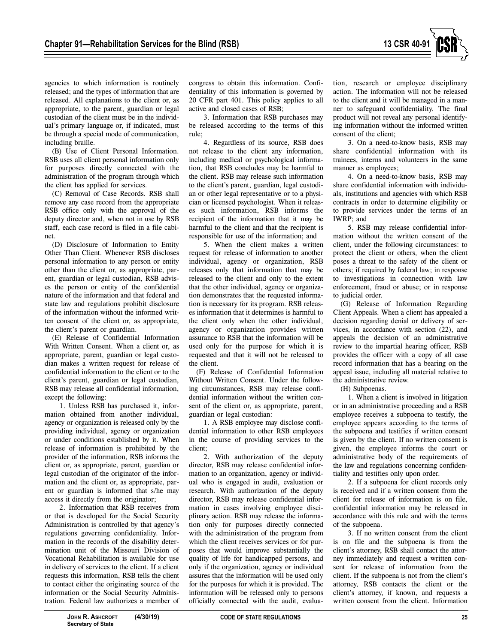

agencies to which information is routinely released; and the types of information that are released. All explanations to the client or, as appropriate, to the parent, guardian or legal custodian of the client must be in the individual's primary language or, if indicated, must be through a special mode of communication, including braille.

(B) Use of Client Personal Information. RSB uses all client personal information only for purposes directly connected with the administration of the program through which the client has applied for services.

(C) Removal of Case Records. RSB shall remove any case record from the appropriate RSB office only with the approval of the deputy director and, when not in use by RSB staff, each case record is filed in a file cabinet.

(D) Disclosure of Information to Entity Other Than Client. Whenever RSB discloses personal information to any person or entity other than the client or, as appropriate, parent, guardian or legal custodian, RSB advises the person or entity of the confidential nature of the information and that federal and state law and regulations prohibit disclosure of the information without the informed written consent of the client or, as appropriate, the client's parent or guardian.

(E) Release of Confidential Information With Written Consent. When a client or, as appropriate, parent, guardian or legal custodian makes a written request for release of confidential information to the client or to the client's parent, guardian or legal custodian, RSB may release all confidential information, except the following:

1. Unless RSB has purchased it, information obtained from another individual, agency or organization is released only by the providing individual, agency or organization or under conditions established by it. When release of information is prohibited by the provider of the information, RSB informs the client or, as appropriate, parent, guardian or legal custodian of the originator of the information and the client or, as appropriate, parent or guardian is informed that s/he may access it directly from the originator;

2. Information that RSB receives from or that is developed for the Social Security Administration is controlled by that agency's regulations governing confidentiality. Information in the records of the disability determination unit of the Missouri Division of Vocational Rehabilitation is available for use in delivery of services to the client. If a client requests this information, RSB tells the client to contact either the originating source of the information or the Social Security Administration. Federal law authorizes a member of congress to obtain this information. Confidentiality of this information is governed by 20 CFR part 401. This policy applies to all active and closed cases of RSB;

3. Information that RSB purchases may be released according to the terms of this rule;

4. Regardless of its source, RSB does not release to the client any information, including medical or psychological information, that RSB concludes may be harmful to the client. RSB may release such information to the client's parent, guardian, legal custodian or other legal representative or to a physician or licensed psychologist. When it releases such information, RSB informs the recipient of the information that it may be harmful to the client and that the recipient is responsible for use of the information; and

5. When the client makes a written request for release of information to another individual, agency or organization, RSB releases only that information that may be released to the client and only to the extent that the other individual, agency or organization demonstrates that the requested information is necessary for its program. RSB releases information that it determines is harmful to the client only when the other individual, agency or organization provides written assurance to RSB that the information will be used only for the purpose for which it is requested and that it will not be released to the client.

(F) Release of Confidential Information Without Written Consent. Under the following circumstances, RSB may release confidential information without the written consent of the client or, as appropriate, parent, guardian or legal custodian:

1. A RSB employee may disclose confidential information to other RSB employees in the course of providing services to the client;

2. With authorization of the deputy director, RSB may release confidential information to an organization, agency or individual who is engaged in audit, evaluation or research. With authorization of the deputy director, RSB may release confidential information in cases involving employee disciplinary action. RSB may release the information only for purposes directly connected with the administration of the program from which the client receives services or for purposes that would improve substantially the quality of life for handicapped persons, and only if the organization, agency or individual assures that the information will be used only for the purposes for which it is provided. The information will be released only to persons officially connected with the audit, evaluation, research or employee disciplinary action. The information will not be released to the client and it will be managed in a manner to safeguard confidentiality. The final product will not reveal any personal identifying information without the informed written consent of the client;

3. On a need-to-know basis, RSB may share confidential information with its trainees, interns and volunteers in the same manner as employees;

4. On a need-to-know basis, RSB may share confidential information with individuals, institutions and agencies with which RSB contracts in order to determine eligibility or to provide services under the terms of an IWRP; and

5. RSB may release confidential information without the written consent of the client, under the following circumstances: to protect the client or others, when the client poses a threat to the safety of the client or others; if required by federal law; in response to investigations in connection with law enforcement, fraud or abuse; or in response to judicial order.

(G) Release of Information Regarding Client Appeals. When a client has appealed a decision regarding denial or delivery of services, in accordance with section (22), and appeals the decision of an administrative review to the impartial hearing officer, RSB provides the officer with a copy of all case record information that has a bearing on the appeal issue, including all material relative to the administrative review.

(H) Subpoenas.

1. When a client is involved in litigation or in an administrative proceeding and a RSB employee receives a subpoena to testify, the employee appears according to the terms of the subpoena and testifies if written consent is given by the client. If no written consent is given, the employee informs the court or administrative body of the requirements of the law and regulations concerning confidentiality and testifies only upon order.

2. If a subpoena for client records only is received and if a written consent from the client for release of information is on file, confidential information may be released in accordance with this rule and with the terms of the subpoena.

3. If no written consent from the client is on file and the subpoena is from the client's attorney, RSB shall contact the attorney immediately and request a written consent for release of information from the client. If the subpoena is not from the client's attorney, RSB contacts the client or the client's attorney, if known, and requests a written consent from the client. Information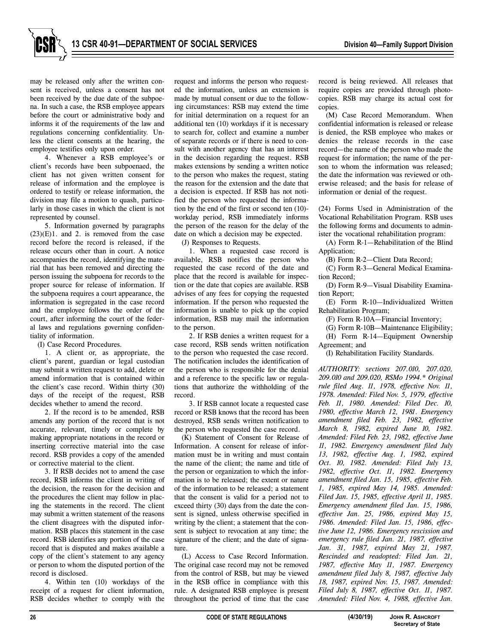

4. Whenever a RSB employee's or client's records have been subpoenaed, the client has not given written consent for release of information and the employee is ordered to testify or release information, the division may file a motion to quash, particularly in those cases in which the client is not represented by counsel.

5. Information governed by paragraphs  $(23)(E)1$ . and 2. is removed from the case record before the record is released, if the release occurs other than in court. A notice accompanies the record, identifying the material that has been removed and directing the person issuing the subpoena for records to the proper source for release of information. If the subpoena requires a court appearance, the information is segregated in the case record and the employee follows the order of the court, after informing the court of the federal laws and regulations governing confidentiality of information.

(I) Case Record Procedures.

1. A client or, as appropriate, the client's parent, guardian or legal custodian may submit a written request to add, delete or amend information that is contained within the client's case record. Within thirty (30) days of the receipt of the request, RSB decides whether to amend the record.

2. If the record is to be amended, RSB amends any portion of the record that is not accurate, relevant, timely or complete by making appropriate notations in the record or inserting corrective material into the case record. RSB provides a copy of the amended or corrective material to the client.

3. If RSB decides not to amend the case record, RSB informs the client in writing of the decision, the reason for the decision and the procedures the client may follow in placing the statements in the record. The client may submit a written statement of the reasons the client disagrees with the disputed information. RSB places this statement in the case record. RSB identifies any portion of the case record that is disputed and makes available a copy of the client's statement to any agency or person to whom the disputed portion of the record is disclosed.

4. Within ten (10) workdays of the receipt of a request for client information, RSB decides whether to comply with the request and informs the person who requested the information, unless an extension is made by mutual consent or due to the following circumstances: RSB may extend the time for initial determination on a request for an additional ten (10) workdays if it is necessary to search for, collect and examine a number of separate records or if there is need to consult with another agency that has an interest in the decision regarding the request. RSB makes extensions by sending a written notice to the person who makes the request, stating the reason for the extension and the date that a decision is expected. If RSB has not notified the person who requested the information by the end of the first or second ten (10) workday period, RSB immediately informs the person of the reason for the delay of the date on which a decision may be expected.

(J) Responses to Requests.

1. When a requested case record is available, RSB notifies the person who requested the case record of the date and place that the record is available for inspection or the date that copies are available. RSB advises of any fees for copying the requested information. If the person who requested the information is unable to pick up the copied information, RSB may mail the information to the person.

2. If RSB denies a written request for a case record, RSB sends written notification to the person who requested the case record. The notification includes the identification of the person who is responsible for the denial and a reference to the specific law or regulations that authorize the withholding of the record.

3. If RSB cannot locate a requested case record or RSB knows that the record has been destroyed, RSB sends written notification to the person who requested the case record.

(K) Statement of Consent for Release of Information. A consent for release of information must be in writing and must contain the name of the client; the name and title of the person or organization to which the information is to be released; the extent or nature of the information to be released; a statement that the consent is valid for a period not to exceed thirty (30) days from the date the consent is signed, unless otherwise specified in writing by the client; a statement that the consent is subject to revocation at any time; the signature of the client; and the date of signature.

(L) Access to Case Record Information. The original case record may not be removed from the control of RSB, but may be viewed in the RSB office in compliance with this rule. A designated RSB employee is present throughout the period of time that the case

record is being reviewed. All releases that require copies are provided through photocopies. RSB may charge its actual cost for copies.

(M) Case Record Memorandum. When confidential information is released or release is denied, the RSB employee who makes or denies the release records in the case record—the name of the person who made the request for information; the name of the person to whom the information was released; the date the information was reviewed or otherwise released; and the basis for release of information or denial of the request.

(24) Forms Used in Administration of the Vocational Rehabilitation Program. RSB uses the following forms and documents to administer the vocational rehabilitation program:

(A) Form R-1—Rehabilitation of the Blind Application;

(B) Form R-2—Client Data Record;

(C) Form R-3—General Medical Examination Record;

(D) Form R-9—Visual Disability Examination Report;

(E) Form R-10—Individualized Written Rehabilitation Program;

(F) Form R-10A—Financial Inventory;

(G) Form R-10B—Maintenance Eligibility; (H) Form R-14—Equipment Ownership Agreement; and

(I) Rehabilitation Facility Standards.

*AUTHORITY: sections 207.010, 207.020, 209.010 and 209.020, RSMo 1994.\* Original rule filed Aug. 11, 1978, effective Nov. 11, 1978. Amended: Filed Nov. 5, 1979, effective Feb. 11, 1980. Amended: Filed Dec. 10, 1980, effective March 12, 1981. Emergency amendment filed Feb. 23, 1982, effective March 8, 1982, expired June 10, 1982. Amended: Filed Feb. 23, 1982, effective June 11, 1982. Emergency amendment filed July 13, 1982, effective Aug. 1, 1982, expired Oct. 10, 1982. Amended: Filed July 13, 1982, effective Oct. 11, 1982. Emergency amendment filed Jan. 15, 1985, effective Feb. 1, 1985, expired May 14, 1985. Amended: Filed Jan. 15, 1985, effective April 11, 1985. Emergency amendment filed Jan. 15, 1986, effective Jan. 25, 1986, expired May 15, 1986. Amended: Filed Jan. 15, 1986, effective June 12, 1986. Emergency rescission and emergency rule filed Jan. 21, 1987, effective Jan. 31, 1987, expired May 21, 1987. Rescinded and readopted: Filed Jan. 21, 1987, effective May 11, 1987. Emergency amendment filed July 8, 1987, effective July 18, 1987, expired Nov. 15, 1987. Amended: Filed July 8, 1987, effective Oct. 11, 1987. Amended: Filed Nov. 4, 1988, effective Jan.*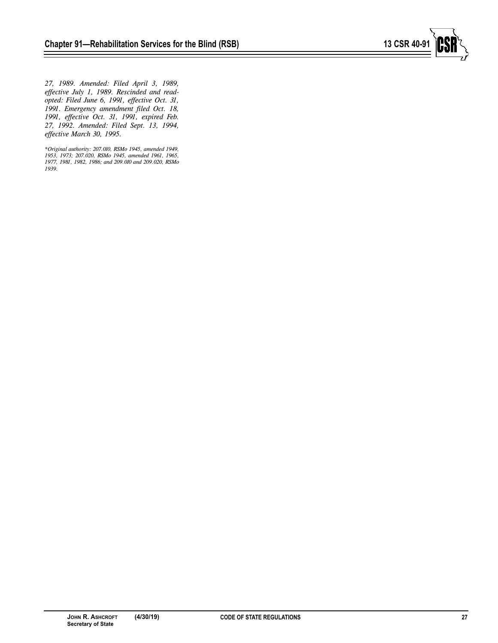

*27, 1989. Amended: Filed April 3, 1989, effective July 1, 1989. Rescinded and readopted: Filed June 6, 1991, effective Oct. 31, 1991. Emergency amendment filed Oct. 18, 1991, effective Oct. 31, 1991, expired Feb. 27, 1992. Amended: Filed Sept. 13, 1994, effective March 30, 1995.*

*\*Original authority: 207.010, RSMo 1945, amended 1949, 1953, 1973; 207.020, RSMo 1945, amended 1961, 1965, 1977, 1981, 1982, 1986; and 209.010 and 209.020, RSMo 1939.*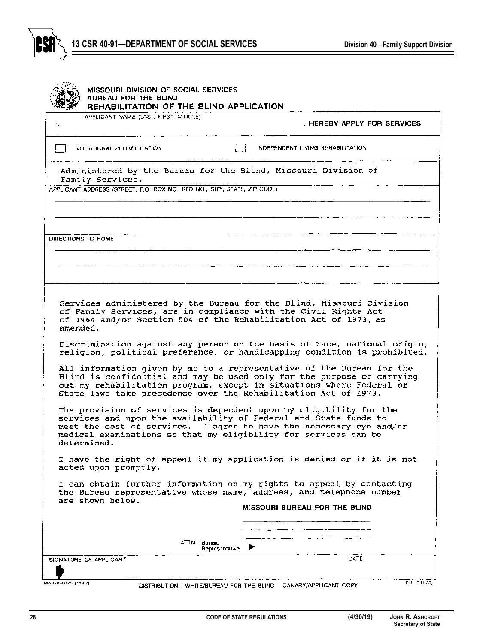

| Ł.          | APPLICANT NAME (LAST, FIRST, MIDDLE)                                     |                                                                                                                                                                                                                                                                                  |
|-------------|--------------------------------------------------------------------------|----------------------------------------------------------------------------------------------------------------------------------------------------------------------------------------------------------------------------------------------------------------------------------|
|             |                                                                          | . HEREBY APPLY FOR SERVICES.                                                                                                                                                                                                                                                     |
|             | VOCATIONAL REHABILITATION                                                | INDEPENDENT LIVING REHABILITATION                                                                                                                                                                                                                                                |
|             | Family Services.                                                         | Administered by the Bureau for the Blind, Missouri Division of                                                                                                                                                                                                                   |
|             | APPLICANT ADDRESS (STREET, P.O. BOX NO., RFD NO., CITY, STATE, ZIP CODE) |                                                                                                                                                                                                                                                                                  |
|             |                                                                          |                                                                                                                                                                                                                                                                                  |
|             | DIRECTIONS TO HOME                                                       |                                                                                                                                                                                                                                                                                  |
|             |                                                                          |                                                                                                                                                                                                                                                                                  |
|             |                                                                          |                                                                                                                                                                                                                                                                                  |
| amended.    |                                                                          | of Family Services, are in compliance with the Civil Rights Act<br>of 1964 and/or Section 504 of the Rehabilitation Act of 1973, as<br>Discrimination against any person on the basis of race, national origin,                                                                  |
|             |                                                                          | All information given by me to a representative of the Bureau for the                                                                                                                                                                                                            |
|             |                                                                          | Blind is confidential and may be used only for the purpose of carrying<br>out my rehabilitation program, except in situations where Federal or<br>State laws take precedence over the Rehabilitation Act of 1973.                                                                |
|             |                                                                          | The provision of services is dependent upon my eligibility for the<br>services and upon the availability of Federal and State funds to<br>meet the cost of services. I agree to have the necessary eye and/or<br>medical examinations so that my eligibility for services can be |
|             | acted upon promptly.                                                     | I have the right of appeal if my application is denied or if it is not                                                                                                                                                                                                           |
|             | are shown below.                                                         | religion, political preference, or handicapping condition is prohibited.<br>I can obtain further information on my rights to appeal by contacting<br>the Bureau representative whose name, address, and telephone number<br>MISSOURI BUREAU FOR THE BLIND                        |
|             |                                                                          |                                                                                                                                                                                                                                                                                  |
| determined. |                                                                          | ATTN Bureau                                                                                                                                                                                                                                                                      |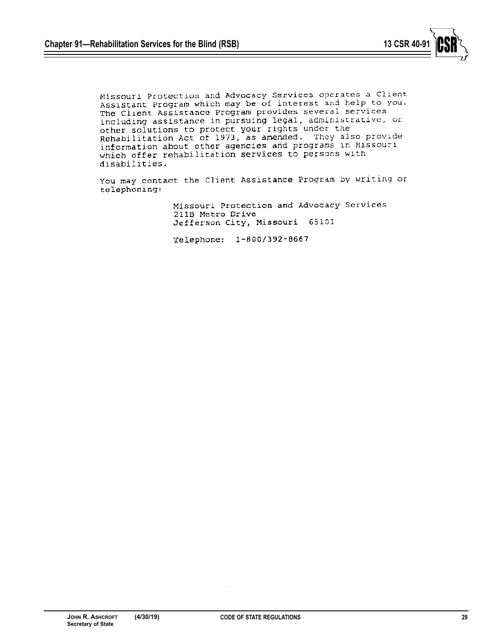

Missouri Protection and Advocacy Services operates a Client Assistant Program which may be of interest and help to you. The Client Assistance Program provides several services including assistance in pursuing legal, administrative, or other solutions to protect your rights under the Rehabilitation Act of 1973, as amended. They also provide information about other agencies and programs in Missouri which offer rehabilitation services to persons with disabilities.

You may contact the Client Assistance Program by writing or telephoning:

> Missouri Protection and Advocacy Services 211B Metro Drive Jefferson City, Missouri 65101

Telephone: 1-800/392-8667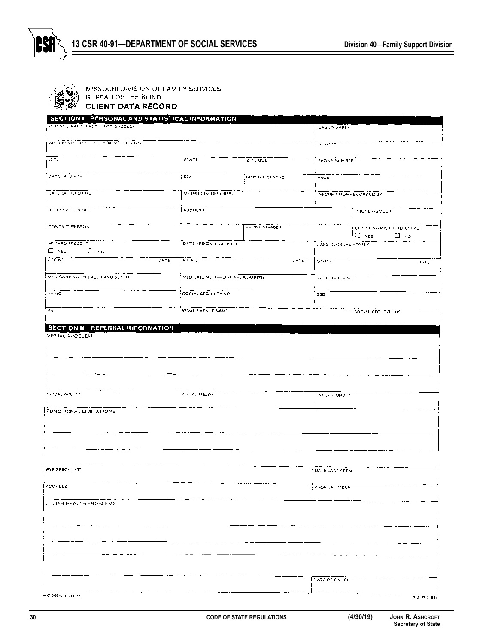

MISSOURI DIVISION OF FAMILY SERVICES

BUREAU OF THE BLIND **CLIENT DATA RECORD** 

| SECTION I PERSONAL AND STATISTICAL INFORMATION    |                                  |                 |                     |                                                               |
|---------------------------------------------------|----------------------------------|-----------------|---------------------|---------------------------------------------------------------|
| CLIENT'S NAME ILAST, FIRST, MIDDLE)               |                                  |                 | CASE NUMBER         |                                                               |
| ADDRESS ISTREET PIC BOX VO RED NO.                |                                  |                 | COUNTY              |                                                               |
|                                                   |                                  |                 |                     |                                                               |
| $C^{\ast\tau}Y$                                   | $\overline{\mathsf{s}}$ * ATE    | ZIP COOL        | PHONE NUMBER        |                                                               |
| DATE OF BIRTH                                     | <b>SEX</b>                       | MAFI 1AL STATUS | <b>HACE</b>         |                                                               |
|                                                   |                                  |                 |                     |                                                               |
| DATE OF REFERRAL                                  | METHOD OF REFERRAL               |                 |                     | NFORMATION RECORDED BY                                        |
| REFERRAL SOURCE                                   | ADDRESS                          |                 |                     | PHONE NUMBER                                                  |
|                                                   |                                  |                 |                     |                                                               |
| <b>LCONTACT PERSON</b>                            |                                  | PHONE NUMBER    |                     | CLIENT AWARE OF REFERRAL?<br>$\Box$ $\forall cs$<br>$\Box$ No |
| MI CARD PRESENT                                   | DATE VFB CASE CLOSED             |                 | CASE CLOSURE STATUS |                                                               |
| $\Box$ ves<br>∃ мо                                |                                  |                 |                     |                                                               |
| VCR NO<br>DATE                                    | RT NQ                            | DATE            | 01468               | DATE                                                          |
| <b>VEDICARE NO INJUBER AND SUFFIX</b>             | MEDICAID NO. (PREFIX AND NUMBER) |                 | H/C CLINIC & NO     |                                                               |
|                                                   |                                  |                 |                     |                                                               |
| VA NC                                             | SOCIAL SECURITY NO               |                 | 55DI                |                                                               |
| SS.                                               | WAGE LARNER NAME                 |                 |                     | SOC-AL SECURITY NO                                            |
|                                                   |                                  |                 |                     |                                                               |
| SECTION II REFERRAL INFORMATION<br>VISUAL PROBLEM |                                  |                 |                     |                                                               |
|                                                   |                                  |                 |                     |                                                               |
|                                                   |                                  |                 |                     |                                                               |
|                                                   |                                  |                 |                     |                                                               |
|                                                   |                                  |                 |                     |                                                               |
|                                                   |                                  |                 |                     |                                                               |
| VISCAL ACUITY                                     | VISLA: FIELDS                    |                 | DATE OF ONSET       |                                                               |
|                                                   |                                  |                 |                     |                                                               |
| FUNCTIONAL LIMITATIONS                            |                                  |                 |                     |                                                               |
|                                                   |                                  |                 |                     |                                                               |
|                                                   |                                  |                 |                     |                                                               |
|                                                   |                                  |                 |                     |                                                               |
|                                                   |                                  |                 |                     |                                                               |
| LEYE SPECIALIST                                   |                                  |                 | DATELAST SEEN       |                                                               |
| ADORESS                                           |                                  |                 | P-IONE NUMBER       |                                                               |
|                                                   |                                  |                 |                     |                                                               |
| OTHER HEALTH PROBLEMS                             |                                  |                 |                     |                                                               |
|                                                   |                                  |                 |                     |                                                               |
|                                                   |                                  |                 |                     |                                                               |
|                                                   |                                  |                 |                     |                                                               |
|                                                   |                                  |                 |                     |                                                               |
|                                                   |                                  |                 |                     |                                                               |
|                                                   |                                  |                 |                     |                                                               |
|                                                   |                                  |                 | DATE OF ONSET       |                                                               |
| MO 886-0104 (3-88)                                |                                  |                 |                     | $B - 2$ ( $B - 3 - B6$                                        |

 $R - 2 (R - 3 - B)$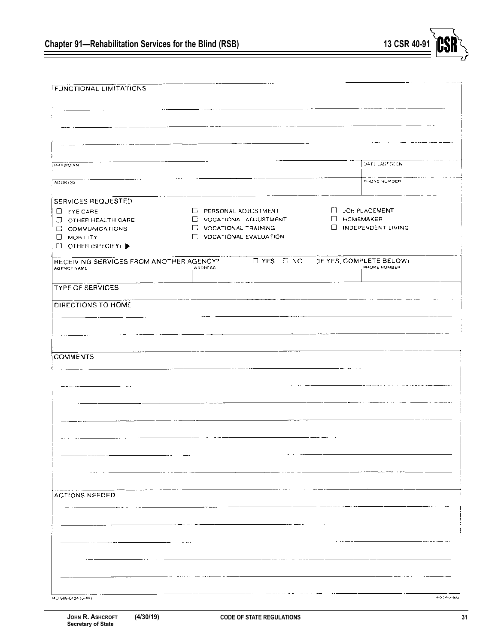| <b>FUNCTIONAL LIMITATIONS</b>           |                                 |                           |
|-----------------------------------------|---------------------------------|---------------------------|
|                                         |                                 |                           |
|                                         |                                 |                           |
|                                         |                                 |                           |
|                                         |                                 |                           |
|                                         |                                 |                           |
|                                         |                                 |                           |
|                                         |                                 |                           |
| <b>PHYSICIAN</b>                        |                                 | DATE LAST SEEN            |
|                                         |                                 | PHONE NUMBER              |
| <b>ADDRESS</b>                          |                                 |                           |
| SERVICES REQUESTED                      |                                 |                           |
|                                         | E PERSONAL ADJUSTMENT           | [] JOB PLACEMENT          |
| $\Box$ FYE CARE                         |                                 | <b>NOMEMAKER</b>          |
| O OTHER HEALTH CARE                     | <b>DE VOCATIONAL ADJUSTMENT</b> |                           |
| C COMMUNICATIONS                        | <b>E</b> VOCATIONAL TRAINING    | <b>INDEPENDENT LIVING</b> |
| U MOBILITY                              | <b>LE VOCATIONAL EVALUATION</b> |                           |
| EI OTHER (SPECIFY)                      |                                 |                           |
| RECEIVING SERVICES FROM ANOTHER AGENCY? | $T$ YES $T$ NO                  | (IF YES, COMPLETE BELOW)  |
| AGENCY NAME                             | <b>ADDRESS</b>                  | PHONE NUMBER              |
|                                         |                                 |                           |
| <b>TYPE OF SERVICES</b>                 |                                 |                           |
|                                         |                                 |                           |
| DIRECTIONS TO HOME                      |                                 |                           |
|                                         |                                 |                           |
|                                         |                                 |                           |
|                                         |                                 |                           |
|                                         |                                 |                           |
|                                         |                                 |                           |
| <b>COMMENTS</b>                         |                                 |                           |
|                                         |                                 |                           |
|                                         |                                 |                           |
|                                         |                                 |                           |
|                                         |                                 |                           |
|                                         |                                 |                           |
|                                         |                                 |                           |
|                                         |                                 |                           |
|                                         |                                 |                           |
|                                         |                                 |                           |
|                                         |                                 |                           |
|                                         |                                 |                           |
|                                         |                                 |                           |
|                                         |                                 |                           |
|                                         |                                 |                           |
| <b>ACTIONS NEEDED</b>                   |                                 |                           |
|                                         |                                 |                           |
|                                         |                                 |                           |
|                                         |                                 |                           |
|                                         |                                 |                           |
|                                         |                                 |                           |
|                                         |                                 |                           |
|                                         |                                 |                           |
|                                         |                                 |                           |
|                                         |                                 |                           |
|                                         |                                 |                           |
|                                         |                                 |                           |
|                                         |                                 |                           |
| MO 886-0104 (3-88).                     |                                 | $B-2(B-3-8B)$             |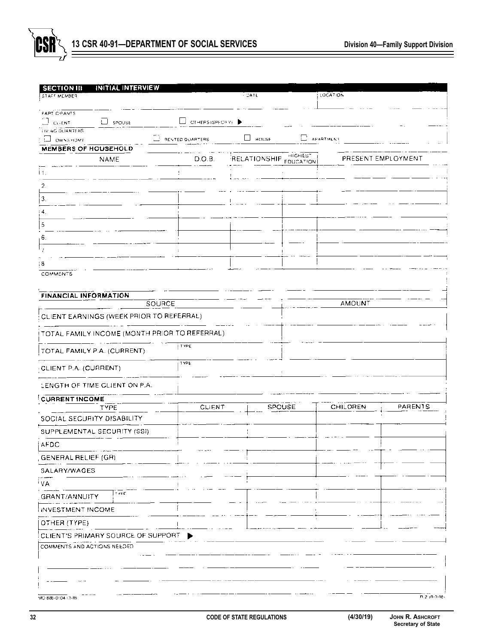

| <b>SECTION III</b>           | <b>INITIAL INTERVIEW</b>           |                                               |                                |              |                      |                  |                    |
|------------------------------|------------------------------------|-----------------------------------------------|--------------------------------|--------------|----------------------|------------------|--------------------|
| STAFF MEMBER                 |                                    |                                               |                                | $-$ DATE     |                      | LOCATION         |                    |
| PART CIPANTS                 |                                    |                                               |                                |              |                      |                  |                    |
| $\Box$ GUENT                 | LJ SPOUSE                          |                                               | $\Box$ OTHERS (SPECTRY) $\Box$ |              |                      |                  |                    |
| <b>IN NG QUARTERS</b>        |                                    |                                               |                                |              |                      |                  |                    |
| <b>C</b> OWNSHOME            |                                    | <b>REVTED QUARTERS</b>                        |                                | HOUSE        |                      | $\Box$ APARTMENT |                    |
| <b>MEMBERS OF HOUSEHOLD</b>  | NAME                               |                                               | D.O.B                          | RELATIONSHIP | HIGHEST<br>FDUCATION |                  | PRESENT EMPLOYMENT |
|                              |                                    |                                               |                                |              |                      |                  |                    |
| İ1.                          |                                    |                                               |                                |              |                      |                  |                    |
| 2.                           |                                    |                                               |                                |              |                      |                  |                    |
| $\mathbf{3}$                 |                                    |                                               |                                |              |                      |                  |                    |
| : 4.                         |                                    |                                               |                                |              |                      |                  |                    |
| 5                            |                                    |                                               |                                |              |                      |                  |                    |
| 6.                           |                                    |                                               |                                |              |                      |                  |                    |
|                              |                                    |                                               |                                |              |                      |                  |                    |
| ; 8                          |                                    |                                               |                                |              |                      |                  |                    |
| COMMENTS                     |                                    |                                               |                                |              |                      |                  |                    |
|                              |                                    |                                               |                                |              |                      |                  |                    |
| <b>FINANCIAL INFORMATION</b> |                                    |                                               |                                |              |                      |                  |                    |
|                              |                                    | <b>SOURCE</b>                                 |                                |              |                      | AMOUNT           |                    |
|                              |                                    | CLIENT EARNINGS (WEEK PRIOR TO REFERRAL)      |                                |              |                      |                  |                    |
|                              |                                    | TOTAL FAMILY INCOME (MONTH PRIOR TO REFERRAL) |                                |              |                      |                  |                    |
|                              | TOTAL FAMILY P.A. (CURRENT)        | I TYPE                                        |                                |              |                      |                  |                    |
| CLIENT P.A. (CURRENT)        |                                    | TYPE                                          |                                |              |                      |                  |                    |
|                              | LENGTH OF TIME CLIENT ON P.A.      |                                               |                                |              |                      |                  |                    |
| <b>CURRENT INCOME</b>        |                                    |                                               |                                |              |                      |                  |                    |
|                              | TYPE                               |                                               | <b>CLIENT</b>                  |              | <b>SPOUSE</b>        | CHILDREN         | PARENTS            |
|                              | SOCIAL SECURITY DISABILITY         |                                               |                                |              |                      |                  |                    |
|                              | SUPPLEMENTAL SECURITY (SSI)        |                                               |                                |              |                      |                  |                    |
| <b>AFDC</b>                  |                                    |                                               |                                |              |                      |                  |                    |
| GENERAL RELIEF (GR)          |                                    |                                               |                                |              |                      |                  |                    |
| SALARY/WAGES                 |                                    |                                               |                                |              |                      |                  |                    |
| ' VA                         |                                    |                                               |                                |              |                      |                  |                    |
| GRANT/ANNUITY                | TYPE                               |                                               |                                |              |                      |                  |                    |
| INVESTMENT INCOME            |                                    |                                               |                                |              |                      |                  |                    |
| OTHER (TYPE)                 |                                    |                                               |                                |              |                      |                  |                    |
|                              | CLIENT'S PRIMARY SOURCE OF SUPPORT |                                               |                                |              |                      |                  |                    |
| COMMENTS AND ACTIONS NEEDED  |                                    |                                               |                                |              |                      |                  |                    |
|                              |                                    |                                               |                                |              |                      |                  |                    |
|                              |                                    |                                               |                                |              |                      |                  |                    |
|                              |                                    |                                               |                                |              |                      |                  |                    |
|                              |                                    |                                               |                                |              |                      |                  |                    |
| MO 886-0104 (3-RS)           |                                    |                                               |                                |              |                      |                  | R 2 (R-3-86)       |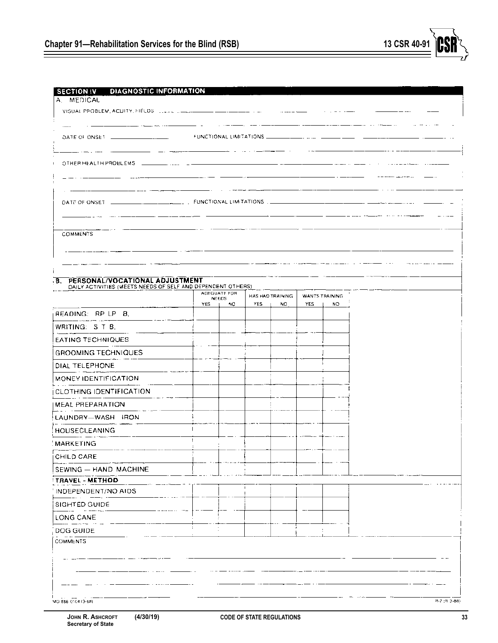| <b>DIAGNOSTIC INFORMATION</b><br><b>SECTION IV</b><br>A. MEDICAL |     |              |      |                         |            |                        |
|------------------------------------------------------------------|-----|--------------|------|-------------------------|------------|------------------------|
| VISUAL PROBLEM, ACUITY, FIELDS (2004) 2004 2004 2004 2004 2004   |     |              |      |                         |            |                        |
|                                                                  |     |              |      |                         |            |                        |
|                                                                  |     |              |      |                         |            |                        |
|                                                                  |     |              |      |                         |            |                        |
| OTHER HEALTH PROBLEMS [199] [199] [199]                          |     |              |      |                         |            |                        |
|                                                                  |     |              |      |                         |            |                        |
|                                                                  |     |              |      |                         |            |                        |
|                                                                  |     |              |      |                         |            |                        |
|                                                                  |     |              |      |                         |            |                        |
|                                                                  |     |              |      |                         |            |                        |
| <b>COMMENTS</b>                                                  |     |              |      |                         |            |                        |
|                                                                  |     |              |      |                         |            |                        |
|                                                                  |     |              |      |                         |            |                        |
| B. PERSONAL/VOCATIONAL ADJUSTMENT                                |     |              |      |                         |            |                        |
| DAILY ACTIVITIES (MEETS NEEDS OF SELF AND DEPENDENT OTHERS).     |     | ADEQUATE FOR |      |                         |            |                        |
|                                                                  | YES | NEEDS<br>NQ. | YES. | HAS HAD TRAINING.<br>NO | <b>YES</b> | WANTS TRAINING.<br>5V. |
| READING: RP LP B.                                                |     |              |      |                         |            |                        |
| WRITING: STB.                                                    |     |              |      |                         |            |                        |
| EATING TECHNIQUES                                                |     |              |      |                         |            |                        |
| GROOMING TECHNIQUES                                              |     |              |      |                         |            |                        |
| DIAL TELEPHONE                                                   |     |              |      |                         |            |                        |
| MONEY IDENTIFICATION                                             |     |              |      |                         |            |                        |
| CLOTHING IDENTIFICATION                                          |     |              |      |                         |            |                        |
| MEAL PREPARATION                                                 |     |              |      |                         |            |                        |
| LAUNDRY-WASH IRON                                                |     |              |      |                         |            |                        |
|                                                                  |     |              |      |                         |            |                        |
| HOUSECLEANING                                                    | ÷   |              |      |                         |            |                        |
| : MARKETING                                                      |     |              |      |                         |            |                        |
| CHILD CARE                                                       |     |              |      |                         |            |                        |
| SEWING - HAND MACHINE                                            |     |              |      |                         |            |                        |
| <b>TRAVEL - METHOD</b><br>INDEPENDENT/NO AIDS                    |     |              |      |                         |            |                        |
|                                                                  |     |              |      |                         |            |                        |
| SIGHTED GUIDE                                                    |     |              |      |                         |            |                        |
| LONG CANE                                                        |     |              |      |                         |            |                        |
| DOG GUIDE                                                        |     |              |      |                         |            |                        |
| <b>COMMENTS</b>                                                  |     |              |      |                         |            |                        |
|                                                                  |     |              |      |                         |            |                        |
|                                                                  |     |              |      |                         |            |                        |
|                                                                  |     |              |      |                         |            |                        |
| MO 886 0104 (3-88)                                               |     |              |      |                         |            |                        |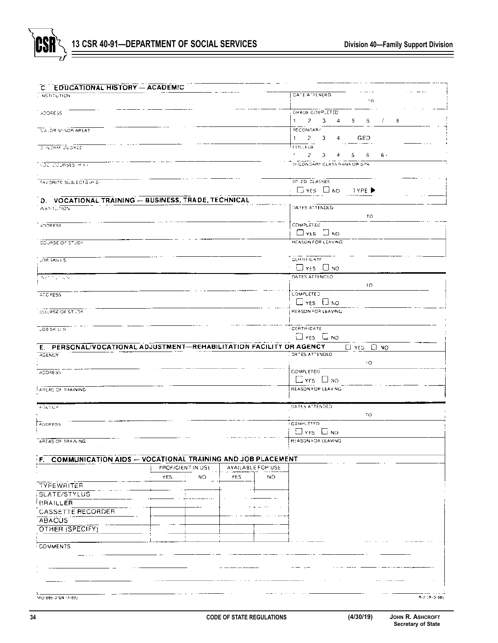

| C. EDUCATIONAL HISTORY - ACADEMIC                                                     |                                                                 |
|---------------------------------------------------------------------------------------|-----------------------------------------------------------------|
| <b>NSTITUTION</b>                                                                     | DATE ATTENDED<br>10                                             |
|                                                                                       |                                                                 |
| ADDRESS.                                                                              | <b>GHADE COMP_ETED</b>                                          |
|                                                                                       | 2 <sup>2</sup><br>-3<br>$\mathbf{1}$<br>4<br>5.<br>6<br>8<br>Ť. |
| TELOR MINOR APEAS                                                                     | <b>SECCNOARY</b><br>$-2$<br>GED<br>$\mathbf{1}$<br>4            |
| <b>DIPLOMA DEGREE</b>                                                                 | 3<br><b>COLLEGE</b>                                             |
|                                                                                       | $\bullet$ .<br>6.<br>2.<br>з.<br>5.<br>6.<br>4                  |
| Мба сорявев нач                                                                       | SF CONDARY CLASS RANK OR GPA                                    |
|                                                                                       |                                                                 |
| FAVORITE SÜBLECTS (mS)                                                                | SP ZD CLASSES                                                   |
|                                                                                       | - Eines Dindi<br>TYPE ▶                                         |
| D. VOCATIONAL TRAINING - BUSINESS, TRADE, TECHNICAL                                   |                                                                 |
| <b>INSTITUTION</b>                                                                    | DATES ATTENDED                                                  |
|                                                                                       | TO                                                              |
| ADDRESS                                                                               | COMPLETED.                                                      |
|                                                                                       | $\square$ yes $\square$ no                                      |
| COURSE OF STUDY                                                                       | REASON FOR LEAVING                                              |
|                                                                                       |                                                                 |
| JOB SKILLS                                                                            | <b>CERTIFICATE</b>                                              |
|                                                                                       | $\Box$ YES $\Box$ NO                                            |
| NET TOTALN                                                                            | DATES ATTENDED.                                                 |
|                                                                                       | ΤO                                                              |
| <b>ADDRESS</b>                                                                        | COMPLETED                                                       |
|                                                                                       | $C$ yes $C$ NO                                                  |
| COUPSE OF STUDY                                                                       | REASON FOR LEAVING                                              |
|                                                                                       |                                                                 |
| <b>LOB SK LLS</b>                                                                     | CERTIFICATE<br>$\Box$ YES $\Box$ NO                             |
|                                                                                       |                                                                 |
| E. PERSONAL/VOCATIONAL ADJUSTMENT-REHABILITATION FACILITY OR AGENCY.<br><b>AGENCY</b> | El YES El NO<br>DATES ATTENDED                                  |
|                                                                                       | 10                                                              |
| ADDRESS                                                                               | COMPLETED                                                       |
|                                                                                       | $E$ YFS $E$ NO                                                  |
| <b>DRIININHT 1C BAJPA!</b>                                                            | REASON FOR LEAVING                                              |
|                                                                                       |                                                                 |
| AGENCY                                                                                | DATES ATTENDED.                                                 |
|                                                                                       | 70                                                              |
| AODRESS                                                                               | <b>COMPLETED</b>                                                |
|                                                                                       | $\Box$ YFS $\Box$ NO                                            |
|                                                                                       |                                                                 |
| AREAS OF TRAINING                                                                     | <b>REASON FOR LEAVING</b>                                       |
|                                                                                       |                                                                 |
| <b>COMMUNICATION AIDS -- VOCATIONAL TRAINING AND JOB PLACEMENT</b><br>F.              |                                                                 |
| PROFICIENT IN USE<br>AVAILABLE FOR USE                                                |                                                                 |
| YES.<br>NO.<br>YES<br>NO.                                                             |                                                                 |
| TYPEWRITER                                                                            |                                                                 |
| <b>SLATE/STYLUS</b>                                                                   |                                                                 |
| BRAILLER                                                                              |                                                                 |
| <b>CASSETTE RECORDER</b>                                                              |                                                                 |
| ABACUS                                                                                |                                                                 |
| OTHER (SPECIFY)                                                                       |                                                                 |
|                                                                                       |                                                                 |
| COMMENTS                                                                              |                                                                 |
|                                                                                       |                                                                 |
|                                                                                       |                                                                 |
|                                                                                       |                                                                 |
|                                                                                       |                                                                 |

**Secretary of State**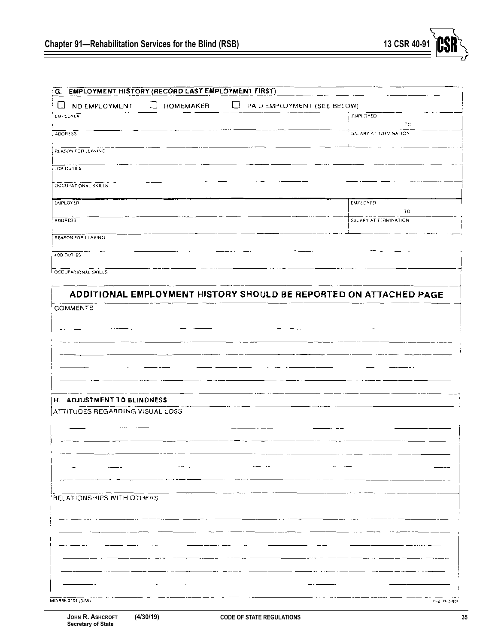

| G. EMPLOYMENT HISTORY (RECORD LAST EMPLOYMENT FIRST)          |                            |                                  |                                                                   |
|---------------------------------------------------------------|----------------------------|----------------------------------|-------------------------------------------------------------------|
| NO EMPLOYMENT                                                 | $\Box$<br><b>НОМЕМАКЕЯ</b> | □<br>PAID EMPLOYMENT (SEE BELOW) |                                                                   |
| <b>EMPLOYER</b>                                               |                            |                                  | <b>EMPLOYED</b>                                                   |
| <b>ADDRESS</b>                                                |                            |                                  | TС<br>SALARY AT TERMINATION                                       |
|                                                               |                            |                                  |                                                                   |
| REASON FOR LEAVING                                            |                            |                                  |                                                                   |
| JOB DUTIES                                                    |                            |                                  |                                                                   |
| OCCUPATIONAL SKILLS                                           |                            |                                  |                                                                   |
|                                                               |                            |                                  |                                                                   |
| <b>LMPLOYER</b>                                               |                            |                                  | <b>EMPLOYED</b><br>īО                                             |
| ADDRESS                                                       |                            |                                  | SALARY AT TERMINATION                                             |
|                                                               |                            |                                  |                                                                   |
| REASON FOR LEAVING                                            |                            |                                  |                                                                   |
| JOB DUTIES                                                    |                            |                                  |                                                                   |
| OCCUPATIONAL SKILLS                                           |                            |                                  |                                                                   |
|                                                               |                            |                                  |                                                                   |
|                                                               |                            |                                  | ADDITIONAL EMPLOYMENT HISTORY SHOULD BE REPORTED ON ATTACHED PAGE |
| COMMENTS                                                      |                            |                                  |                                                                   |
|                                                               |                            |                                  |                                                                   |
|                                                               |                            |                                  |                                                                   |
|                                                               |                            |                                  |                                                                   |
|                                                               |                            |                                  |                                                                   |
|                                                               |                            |                                  |                                                                   |
|                                                               |                            |                                  |                                                                   |
|                                                               |                            |                                  |                                                                   |
| H. ADJUSTMENT TO BLINDNESS<br>ATTITUDES REGARDING VISUAL LOSS |                            |                                  |                                                                   |
|                                                               |                            |                                  |                                                                   |
|                                                               |                            |                                  |                                                                   |
|                                                               |                            |                                  |                                                                   |
|                                                               |                            |                                  |                                                                   |
|                                                               |                            |                                  |                                                                   |
|                                                               |                            |                                  |                                                                   |
| RELATIONSHIPS WITH OTHERS                                     |                            |                                  |                                                                   |
|                                                               |                            |                                  |                                                                   |
|                                                               |                            |                                  |                                                                   |
|                                                               |                            |                                  |                                                                   |
|                                                               |                            |                                  |                                                                   |
|                                                               |                            |                                  |                                                                   |
|                                                               |                            |                                  |                                                                   |
|                                                               |                            |                                  |                                                                   |
|                                                               |                            |                                  |                                                                   |
| MO 886-0104 (3-88)                                            |                            |                                  | $H-2$ ( $H-3-58$ )                                                |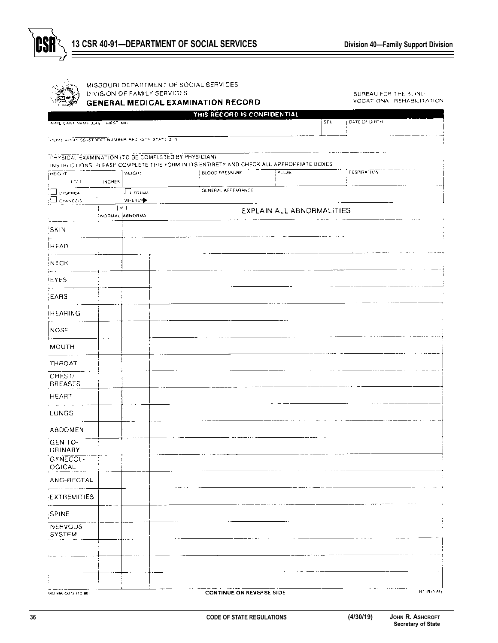

|                               | MISSOURI DEPARTMENT OF SOCIAL SERVICES<br>DIVISION OF FAMILY SERVICES | <b>GENERAL MEDICAL EXAMINATION RECORD</b>                                                                         |                           |     | BUREAU FOR THE BLIND.<br>VOCATIONAL REHABILITATION |             |
|-------------------------------|-----------------------------------------------------------------------|-------------------------------------------------------------------------------------------------------------------|---------------------------|-----|----------------------------------------------------|-------------|
| APPLICANT NAME LAST HIRST MIL |                                                                       | THIS RECORD IS CONFIDENTIAL                                                                                       |                           | SFX | DATE OF BIRTH                                      |             |
|                               | HOME ADDRESS (STREET NUMBER, RED. CLIM. STATE Z-PL                    |                                                                                                                   |                           |     |                                                    |             |
|                               | PHYSICAL EXAMINATION (TO BE COMPLETED BY PHYSICIAN)                   |                                                                                                                   |                           |     |                                                    |             |
| <b>HEIGHT</b>                 | <b>WEIGHT</b>                                                         | INSTRUCTIONS. PLEASE COMPLETE THIS FORM IN ITS ENTIRETY AND CHECK ALL APPROPRIATE BOXES<br><b>BLOOD PRESSIJAE</b> | PULSE                     |     | RESPIRATION                                        |             |
| FFET.<br><b>DYSENEA</b>       | <b>INCHES</b><br>LJ EDEMA                                             | GENERAL AFPEARANCE                                                                                                |                           |     |                                                    |             |
| C CYANGSIS                    | WHERE?<br>(-41)                                                       |                                                                                                                   |                           |     |                                                    |             |
|                               | <b>NORMAL ABNORMAL</b>                                                |                                                                                                                   | EXPLAIN ALL ABNORMALITIES |     |                                                    |             |
| SKIN                          |                                                                       |                                                                                                                   |                           |     |                                                    |             |
| <b>HEAD</b>                   |                                                                       |                                                                                                                   |                           |     |                                                    |             |
| <b>NECK</b>                   |                                                                       |                                                                                                                   |                           |     |                                                    |             |
| <b>EYES</b>                   |                                                                       |                                                                                                                   |                           |     |                                                    |             |
| EARS)                         |                                                                       |                                                                                                                   |                           |     |                                                    |             |
| <b>HEARING</b>                |                                                                       |                                                                                                                   |                           |     |                                                    |             |
| <b>NOSE</b>                   |                                                                       |                                                                                                                   |                           |     |                                                    |             |
| <b>MOUTH</b>                  |                                                                       |                                                                                                                   |                           |     |                                                    |             |
| THROAT                        |                                                                       |                                                                                                                   |                           |     |                                                    |             |
| CHEST/<br><b>BREASTS</b>      |                                                                       |                                                                                                                   |                           |     |                                                    |             |
| <b>HEART</b>                  |                                                                       |                                                                                                                   |                           |     |                                                    |             |
| $\sim$ $\sim$<br>LUNGS        |                                                                       |                                                                                                                   |                           |     |                                                    |             |
| ABDOMEN                       |                                                                       |                                                                                                                   |                           |     |                                                    |             |
| GENITO-<br>URINARY            |                                                                       |                                                                                                                   |                           |     |                                                    |             |
| GYNECOL-<br>OGICAL            |                                                                       |                                                                                                                   |                           |     |                                                    |             |
| ANO-RECTAL                    |                                                                       |                                                                                                                   |                           |     |                                                    |             |
| EXTREMITIES                   |                                                                       |                                                                                                                   |                           |     |                                                    |             |
| : SPINE                       |                                                                       |                                                                                                                   |                           |     |                                                    |             |
| <b>NERVOUS</b><br>SYSTEM      |                                                                       |                                                                                                                   |                           |     |                                                    |             |
|                               |                                                                       |                                                                                                                   |                           |     |                                                    |             |
|                               |                                                                       |                                                                                                                   |                           |     |                                                    |             |
|                               |                                                                       |                                                                                                                   |                           |     |                                                    |             |
| MO 886-0072 (13-88)           |                                                                       | <b>CONTINUE ON REVERSE SIDE</b>                                                                                   |                           |     |                                                    | RC (R10 88) |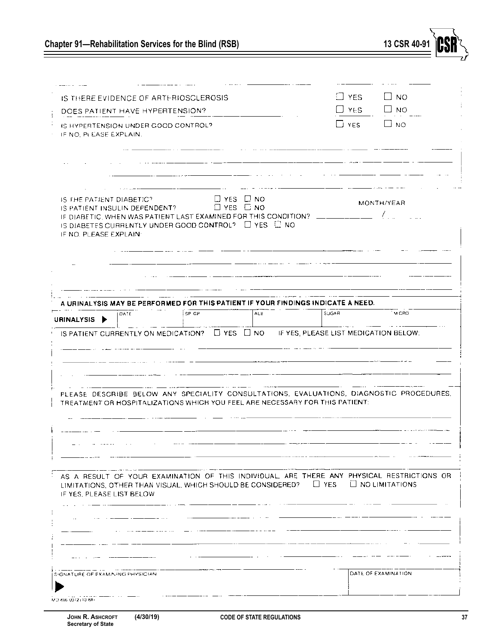|                                                    | IS THERE EVIDENCE OF ARTERIOSCLEROSIS |                                                                                                                                                                       |     |                                       | $\Box$ YES | ∐ no                                                                                                           |
|----------------------------------------------------|---------------------------------------|-----------------------------------------------------------------------------------------------------------------------------------------------------------------------|-----|---------------------------------------|------------|----------------------------------------------------------------------------------------------------------------|
|                                                    | DOES PATIENT HAVE HYPERTENSION?       |                                                                                                                                                                       |     |                                       | $\Box$ YES | ∃ NO                                                                                                           |
| IF NO, PLEASE EXPLAIN.                             | IS HYPERTENSION UNDER GOOD CONTROL?   |                                                                                                                                                                       |     |                                       | $\Box$ yes | ш но                                                                                                           |
|                                                    |                                       |                                                                                                                                                                       |     |                                       |            |                                                                                                                |
|                                                    |                                       |                                                                                                                                                                       |     |                                       |            |                                                                                                                |
| IS THE PATIENT DIABETIC?<br>IF NO. PLEASE EXPLAIN: | IS PATIENT INSULIN DEPENDENT?         | $\Box$ YES $\Box$ NO<br>$\Box$ YES $\Box$ NO<br>IF DIABETIC, WHEN WAS PATIENT LAST EXAMINED FOR THIS CONDITION?<br>IS DIABETES CURRENTLY UNDER GOOD CONTROL? EVES ENO |     |                                       |            | MONTH/YEAR                                                                                                     |
|                                                    |                                       |                                                                                                                                                                       |     |                                       |            |                                                                                                                |
|                                                    |                                       | A URINALYSIS MAY BE PERFORMED FOR THIS PATIENT IF YOUR FINDINGS INDICATE A NEED.                                                                                      |     |                                       |            |                                                                                                                |
|                                                    | <b>DATE</b>                           | SP GP                                                                                                                                                                 |     |                                       |            | <b>MICRO</b>                                                                                                   |
|                                                    |                                       |                                                                                                                                                                       | ALB | <b>SUGAR</b>                          |            |                                                                                                                |
|                                                    |                                       | IS PATIENT CURRENTLY ON MEDICATION? $\Box$ YES $\Box$ NO                                                                                                              |     | IF YES, PLEASE LIST MEDICATION BELOW: |            |                                                                                                                |
|                                                    |                                       |                                                                                                                                                                       |     |                                       |            |                                                                                                                |
|                                                    |                                       | TREATMENT OR HOSPITALIZATIONS WHICH YOU FEEL ARE NECESSARY FOR THIS PATIENT:                                                                                          |     |                                       |            | PLEASE DESCRIBE BELOW ANY SPECIALITY CONSULTATIONS, EVALUATIONS, DIAGNOSTIC PROCEDURES,                        |
|                                                    |                                       |                                                                                                                                                                       |     |                                       |            |                                                                                                                |
|                                                    |                                       |                                                                                                                                                                       |     |                                       |            |                                                                                                                |
|                                                    |                                       | LIMITATIONS, OTHER THAN VISUAL, WHICH SHOULD BE CONSIDERED?                                                                                                           |     | $\Box$ YES                            |            | AS A RESULT OF YOUR EXAMINATION OF THIS INDIVIOUAL, ARE THERE ANY PHYSICAL RESTRICTIONS OR<br>L NO LIMITATIONS |
|                                                    |                                       |                                                                                                                                                                       |     |                                       |            |                                                                                                                |
|                                                    |                                       |                                                                                                                                                                       |     |                                       |            |                                                                                                                |
|                                                    |                                       |                                                                                                                                                                       |     |                                       |            |                                                                                                                |
| URINALYSIS<br>IF YES, PLEASE LIST BELOW            |                                       |                                                                                                                                                                       |     |                                       |            |                                                                                                                |

13 CSR 40-91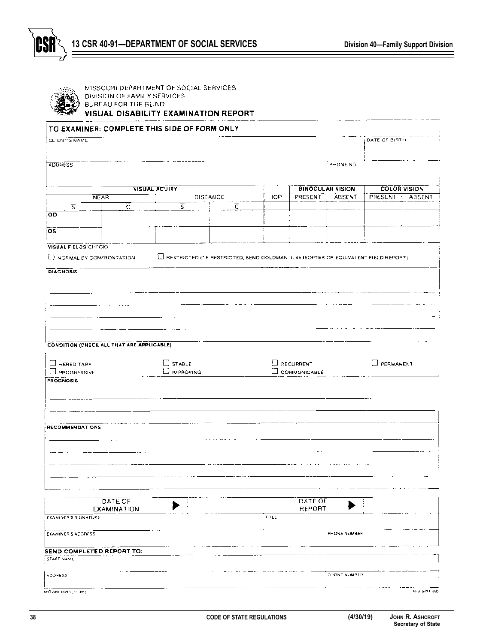

| TO EXAMINER: COMPLETE THIS SIDE OF FORM ONLY                                                                                                                                     |                                                                                       |            |                     |                         |                                          |
|----------------------------------------------------------------------------------------------------------------------------------------------------------------------------------|---------------------------------------------------------------------------------------|------------|---------------------|-------------------------|------------------------------------------|
| CLIENT'S NAME                                                                                                                                                                    |                                                                                       |            |                     |                         | DATE OF BIRTH                            |
| <b>ADDRESS</b>                                                                                                                                                                   |                                                                                       |            |                     | <b>PHONE NO</b>         |                                          |
|                                                                                                                                                                                  |                                                                                       |            |                     |                         |                                          |
| <b>NEAR</b>                                                                                                                                                                      | <b>VISUAL ACUITY</b><br><b>DISTANCE</b>                                               | <b>IOP</b> | PRESENT : ABSENT    | <b>BINOCULAR VISION</b> | <b>COLOR VISION</b><br>PRESENT<br>ABSENT |
| इ<br>Ĉ.                                                                                                                                                                          | $\overline{\mathbb{S}}$                                                               | ⋷          |                     |                         |                                          |
| OD                                                                                                                                                                               |                                                                                       |            |                     |                         |                                          |
| $\overline{\text{os}}$                                                                                                                                                           |                                                                                       |            |                     |                         |                                          |
| VISUAL FIELDS(CHECK)                                                                                                                                                             |                                                                                       |            |                     |                         |                                          |
| NOPMAL BY CONFRONTATION                                                                                                                                                          | A RESTRICTED (TIF RESTRICTED, SEND GOLDMAN III 4E ISOPTER OR EQUIVALENT FIELD REPORT) |            |                     |                         |                                          |
| <b>DIAGNOSIS</b>                                                                                                                                                                 |                                                                                       |            |                     |                         |                                          |
|                                                                                                                                                                                  |                                                                                       |            |                     |                         |                                          |
|                                                                                                                                                                                  |                                                                                       |            |                     |                         |                                          |
|                                                                                                                                                                                  |                                                                                       |            |                     |                         |                                          |
|                                                                                                                                                                                  |                                                                                       |            |                     |                         |                                          |
|                                                                                                                                                                                  |                                                                                       |            |                     |                         |                                          |
|                                                                                                                                                                                  |                                                                                       |            |                     |                         |                                          |
|                                                                                                                                                                                  |                                                                                       |            |                     |                         |                                          |
| <b>CONDITION (CHECK ALL THAT ARE APPLICABLE)</b>                                                                                                                                 |                                                                                       |            |                     |                         |                                          |
|                                                                                                                                                                                  |                                                                                       |            |                     |                         |                                          |
|                                                                                                                                                                                  |                                                                                       |            |                     |                         |                                          |
|                                                                                                                                                                                  | $\Box$ STABLE                                                                         |            | <b>E</b> RECURRENT  |                         | PERMANENT                                |
|                                                                                                                                                                                  | E IMPROVING                                                                           |            | <b>COMMUNICABLE</b> |                         |                                          |
|                                                                                                                                                                                  |                                                                                       |            |                     |                         |                                          |
|                                                                                                                                                                                  |                                                                                       |            |                     |                         |                                          |
|                                                                                                                                                                                  |                                                                                       |            |                     |                         |                                          |
|                                                                                                                                                                                  |                                                                                       |            |                     |                         |                                          |
|                                                                                                                                                                                  |                                                                                       |            |                     |                         |                                          |
|                                                                                                                                                                                  |                                                                                       |            |                     |                         |                                          |
|                                                                                                                                                                                  |                                                                                       |            |                     |                         |                                          |
|                                                                                                                                                                                  |                                                                                       |            |                     |                         |                                          |
|                                                                                                                                                                                  |                                                                                       |            |                     |                         |                                          |
|                                                                                                                                                                                  |                                                                                       |            |                     |                         |                                          |
|                                                                                                                                                                                  |                                                                                       |            |                     |                         |                                          |
|                                                                                                                                                                                  |                                                                                       |            |                     |                         |                                          |
| DATE OF                                                                                                                                                                          |                                                                                       |            | DATÉ OF             |                         |                                          |
| <b>EXAMINATION</b>                                                                                                                                                               |                                                                                       | TITLE      | REPORT              |                         |                                          |
|                                                                                                                                                                                  |                                                                                       |            |                     |                         |                                          |
|                                                                                                                                                                                  |                                                                                       |            |                     | PHONE NUMBER            |                                          |
|                                                                                                                                                                                  |                                                                                       |            |                     |                         |                                          |
|                                                                                                                                                                                  |                                                                                       |            |                     |                         |                                          |
| HEREDITARY<br>$\square$ PROGRESSIVE<br>PROGNOSIS<br><b>RECOMMENDATIONS</b><br><b>EXAMINER'S SIGNATURE</b><br><b>EXAMINERS ADDRESS</b><br>SEND COMPLETED REPORT TO:<br>STAFF NAME |                                                                                       |            |                     |                         |                                          |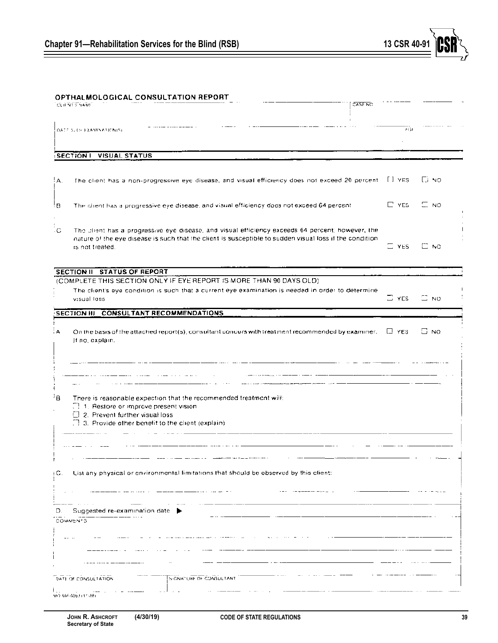

# OPTHALMOLOGICAL CONSULTATION REPORT

|     | CLIFNT FNAME                                                                                                                                   |                                                                                                                                                                                                              | CASE NO |              |              |
|-----|------------------------------------------------------------------------------------------------------------------------------------------------|--------------------------------------------------------------------------------------------------------------------------------------------------------------------------------------------------------------|---------|--------------|--------------|
|     | DATE SLOVEXAMINATIONISE                                                                                                                        |                                                                                                                                                                                                              |         | 道缝           |              |
|     | <b>SECTION I</b> VISUAL STATUS                                                                                                                 |                                                                                                                                                                                                              |         |              |              |
|     |                                                                                                                                                |                                                                                                                                                                                                              |         |              |              |
| A.  |                                                                                                                                                | The client has a non-progressive eye disease, and visual efficiency does not exceed 20 percent [1] YES                                                                                                       |         |              | lū no        |
| ŀΒ  |                                                                                                                                                | The client has a progressive eye disease, and visual efficiency does not exceed 64 percent.                                                                                                                  |         | $\Gamma$ YES | $\Box$ NO    |
| ٠C  | is not treated.                                                                                                                                | The client has a progressive eye disease, and visual efficiency exceeds 64 percent; however, the<br>nature of the eye disease is such that the client is susceptible to sudden visual loss if the condition. |         | $\equiv$ YES | $\square$ NO |
|     | SECTION II STATUS OF REPORT                                                                                                                    |                                                                                                                                                                                                              |         |              |              |
|     |                                                                                                                                                | (COMPLETE THIS SECTION ONLY IF EYE REPORT IS MORE THAN 90 DAYS OLD).                                                                                                                                         |         |              |              |
|     | visual loss.                                                                                                                                   | The client's eye condition is such that a current eye examination is needed in order to determine                                                                                                            |         | $\Box$ YES   | $\equiv$ NO  |
|     | SECTION III CONSULTANT RECOMMENDATIONS                                                                                                         |                                                                                                                                                                                                              |         |              |              |
| А   | If no, explain.                                                                                                                                | On the basis of the attached report(s), consultant concurs with treatment recommended by examiner.                                                                                                           |         | $\Box$ YES   | Li NG        |
|     |                                                                                                                                                |                                                                                                                                                                                                              |         |              |              |
| łВ  | There is reasonable expection that the recommended treatment will:<br>1. Restore or improve present vision<br>[12] Prevent further visual loss |                                                                                                                                                                                                              |         |              |              |
|     | $\Box$ 3. Provide other benefit to the client (explain).                                                                                       |                                                                                                                                                                                                              |         |              |              |
|     |                                                                                                                                                |                                                                                                                                                                                                              |         |              |              |
| įС. |                                                                                                                                                | List any physical or environmental limitations that should be observed by this client:                                                                                                                       |         |              |              |
|     |                                                                                                                                                |                                                                                                                                                                                                              |         |              |              |
| D.  | Suggested re-examination date<br>COMMENTS                                                                                                      |                                                                                                                                                                                                              |         |              |              |
|     |                                                                                                                                                |                                                                                                                                                                                                              |         |              |              |
|     |                                                                                                                                                |                                                                                                                                                                                                              |         |              |              |
|     | DATE OF CONSULTATION                                                                                                                           | S-GNATURE OF CONSULTANT                                                                                                                                                                                      |         |              |              |
|     | MID BAR-GOUR LET-ART                                                                                                                           |                                                                                                                                                                                                              |         |              |              |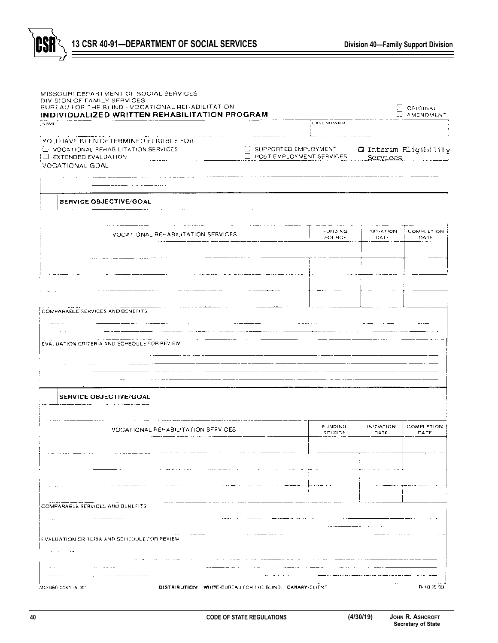



|                                                                                                                                                                                                                                                         | INDIVIDUALIZED WRITTEN REHABILITATION PROGRAM          |                                                               |                          |                                   | ORIGINAL<br><b>AMENDMENT</b> |
|---------------------------------------------------------------------------------------------------------------------------------------------------------------------------------------------------------------------------------------------------------|--------------------------------------------------------|---------------------------------------------------------------|--------------------------|-----------------------------------|------------------------------|
| NAME                                                                                                                                                                                                                                                    |                                                        |                                                               | CASE NUMBER              |                                   |                              |
| YOU HAVE BEEN DETERMINED ELIGIBLE FOR<br>U VOCATIONAL REHABILITATION SERVICES<br>$\Box$ EXTENDED EVALUATION                                                                                                                                             |                                                        | L. SUPPORTED EMPLOYMENT<br>$\square$ POST EMPLOYMENT SERVICES |                          | O Interim Eligibility<br>Services |                              |
| VOCATIONAL GOAL                                                                                                                                                                                                                                         |                                                        |                                                               |                          |                                   |                              |
|                                                                                                                                                                                                                                                         |                                                        |                                                               |                          |                                   |                              |
| SERVICE OBJECTIVE/GOAL                                                                                                                                                                                                                                  |                                                        |                                                               |                          |                                   |                              |
|                                                                                                                                                                                                                                                         |                                                        |                                                               |                          |                                   |                              |
|                                                                                                                                                                                                                                                         | VOCATIONAL REHABILITATION SERVICES                     |                                                               | <b>FUNDING</b><br>SOURCE | INITIATION<br>DATE                | <b>COMPLETION</b><br>DATE    |
|                                                                                                                                                                                                                                                         |                                                        |                                                               |                          |                                   |                              |
|                                                                                                                                                                                                                                                         |                                                        |                                                               |                          |                                   |                              |
|                                                                                                                                                                                                                                                         |                                                        |                                                               |                          |                                   |                              |
|                                                                                                                                                                                                                                                         |                                                        |                                                               |                          |                                   |                              |
| COMPARABLE SERVICES AND BENEFITS.                                                                                                                                                                                                                       |                                                        |                                                               |                          |                                   |                              |
|                                                                                                                                                                                                                                                         |                                                        |                                                               |                          |                                   |                              |
| EVALUATION CRITERIA AND SCHEDULE FOR REVIEW                                                                                                                                                                                                             |                                                        |                                                               |                          |                                   |                              |
|                                                                                                                                                                                                                                                         |                                                        |                                                               |                          |                                   |                              |
|                                                                                                                                                                                                                                                         |                                                        |                                                               |                          |                                   |                              |
|                                                                                                                                                                                                                                                         |                                                        |                                                               |                          |                                   |                              |
| SERVICE OBJECTIVE/GOAL                                                                                                                                                                                                                                  |                                                        |                                                               |                          |                                   |                              |
|                                                                                                                                                                                                                                                         |                                                        |                                                               |                          |                                   |                              |
|                                                                                                                                                                                                                                                         |                                                        |                                                               | <b>FUNDING</b>           | <b>INTIATION</b>                  | <b>COMPLETION</b><br>DATE    |
|                                                                                                                                                                                                                                                         | VOCATIONAL REHABILITATION SERVICES                     |                                                               | SOUHCE                   | DATE                              |                              |
|                                                                                                                                                                                                                                                         |                                                        |                                                               |                          |                                   |                              |
|                                                                                                                                                                                                                                                         |                                                        |                                                               |                          |                                   |                              |
|                                                                                                                                                                                                                                                         |                                                        |                                                               |                          |                                   |                              |
| the contract of the companion of the contract of the contract of the contract of the contract of the contract of the contract of the contract of the contract of the contract of the contract of the contract of the contract<br><b>Service Control</b> | the contract of the company of the<br>the same company |                                                               |                          |                                   |                              |
| $\sim$ $\sim$ $\sim$                                                                                                                                                                                                                                    |                                                        |                                                               |                          |                                   |                              |
| we assume that the contract $\mathcal{L}^{\mathcal{A}}$ , $\mathcal{L}^{\mathcal{A}}$ , $\mathcal{L}^{\mathcal{A}}$ , $\mathcal{L}^{\mathcal{A}}$ , $\mathcal{L}^{\mathcal{A}}$<br><b>Contract Contract</b>                                             |                                                        | --- -- -- -- -                                                |                          |                                   |                              |
|                                                                                                                                                                                                                                                         |                                                        | <b>Contract Contract State</b>                                |                          |                                   |                              |
| and the company                                                                                                                                                                                                                                         |                                                        |                                                               |                          |                                   |                              |
| $\cdots$<br>COMPARABLE SERVICES AND BENEFITS<br>EVALUATION CRITERIA AND SCHEDULE FOR REVIEW<br>and the control of the control of the community                                                                                                          |                                                        |                                                               |                          |                                   | and the con-                 |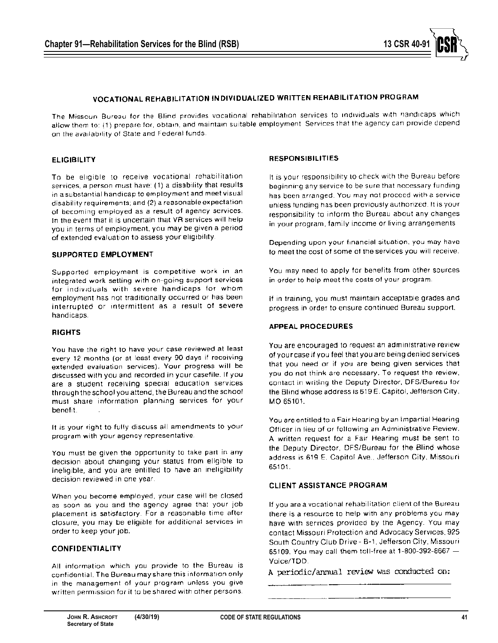

# VOCATIONAL REHABILITATION INDIVIDUALIZED WRITTEN REHABILITATION PROGRAM

The Missouri Bureau for the Blind provides vocational rehabilitation services to individuals with handicaps which allow them to: (1) prepare for, obtain, and maintain suitable employment. Services that the agency can provide depend on the availability of State and Federal funds.

#### **ELIGIBILITY**

To be eligible to receive vocational rehabilitation services, a person must have: (1) a disability that results in a substantial handicap to employment and meet visual disability requirements; and (2) a reasonable expectation. of becoming employed as a result of agency services. In the event that it is uncertain that VR services will help you in terms of employment, you may be given a period. of extended evaluation to assess your eligibility.

#### SUPPORTED EMPLOYMENT

Supported employment is competitive work in an integrated work setting with on-going support services for individuals with severe handicaps for whom employment has not traditionally occurred or has been interrupted or intermittent as a result of severe handicaps.

#### **RIGHTS**

You have the right to have your case reviewed at least every 12 months (or at least every 90 days if receiving extended evaluation services). Your progress will be discussed with you and recorded in your casefile. If you are a student receiving special education services through the school you attend, the Bureau and the school must share information planning services for your benefit.

It is your right to fully discuss all amendments to your program with your agency representative.

You must be given the opportunity to take part in any decision about changing your status from eligible to ineligible, and you are entitled to have an ineligibility decision reviewed in one year.

When you become employed, your case will be closed as soon as you and the agency agree that your job placement is satisfactory. For a reasonable time after closure, you may be eligible for additional services in order to keep your job.

# **CONFIDENTIALITY**

All information which you provide to the Bureau is confidential. The Bureau may share this information only in the management of your program unless you give written permission for it to be shared with other persons.

#### **RESPONSIBILITIES**

It is your responsibility to check with the Bureau before beginning any service to be sure that necessary funding has been arranged. You may not proceed with a service unless funding has been previously authorized. It is your responsibility to inform the Bureau about any changes in your program, family income or living arrangements.

Depending upon your financial situation, you may have to meet the cost of some of the services you will receive.

You may need to apply for benefits from other sources in order to help meet the costs of your program.

If in training, you must maintain acceptable grades and progress in order to ensure continued Bureau support.

# **APPEAL PROCEDURES**

You are encouraged to request an administrative review of your case if you feel that you are being denied services that you need or if you are being given services that you do not think are necessary. To request the review, contact in writing the Deputy Director, DFS/Bureau for the Blind whose address is 619 E. Capitol, Jefferson City, MO 65101.

You are entitled to a Fair Hearing by an Impartial Hearing Officer in lieu of or following an Administrative Review. A written request for a Fair Hearing must be sent to the Deputy Director, DFS/Bureau for the Blind whose address is 619 E. Capitol Ave., Jefferson City, Missouri. 65101.

#### **CLIENT ASSISTANCE PROGRAM**

If you are a vocational rehabilitation client of the Bureau there is a resource to help with any problems you may have with services provided by the Agency. You may contact Missouri Protection and Advocacy Services, 925 South Country Club Drive - B-1, Jefferson City, Missouri 65109. You may call them toll-free at 1-800-392-8667  $-$ Voice/TDD.

A periodic/annual review was conducted on: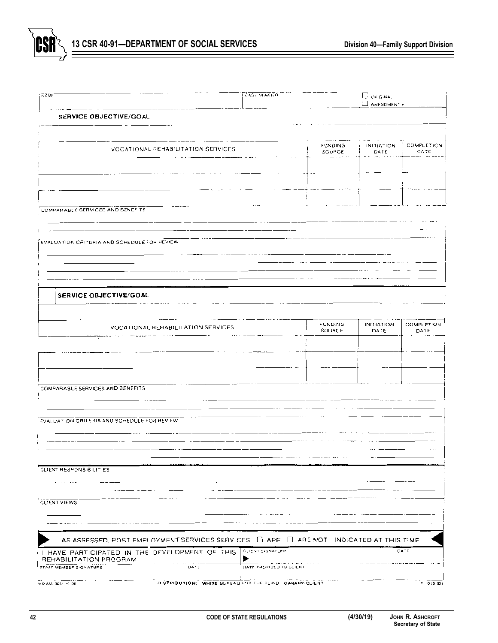

| <b>NAME</b>                                                                                     | CASE NUMBER      |                   | <b>EL OHIGINAL</b><br>AMENDMENT . |                    |
|-------------------------------------------------------------------------------------------------|------------------|-------------------|-----------------------------------|--------------------|
| SERVICE OBJECTIVE/GOAL                                                                          |                  |                   |                                   |                    |
|                                                                                                 |                  |                   |                                   |                    |
|                                                                                                 |                  | FUNDING.          | <b>INITIATION</b>                 | COMPLETION         |
| VOCATIONAL REHABILITATION SERVICES                                                              |                  | SOURCE            | DATE                              | DATE               |
|                                                                                                 |                  |                   |                                   |                    |
|                                                                                                 |                  |                   |                                   |                    |
|                                                                                                 |                  |                   |                                   |                    |
| COMPARABLE SERVICES AND BENEFITS                                                                |                  |                   |                                   |                    |
|                                                                                                 |                  |                   |                                   |                    |
|                                                                                                 |                  |                   |                                   |                    |
| EVALUATION CRITERIA AND SCHEDULE FOR REVIEW                                                     |                  |                   |                                   |                    |
|                                                                                                 |                  |                   |                                   |                    |
|                                                                                                 |                  |                   |                                   |                    |
|                                                                                                 |                  |                   |                                   |                    |
| SERVICE OBJECTIVE/GOAL                                                                          |                  |                   |                                   |                    |
|                                                                                                 |                  |                   |                                   |                    |
| VOCATIONAL REHABILITATION SERVICES                                                              |                  | FUNDING<br>SOURCE | INITIATION<br>DATE                | COMPLETION<br>DATE |
|                                                                                                 |                  |                   |                                   |                    |
|                                                                                                 |                  |                   |                                   |                    |
|                                                                                                 |                  |                   |                                   |                    |
|                                                                                                 |                  |                   |                                   |                    |
| COMPARABLE SERVICES AND BENEFITS                                                                |                  |                   |                                   |                    |
|                                                                                                 |                  |                   |                                   |                    |
| EVALUATION CRITERIA AND SCHEDULE FOR REVIEW                                                     |                  |                   |                                   |                    |
|                                                                                                 |                  |                   |                                   |                    |
|                                                                                                 |                  |                   |                                   |                    |
|                                                                                                 |                  |                   |                                   |                    |
| CLIENT RESPONSIBILITIES                                                                         |                  |                   |                                   |                    |
| .                                                                                               |                  |                   |                                   |                    |
| CLIENT VIEWS                                                                                    |                  |                   |                                   |                    |
|                                                                                                 |                  |                   |                                   |                    |
|                                                                                                 |                  |                   |                                   |                    |
| AS ASSESSED, POST EMPLOYMENT SERVICES SERVICES $\Box$ ARE $\Box$ ARE NOT INDICATED AT THIS TIME |                  |                   |                                   |                    |
| I HAVE PARTICIPATED IN THE DEVELOPMENT OF THIS                                                  | CLIENT SIGNATURE |                   |                                   | DATE               |
| REHABILITATION PROGRAM                                                                          |                  |                   |                                   |                    |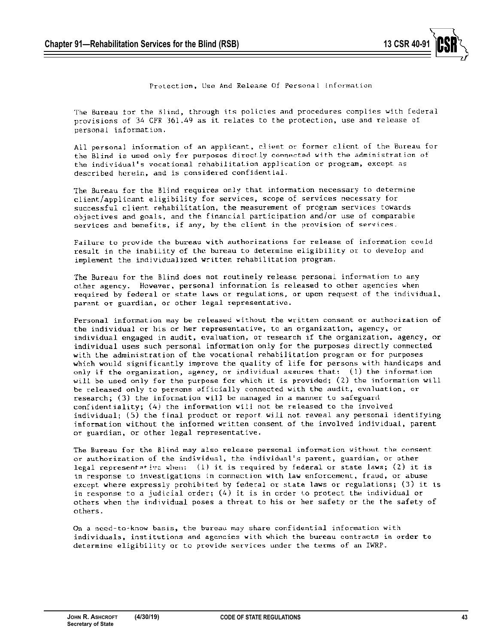

Protection, Use And Release Of Personal information

The Bureau for the Blind, through its policies and procedures complies with federal provisions of 34 CFR 361.49 as it relates to the protection, use and release of personal information.

All personal information of an applicant, client or former client of the Bureau for the Blind is used only for purposes directly connected with the administration of the individual's vocational rehabilitation application or program, except as described herein, and is considered confidential.

The Bureau for the Blind requires only that information necessary to determine client/applicant eligibility for services, scope of services necessary for successful client rehabilitation, the measurement of program services towards objectives and goals, and the financial participation and/or use of comparable services and benefits, if any, by the client in the provision of services.

Failure to provide the bureau with authorizations for release of information could result in the inability of the bureau to determine eligibility or to develop and implement the individualized written rehabilitation program.

The Bureau for the Blind does not routinely release personal information to any other agency. However, personal information is released to other agencies when required by federal or state laws or regulations, or upon request of the individual. parent or guardian, or other legal representative.

Personal information may be released without the written consent or authorization of the individual or his or her representative, to an organization, agency, or individual engaged in audit, evaluation, or research if the organization, agency, or individual uses such personal information only for the purposes directly connected with the administration of the vocational rehabilitation program or for purposes which would significantly improve the quality of life for persons with handicaps and only if the organization, agency, or individual assures that: (1) the information will be used only for the purpose for which it is provided; (2) the information will be released only to persons officially connected with the audit, evaluation, or research; (3) the information will be managed in a manner to safeguard confidentiality; (4) the information will not be released to the involved individual; (5) the final product or report will not reveal any personal identifying information without the informed written consent of the involved individual, parent or guardian, or other legal representative.

The Bureau for the Blind may also release personal information without the consent or authorization of the individual, the individual's parent, guardian, or other legal representative when: (1) it is required by federal or state laws; (2) it is in response to investigations in connection with law enforcement, fraud, or abuse except where expressly prohibited by federal or state laws or regulations; (3) it is in response to a judicial order;  $(4)$  it is in order to protect the individual or others when the individual poses a threat to his or her safety or the the safety of others.

On a need-to-know basis, the bureau may share confidential information with individuals, institutions and agencies with which the bureau contracts in order to determine eligibility or to provide services under the terms of an IWRP.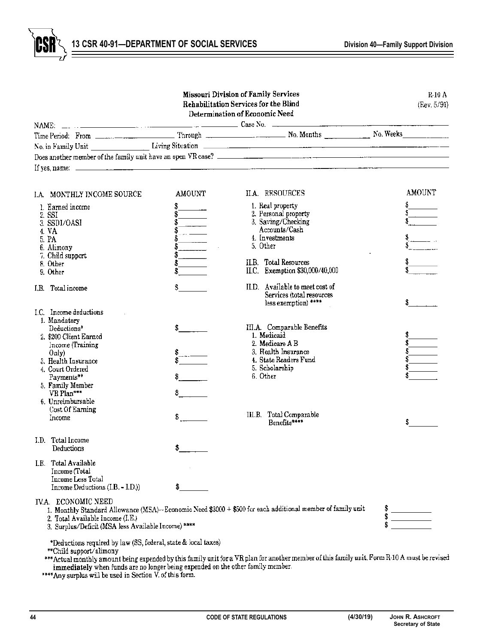13 CSR 40-91—DEPARTMENT OF SOCIAL SERVICES **Division 40—Family Support Division** 

CSF

|                                                                                                                |                          | <b>Missouri Division of Family Services</b><br>Rehabilitation Services for the Blind<br>Determination of Economic Need                         | $R_10A$<br>(Rev, 5/91)                            |
|----------------------------------------------------------------------------------------------------------------|--------------------------|------------------------------------------------------------------------------------------------------------------------------------------------|---------------------------------------------------|
|                                                                                                                |                          |                                                                                                                                                |                                                   |
|                                                                                                                |                          |                                                                                                                                                |                                                   |
|                                                                                                                |                          |                                                                                                                                                |                                                   |
|                                                                                                                |                          |                                                                                                                                                |                                                   |
|                                                                                                                |                          |                                                                                                                                                |                                                   |
|                                                                                                                |                          |                                                                                                                                                |                                                   |
| I.A. MONTHLY INCOME SOURCE                                                                                     | AMOUNT                   | II.A. RESOURCES                                                                                                                                | AMOUNT                                            |
| 1. Earned income                                                                                               |                          | 1. Real property                                                                                                                               | $\begin{array}{c}\nS \\ S \\ S \\ S\n\end{array}$ |
| 2. SSI                                                                                                         | $\frac{1}{2}$            | 2. Personal property                                                                                                                           |                                                   |
| 3. SSDI/OASI                                                                                                   |                          | 3. Saving/Checking                                                                                                                             |                                                   |
| 4. VA                                                                                                          | $\ldots$ . $\frac{1}{2}$ | Accounts/Cash<br>4. Investments                                                                                                                |                                                   |
| 5. PA                                                                                                          |                          | 5. Other                                                                                                                                       |                                                   |
| 6. Alimony                                                                                                     |                          |                                                                                                                                                |                                                   |
| 7. Child support                                                                                               | \$                       | <b>ILB.</b> Total Resources                                                                                                                    |                                                   |
| 8. Other<br>9. Other                                                                                           |                          | II.C. Exemption \$30,000/40,000                                                                                                                |                                                   |
| I.B. Total income                                                                                              | $\frac{3}{2}$            | II.D. Available to meet cost of<br>Services (total resources<br>less exemption) ****                                                           | s.                                                |
| I.C. Income deductions                                                                                         |                          |                                                                                                                                                |                                                   |
| 1. Mandatory                                                                                                   |                          |                                                                                                                                                |                                                   |
| Deductions*                                                                                                    |                          | III.A. Comparable Benefits                                                                                                                     |                                                   |
| 2. \$200 Client Earned                                                                                         |                          | 1. Medicaid                                                                                                                                    |                                                   |
| Income (Training                                                                                               |                          | 2. Medicare A B                                                                                                                                |                                                   |
| On(v)                                                                                                          |                          | 3. Health Insurance                                                                                                                            |                                                   |
| 3. Health Insurance                                                                                            |                          | 4. State Readers Fund                                                                                                                          |                                                   |
| 4. Court Ordered                                                                                               |                          | 5. Scholarship<br>6. Other                                                                                                                     |                                                   |
| Payments**                                                                                                     | $\sim$                   |                                                                                                                                                |                                                   |
| 5. Family Member<br>VR Plan***                                                                                 |                          |                                                                                                                                                |                                                   |
| 6. Unreimbursable                                                                                              |                          |                                                                                                                                                |                                                   |
| Cost Of Earning                                                                                                |                          |                                                                                                                                                |                                                   |
| Income                                                                                                         | $S \sim 1$               | III.B. Total Comparable<br>Benefits*****                                                                                                       |                                                   |
| I.D. Total Income                                                                                              |                          |                                                                                                                                                |                                                   |
| Deductions                                                                                                     | \$                       |                                                                                                                                                |                                                   |
| I.E. Total Available                                                                                           |                          |                                                                                                                                                |                                                   |
| Income (Total                                                                                                  |                          |                                                                                                                                                |                                                   |
| Income Less Total                                                                                              |                          |                                                                                                                                                |                                                   |
| Income Deductions (I.B. - I.D.))                                                                               | \$                       |                                                                                                                                                |                                                   |
| IV.A. ECONOMIC NEED<br>2. Total Available Income (I.E.)<br>3. Surplus/Deficit (MSA less Available Income) **** |                          | 1. Monthly Standard Allowance (MSA)-Economic Need \$3000 + \$500 for each additional member of family unit                                     | $\frac{1}{2}$                                     |
| *Deductions required by law (SS, federal, state & local taxes)<br>**Child support/alimony                      |                          | *** Actual monthly amount being expended by this family unit for a VR plan for another member of this family unit. Form R-10 A must be revised |                                                   |

immediately when funds are no longer being expended on the other family member.<br>\*\*\*\*Any surplus will be used in Section V. of this form.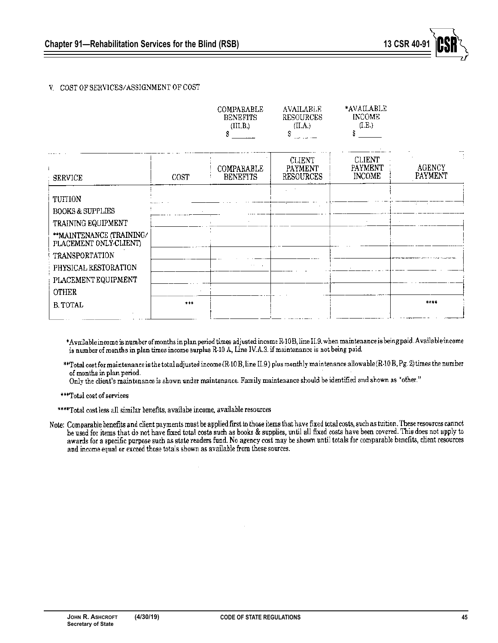

# V. COST OF SERVICES/ASSIGNMENT OF COST

|       | (III, B)<br>۶                 | (II.A.)<br>Š                                 | (I.E.)                                    |                   |
|-------|-------------------------------|----------------------------------------------|-------------------------------------------|-------------------|
| COST  | COMPARABLE<br><b>BENEFITS</b> | <b>CLIENT</b><br>PAYMENT<br><b>RESOURCES</b> | <b>CLIENT</b><br>PAYMENT<br><b>INCOME</b> | AGENCY<br>PAYMENT |
|       |                               |                                              |                                           | 12.               |
|       |                               |                                              |                                           |                   |
|       |                               |                                              |                                           |                   |
|       |                               |                                              |                                           |                   |
|       |                               |                                              |                                           |                   |
|       | $\sim$ $\sim$                 |                                              |                                           |                   |
|       |                               |                                              |                                           |                   |
|       |                               |                                              |                                           |                   |
| $***$ |                               |                                              |                                           | ****              |
|       |                               |                                              |                                           |                   |

\*Available income is number of months in plan period times adjusted income R-10B, line II.9. when maintenance is being paid. Available income is number of months in plan times income surplus R-10 A, Line IV.A.3. if maintenance is not being paid.

\*\*Total cost for maintenance is the total adjusted income (R-10 B, line H.9.) plus monthly maintenance allowable (R-10 B, Pg. 2) times the number of months in plan period.

Only the client's maintenance is shown under maintenance. Family maintenance should be identified and shown as "other."

\*\*\*Total cost of services

\*\*\*\*Total cost less all similar benefits, availabe income, available resources

Note: Comparable benefits and client payments must be applied first to those items that have fixed total costs, such as tuttion. These resources cannot be used for items that do not have fixed total costs such as books & supplies, until all fixed costs have been covered. This does not apply to awards for a specific purpose such as state readers fund. No agency cost may be shown until totals for comparable benefits, client resources and income equal or exceed those totals shown as available from these sources.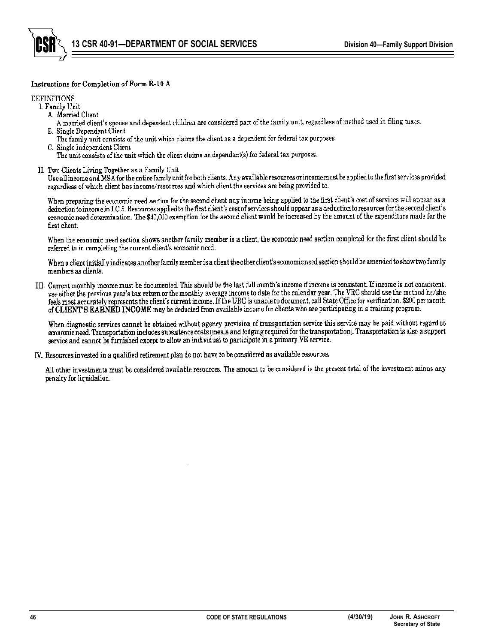

# Instructions for Completion of Form R-10 A

#### **DEFINITIONS**

I. Family Unit

- A. Married Client
- A married client's spouse and dependent children are considered part of the family unit, regardless of method used in filing taxes. B. Single Dependent Client
- The family unit consists of the unit which claims the client as a dependent for federal tax purposes.
- C. Single Independent Client
- The unit consists of the unit which the client claims as dependent(s) for federal tax purposes.
- II. Two Clients Living Together as a Family Unit

Use all income and MSA for the entire family unit for both clients. Any available resources or income must be applied to the first services provided regardless of which client has income/resources and which client the services are being provided to.

When preparing the economic need section for the second client any income being applied to the first client's cost of services will appear as a deduction to income in I.C.5. Resources applied to the first client's cost of services should appear as a deduction to resources for the second client's economic need determination. The \$40,000 exemption for the second client would be increased by the amount of the expenditure made for the first client.

When the economic need section shows another family member is a client, the economic need section completed for the first client should be referred to in completing the current client's economic need.

When a client initially indicates another family member is a client the other client's economic need section should be amended to show two family members as clients.

III. Current monthly income must be documented. This should be the last full month's income if income is consistent. If income is not consistent, use either the previous year's tax return or the monthly average income to date for the calendar year. The VRC should use the method he/she feels most accurately represents the client's current income. If the URC is unable to document, call State Office for verification. \$200 per month of CLIENT'S EARNED INCOME may be deducted from available income for clients who are participating in a training program.

When diagnostic services cannot be obtained without agency provision of transportation service this service may be paid without regard to economic need. Transportation includes subsistence costs (meals and lodging required for the transportation). Transportation is also a support service and cannot be furnished except to allow an individual to participate in a primary VR service.

IV. Resources invested in a qualified retirement plan do not have to be considered as available resources.

All other investments must be considered available resources. The amount to be considered is the present total of the investment minus any penalty for liquidation.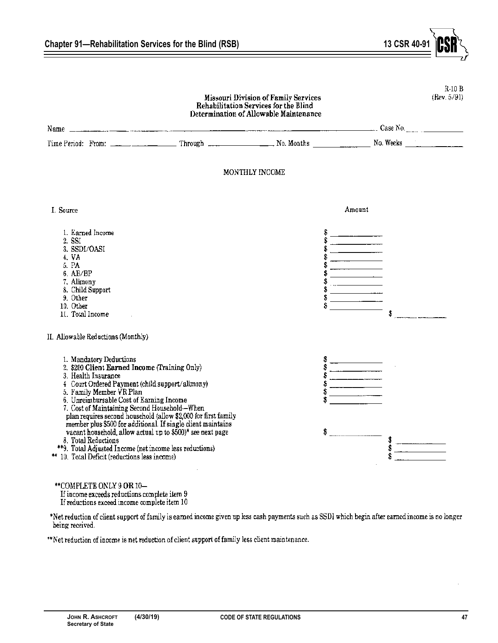

Chapter 91—Rehabilitation Services for the Blind (RSB) 13 CSR 40

\*\*COMPLETE ONLY 9 OR 10-If income exceeds reductions complete item 9 If reductions exceed income complete item 10

\*Net reduction of client support of family is earned income given up less cash payments such as SSDI which begin after earned income is no longer being received.

\*\*Net reduction of income is net reduction of client support of family less client maintenance.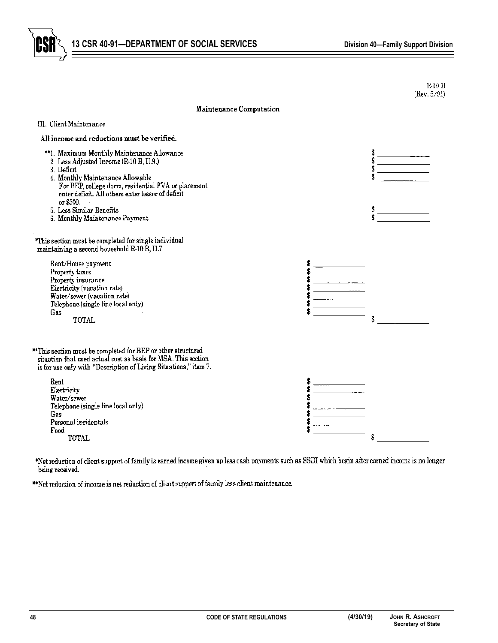



|                                                                                                                                                                                                                                                                                                                                 |                                   | $R-10B$<br>(Rev. 5/92) |
|---------------------------------------------------------------------------------------------------------------------------------------------------------------------------------------------------------------------------------------------------------------------------------------------------------------------------------|-----------------------------------|------------------------|
| Maintenance Computation                                                                                                                                                                                                                                                                                                         |                                   |                        |
| III. Client Maintenance                                                                                                                                                                                                                                                                                                         |                                   |                        |
| All income and reductions must be verified.                                                                                                                                                                                                                                                                                     |                                   |                        |
| **1. Maximum Monthly Maintenance Allowance<br>2. Less Adjusted Income (R-10 B, II.9.)<br>3. Deficit<br>4. Monthly Maintenance Allowable<br>For BEP, college dorm, residential PVA or placement<br>enter deficit. All others enter lessor of deficit<br>or $$500.$<br>5. Less Similar Benefits<br>6. Monthly Maintenance Payment |                                   | Ŝ<br>\$<br>Ŝ           |
| *This section must be completed for single individual<br>maintaining a second household R-10 B, II.7.                                                                                                                                                                                                                           |                                   |                        |
| Rent/House payment<br>Property taxes<br>Property insurance<br>Electricity (vacation rate)<br>Water/sewer (vacation rate)<br>Telephone (single line local only)<br>Gas<br><b>TOTAL</b>                                                                                                                                           | <u>and</u> the state of the state |                        |
| **This section must be completed for BEP or other structured<br>situation that used actual cost as basis for MSA. This section<br>is for use only with "Description of Living Situations," item 7.                                                                                                                              |                                   |                        |
| Rent<br>Electricity<br>Water/sewer<br>Telephone (single line local only)<br>Gas<br>Personal incidentals<br>Food<br><b>TOTAL</b>                                                                                                                                                                                                 |                                   | S                      |

\*Net reduction of client support of family is earned income given up less cash payments such as SSDI which begin after earned income is no longer being received.

\*\*Net reduction of income is net reduction of client support of family less client maintenance.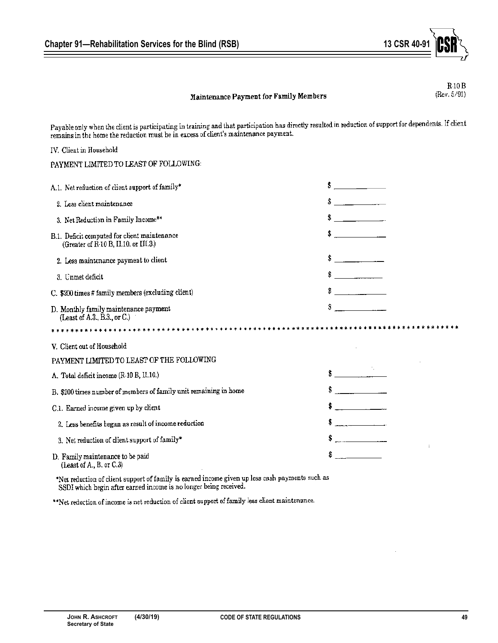

# Maintenance Payment for Family Members

 $R-10B$ (Rev. 5/91)

Payable only when the client is participating in training and that participation has directly resulted in reduction of support for dependents. If client rayable only when the chefit is participating in training that have participated into

| IV. Client in Household                                                               |                                       |
|---------------------------------------------------------------------------------------|---------------------------------------|
| PAYMENT LIMITED TO LEAST OF FOLLOWING:                                                |                                       |
| A.1. Net reduction of client support of family*                                       | $\frac{1}{2}$                         |
| 2. Less client maintenance                                                            | <u> 1999 - Jan Jawa</u><br>Ŝ.         |
| 3. Net Reduction in Family Income**                                                   | <u>and the community of the state</u> |
| B.1. Deficit computed for client maintenance<br>(Greater of R-10 B, II.10. or III.3.) | \$                                    |
| 2. Less maintenance payment to client                                                 | <u> 1999 - Jan Ja</u>                 |
| 3. Unmet deficit                                                                      | $\degree$                             |
| C. \$200 times # family members (excluding client)                                    | \$                                    |
| D. Monthly family maintenance payment<br>(Least of A.3., B.3., or C.)                 |                                       |
|                                                                                       |                                       |
| V. Client out of Household                                                            |                                       |
| PAYMENT LIMITED TO LEAST OF THE FOLLOWING                                             |                                       |
| A. Total deficit income (R-10 B, II.10.)                                              |                                       |
| B. \$200 times number of members of family unit remaining in home                     |                                       |
| C.1. Earned income given up by client                                                 | and the company                       |
| 2. Less benefits began as result of income reduction                                  | <u> 1989 - Jan Barnett, politik</u>   |
| 3. Net reduction of client support of family*                                         | <u> 1990 - Jan Barnett, polit</u> ik  |
| D. Family maintenance to be paid<br>(Least of A., B. or C.3)                          |                                       |

\*Net reduction of client support of family is earned income given up less cash payments such as SSDI which begin after earned income is no longer being received.

\*\* Net reduction of income is net reduction of client support of family less client maintenance.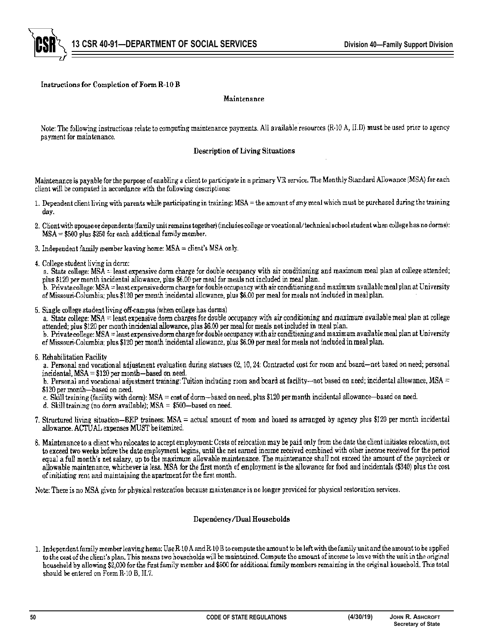

# Instructions for Completion of Form R-10 B

#### Maintenance

Note: The following instructions relate to computing maintenance payments. All available resources (R-10 A, II.D) must be used prior to agency payment for maintenance.

#### Description of Living Situations

Maintenance is payable for the purpose of enabling a client to participate in a primary VR service. The Monthly Standard Allowance (MSA) for each client will be computed in accordance with the following descriptions:

- 1. Dependent client living with parents while participating in training: MSA = the amount of any meal which must be purchased during the training day.
- 2. Client with spouse or dependents (family unit remains together) (includes college or vocational/technical school student when college has no dorms):  $MSA = $500$  plus \$250 for each additional family member.
- 3. Independent family member leaving home: MSA = client's MSA only.
- 4. College student living in dorm:

a. State college: MSA = least expensive dorm charge for double occupancy with air conditioning and maximum meal plan at college attended; plus \$120 per month incidental allowance, plus \$6.00 per meal for meals not included in meal plan.

b. Private college: MSA = least expensive dorm charge for double occupancy with air conditioning and maximum available meal plan at University of Missouri-Columbia; plus \$120 per month incidental allowance, plus \$6.00 per meal for meals not included in meal plan.

5. Single college student living off-campus (when college has dorms)

a. State college: MSA = least expensive dorm charges for double occupancy with air conditioning and maximum available meal plan at college attended; plus \$120 per month incidental allowance, plus \$6.00 per meal for meals not included in meal plan.

b. Private college: MSA = least expensive dorm charge for double occupancy with air conditioning and maximum available meal plan at University of Missouri-Columbia; plus \$120 per month incidental allowance, plus \$6.00 per meal for meals not included in meal plan.

6. Rehabilitation Facility

a. Personal and vocational adjustment evaluation during statuses 02, 10, 24: Contracted cost for room and board-not based on need; personal incidental,  $MSA = $120$  per month—based on need.

b. Personal and vocational adjustment training: Tuition including room and board at facility—not based on need; incidental allowance, MSA = \$120 per month-based on need.

- c. Skill training (facility with dorm): MSA = cost of dorm-based on need, plus \$120 per month incidental allowance-based on need.
- d. Skill training (no dorm available);  $MSA = $500$ -based on need.
- 7. Structured living situation—BEP trainees: MSA = actual amount of room and board as arranged by agency plus \$120 per month incidental allowance. ACTUAL expenses MUST be itemized.
- 8. Maintenance to a client who relocates to accept employment: Costs of relocation may be paid only from the date the client initiates relocation, not to exceed two weeks before the date employment begins, until the net earned income received combined with other income received for the period equal a full month's net salary, up to the maximum allowable maintenance. The maintenance shall not exceed the amount of the paycheck or allowable maintenance, whichever is less. MSA for the first month of employment is the allowance for food and incidentals (\$340) plus the cost of initiating rent and maintaining the apartment for the first month.

Note: There is no MSA given for physical restoration because maintenance is no longer provided for physical restoration services.

#### Dependency/Dual Households

1. Independent family member leaving home: Use R-10 A and R-10 B to compute the amount to be left with the family unit and the amount to be applied to the cost of the client's plan. This means two households will be maintained. Compute the amount of income to leave with the unit in the original household by allowing \$2,000 for the first family member and \$500 for additional family members remaining in the original household. This total should be entered on Form R-10 B, H.7.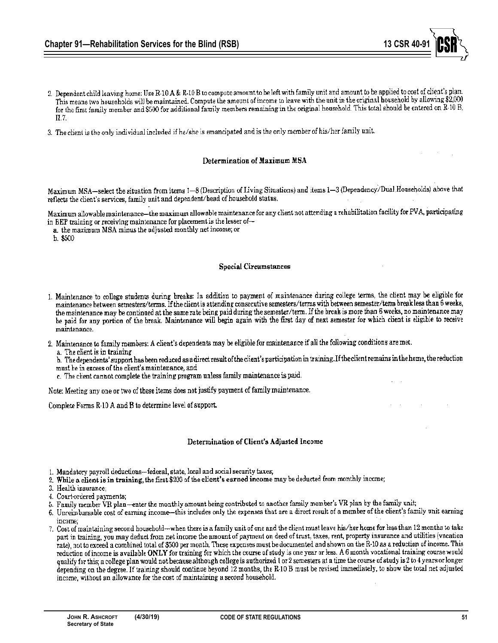- 2. Dependent child leaving home: Use R-10 A & R-10 B to compute amount to be left with family unit and amount to be applied to cost of client's plan. This means two households will be maintained. Compute the amount of income to leave with the unit in the original household by allowing \$2,000 for the first family member and \$500 for additional family members remaining in the original household. This total should be entered on R 10 B. H.Z.
- 3. The client is the only individual included if he/she is emancipated and is the only member of his/her family unit.

#### Determination of Maximum MSA

Maximum MSA-select the situation from items 1-8 (Description of Living Situations) and items 1-3 (Dependency/Dual Households) above that reflects the client's services, family unit and dependent/head of household status.

Maximum allowable maintenance—the maximum allowable maintenance for any client not attending a rehabilitation facility for PVA, participating in BEP training or receiving maintenance for placement is the lesser of-

a. the maximum MSA minus the adjusted monthly net income; or

 $b. $500$ 

#### **Special Circumstances**

- 1. Maintenance to college students during breaks: In addition to payment of maintenance during college terms, the client may be eligible for maintenance between semesters/terms. If the client is attending consecutive semesters/terms with between semester/term break less than 6 weeks, the maintenance may be continued at the same rate being paid during the semester/term. If the break is more than 6 weeks, no maintenance may be paid for any portion of the break. Maintenance will begin again with the first day of next semester for which client is eligible to receive maintenance.
- 2. Maintenance to family members: A client's dependents may be eligible for maintenance if all the following conditions are met.
	- a. The client is in training

b. The dependents' support has been reduced as a direct result of the client's participation in training. If the client remains in the home, the reduction must be in excess of the chent's maintenance, and

c. The client cannot complete the training program unless family maintenance is paid.

Note: Meeting any one or two of these items does not justify payment of family maintenance.

Complete Forms R-10 A and B to determine level of support.

# Determination of Client's Adjusted Income

- 1. Mandatory payroll deductions—federal, state, local and social security taxes;
- 2. While a client is in training, the first \$200 of the client's earned income may be deducted from monthly income;
- 3. Health insurance:
- 4. Court-ordered payments;
- 5. Family member VR plan—enter the monthly amount being contributed to another family member's VR plan by the family unit;

6. Unreimbursable cost of earning income—this includes only the expenses that are a direct result of a member of the client's family unit earning income:

7. Cost of maintaining second household—when there is a family unit of one and the client must leave his/her home for less than 12 months to take part in training, you may deduct from net income the amount of payment on deed of trust, taxes, rent, property insurance and utilities (vacation rate), not to exceed a combined total of \$500 per month. These expenses must be documented and shown on the R-10 as a reduction of income. This reduction of income is available ONLY for training for which the course of study is one year or less. A 6 month vocational training course would qualify for this; a college plan would not because although college is authorized 1 or 2 semesters at a time the course of study is 2 to 4 years or longer depending on the degree. If training should continue beyond 12 menths, the R-10 B must be revised immediately, to show the total net adjusted income, without an allowance for the cost of maintaining a second household.